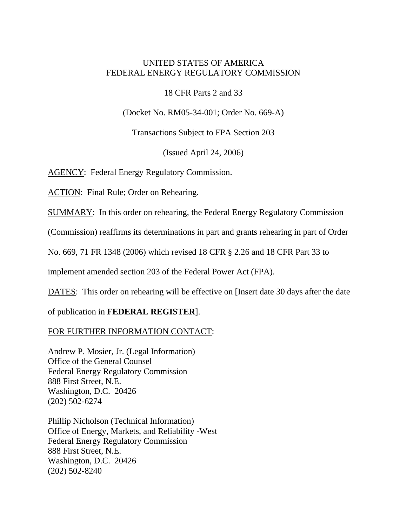## UNITED STATES OF AMERICA FEDERAL ENERGY REGULATORY COMMISSION

18 CFR Parts 2 and 33

(Docket No. RM05-34-001; Order No. 669-A)

Transactions Subject to FPA Section 203

(Issued April 24, 2006)

AGENCY: Federal Energy Regulatory Commission.

ACTION: Final Rule; Order on Rehearing.

SUMMARY: In this order on rehearing, the Federal Energy Regulatory Commission

(Commission) reaffirms its determinations in part and grants rehearing in part of Order

No. 669, 71 FR 1348 (2006) which revised 18 CFR § 2.26 and 18 CFR Part 33 to

implement amended section 203 of the Federal Power Act (FPA).

DATES: This order on rehearing will be effective on [Insert date 30 days after the date

of publication in **FEDERAL REGISTER**].

## FOR FURTHER INFORMATION CONTACT:

Andrew P. Mosier, Jr. (Legal Information) Office of the General Counsel Federal Energy Regulatory Commission 888 First Street, N.E. Washington, D.C. 20426 (202) 502-6274

Phillip Nicholson (Technical Information) Office of Energy, Markets, and Reliability -West Federal Energy Regulatory Commission 888 First Street, N.E. Washington, D.C. 20426 (202) 502-8240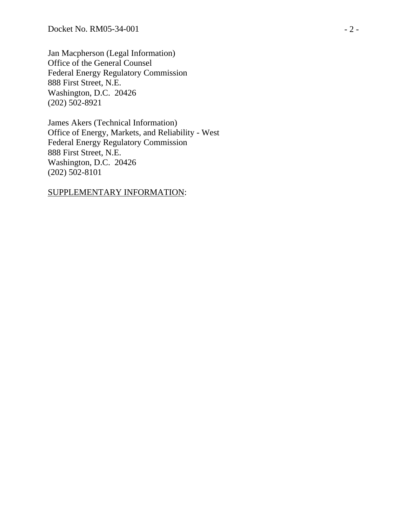Jan Macpherson (Legal Information) Office of the General Counsel Federal Energy Regulatory Commission 888 First Street, N.E. Washington, D.C. 20426 (202) 502-8921

James Akers (Technical Information) Office of Energy, Markets, and Reliability - West Federal Energy Regulatory Commission 888 First Street, N.E. Washington, D.C. 20426 (202) 502-8101

## SUPPLEMENTARY INFORMATION: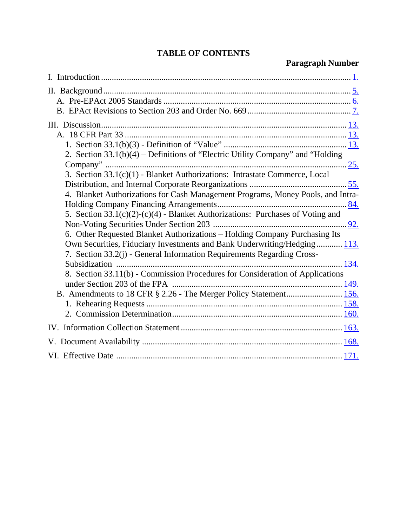## **TABLE OF CONTENTS**

# **Paragraph Number**

| 2. Section $33.1(b)(4)$ – Definitions of "Electric Utility Company" and "Holding |
|----------------------------------------------------------------------------------|
|                                                                                  |
| 3. Section 33.1(c)(1) - Blanket Authorizations: Intrastate Commerce, Local       |
|                                                                                  |
| 4. Blanket Authorizations for Cash Management Programs, Money Pools, and Intra-  |
|                                                                                  |
| 5. Section 33.1(c)(2)-(c)(4) - Blanket Authorizations: Purchases of Voting and   |
|                                                                                  |
| 6. Other Requested Blanket Authorizations - Holding Company Purchasing Its       |
| Own Securities, Fiduciary Investments and Bank Underwriting/Hedging 113.         |
| 7. Section 33.2(j) - General Information Requirements Regarding Cross-           |
|                                                                                  |
| 8. Section 33.11(b) - Commission Procedures for Consideration of Applications    |
|                                                                                  |
|                                                                                  |
|                                                                                  |
|                                                                                  |
|                                                                                  |
|                                                                                  |
|                                                                                  |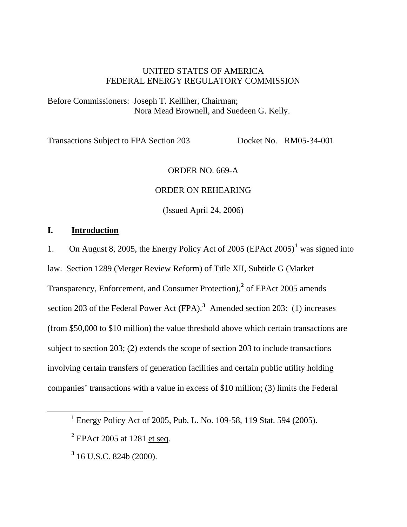## UNITED STATES OF AMERICA FEDERAL ENERGY REGULATORY COMMISSION

<span id="page-3-0"></span>Before Commissioners: Joseph T. Kelliher, Chairman; Nora Mead Brownell, and Suedeen G. Kelly.

Transactions Subject to FPA Section 203 Docket No. RM05-34-001

#### ORDER NO. 669-A

#### ORDER ON REHEARING

(Issued April 24, 2006)

## **I. Introduction**

1. On August 8, 2005, the Energy Policy Act of 2005 (EPAct 2005)**[1](#page-3-1)** was signed into law. Section 1289 (Merger Review Reform) of Title XII, Subtitle G (Market Transparency, Enforcement, and Consumer Protection),**[2](#page-3-2)** of EPAct 2005 amends section 203 of the Federal Power Act (FPA).**[3](#page-3-3)** Amended section 203: (1) increases (from \$50,000 to \$10 million) the value threshold above which certain transactions are subject to section 203; (2) extends the scope of section 203 to include transactions involving certain transfers of generation facilities and certain public utility holding companies' transactions with a value in excess of \$10 million; (3) limits the Federal

<span id="page-3-3"></span><span id="page-3-2"></span><span id="page-3-1"></span> $\frac{1}{1}$ Energy Policy Act of 2005, Pub. L. No. 109-58, 119 Stat. 594 (2005).

**<sup>2</sup>** EPAct 2005 at 1281 et seq*.*

**<sup>3</sup>** 16 U.S.C. 824b (2000).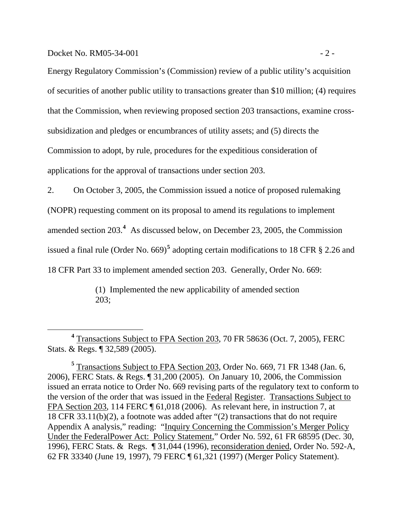Docket No.  $RM05-34-001$   $-2$  -

 $\overline{a}$ 

Energy Regulatory Commission's (Commission) review of a public utility's acquisition of securities of another public utility to transactions greater than \$10 million; (4) requires that the Commission, when reviewing proposed section 203 transactions, examine crosssubsidization and pledges or encumbrances of utility assets; and (5) directs the Commission to adopt, by rule, procedures for the expeditious consideration of applications for the approval of transactions under section 203.

2. On October 3, 2005, the Commission issued a notice of proposed rulemaking (NOPR) requesting comment on its proposal to amend its regulations to implement amended section 203.**[4](#page-4-0)** As discussed below, on December 23, 2005, the Commission issued a final rule (Order No. 669)<sup>[5](#page-4-1)</sup> adopting certain modifications to 18 CFR § 2.26 and 18 CFR Part 33 to implement amended section 203. Generally, Order No. 669:

> (1) Implemented the new applicability of amended section 203;

<span id="page-4-0"></span>**<sup>4</sup>** Transactions Subject to FPA Section 203, 70 FR 58636 (Oct. 7, 2005), FERC Stats. & Regs. ¶ 32,589 (2005).

<span id="page-4-1"></span>**<sup>5</sup>** Transactions Subject to FPA Section 203, Order No. 669, 71 FR 1348 (Jan. 6, 2006), FERC Stats. & Regs. ¶ 31,200 (2005). On January 10, 2006, the Commission issued an errata notice to Order No. 669 revising parts of the regulatory text to conform to the version of the order that was issued in the Federal Register. Transactions Subject to FPA Section 203, 114 FERC ¶ 61,018 (2006). As relevant here, in instruction 7, at 18 CFR 33.11(b)(2), a footnote was added after "(2) transactions that do not require Appendix A analysis," reading: "Inquiry Concerning the Commission's Merger Policy Under the FederalPower Act: Policy Statement," Order No. 592, 61 FR 68595 (Dec. 30, 1996), FERC Stats. & Regs. ¶ 31,044 (1996), reconsideration denied, Order No. 592-A, 62 FR 33340 (June 19, 1997), 79 FERC ¶ 61,321 (1997) (Merger Policy Statement).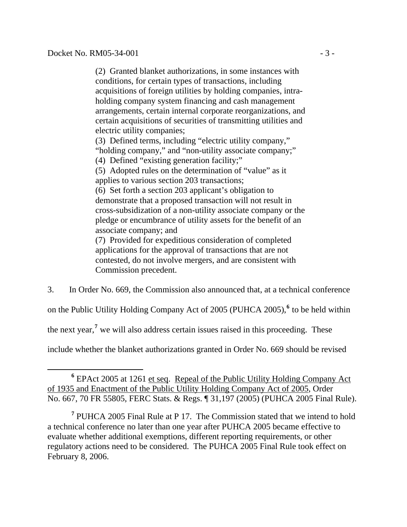$\overline{a}$ 

(2) Granted blanket authorizations, in some instances with conditions, for certain types of transactions, including acquisitions of foreign utilities by holding companies, intraholding company system financing and cash management arrangements, certain internal corporate reorganizations, and certain acquisitions of securities of transmitting utilities and electric utility companies;

(3) Defined terms, including "electric utility company," "holding company," and "non-utility associate company;"

(4) Defined "existing generation facility;"

(5) Adopted rules on the determination of "value" as it applies to various section 203 transactions;

(6) Set forth a section 203 applicant's obligation to demonstrate that a proposed transaction will not result in cross-subsidization of a non-utility associate company or the pledge or encumbrance of utility assets for the benefit of an associate company; and

(7) Provided for expeditious consideration of completed applications for the approval of transactions that are not contested, do not involve mergers, and are consistent with Commission precedent.

3. In Order No. 669, the Commission also announced that, at a technical conference

on the Public Utility Holding Company Act of 2005 (PUHCA 2005),**[6](#page-5-0)** to be held within

the next year,**[7](#page-5-1)** we will also address certain issues raised in this proceeding. These

include whether the blanket authorizations granted in Order No. 669 should be revised

<span id="page-5-0"></span><sup>&</sup>lt;sup>6</sup> EPAct 2005 at 1261 et seq. Repeal of the Public Utility Holding Company Act of 1935 and Enactment of the Public Utility Holding Company Act of 2005, Order No. 667, 70 FR 55805, FERC Stats. & Regs. ¶ 31,197 (2005) (PUHCA 2005 Final Rule).

<span id="page-5-1"></span><sup>&</sup>lt;sup>7</sup> PUHCA 2005 Final Rule at P 17. The Commission stated that we intend to hold a technical conference no later than one year after PUHCA 2005 became effective to evaluate whether additional exemptions, different reporting requirements, or other regulatory actions need to be considered. The PUHCA 2005 Final Rule took effect on February 8, 2006.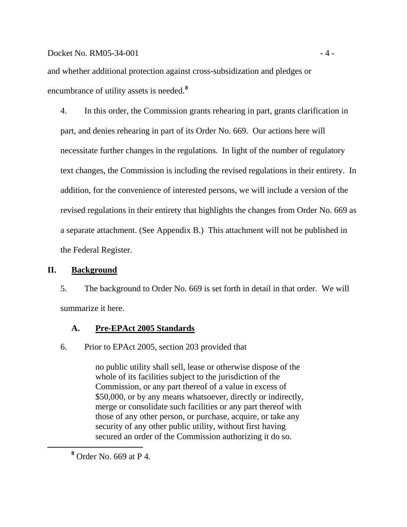<span id="page-6-0"></span>and whether additional protection against cross-subsidization and pledges or encumbrance of utility assets is needed.**[8](#page-6-1)**

4. In this order, the Commission grants rehearing in part, grants clarification in part, and denies rehearing in part of its Order No. 669. Our actions here will necessitate further changes in the regulations. In light of the number of regulatory text changes, the Commission is including the revised regulations in their entirety. In addition, for the convenience of interested persons, we will include a version of the revised regulations in their entirety that highlights the changes from Order No. 669 as a separate attachment. (See Appendix B.) This attachment will not be published in the Federal Register.

## **II. Background**

5. The background to Order No. 669 is set forth in detail in that order. We will summarize it here.

## **A. Pre-EPAct 2005 Standards**

6. Prior to EPAct 2005, section 203 provided that

no public utility shall sell, lease or otherwise dispose of the whole of its facilities subject to the jurisdiction of the Commission, or any part thereof of a value in excess of \$50,000, or by any means whatsoever, directly or indirectly, merge or consolidate such facilities or any part thereof with those of any other person, or purchase, acquire, or take any security of any other public utility, without first having secured an order of the Commission authorizing it do so.

<span id="page-6-1"></span>**<sup>8</sup>** Order No. 669 at P 4.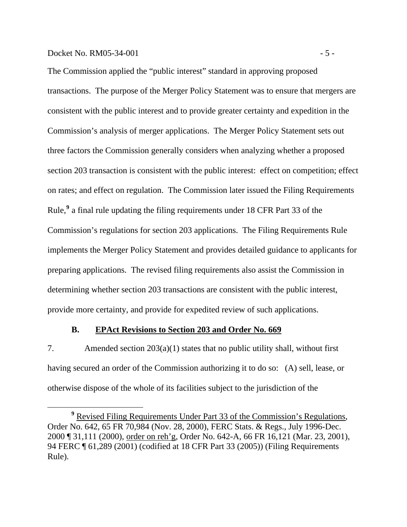#### <span id="page-7-0"></span> $Docke$ t No. RM05-34-001  $-5$  -

The Commission applied the "public interest" standard in approving proposed transactions. The purpose of the Merger Policy Statement was to ensure that mergers are consistent with the public interest and to provide greater certainty and expedition in the Commission's analysis of merger applications. The Merger Policy Statement sets out three factors the Commission generally considers when analyzing whether a proposed section 203 transaction is consistent with the public interest: effect on competition; effect on rates; and effect on regulation. The Commission later issued the Filing Requirements Rule,**[9](#page-7-1)** a final rule updating the filing requirements under 18 CFR Part 33 of the Commission's regulations for section 203 applications. The Filing Requirements Rule implements the Merger Policy Statement and provides detailed guidance to applicants for preparing applications. The revised filing requirements also assist the Commission in determining whether section 203 transactions are consistent with the public interest, provide more certainty, and provide for expedited review of such applications.

## **B. EPAct Revisions to Section 203 and Order No. 669**

7. Amended section 203(a)(1) states that no public utility shall, without first having secured an order of the Commission authorizing it to do so: (A) sell, lease, or otherwise dispose of the whole of its facilities subject to the jurisdiction of the

<span id="page-7-1"></span>**<sup>9</sup>** Revised Filing Requirements Under Part 33 of the Commission's Regulations, Order No. 642, 65 FR 70,984 (Nov. 28, 2000), FERC Stats. & Regs., July 1996-Dec. 2000 ¶ 31,111 (2000), order on reh'g, Order No. 642-A, 66 FR 16,121 (Mar. 23, 2001), 94 FERC ¶ 61,289 (2001) (codified at 18 CFR Part 33 (2005)) (Filing Requirements Rule).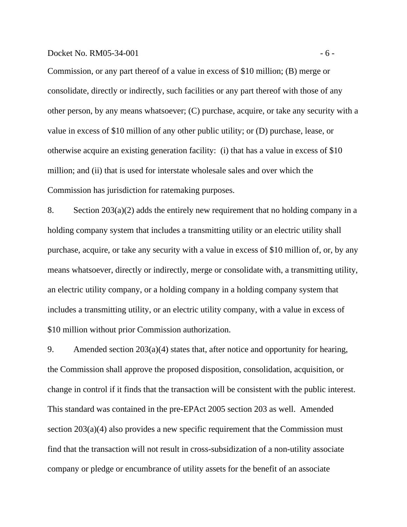#### Docket No.  $RM05-34-001$   $-6-$

Commission, or any part thereof of a value in excess of \$10 million; (B) merge or consolidate, directly or indirectly, such facilities or any part thereof with those of any other person, by any means whatsoever; (C) purchase, acquire, or take any security with a value in excess of \$10 million of any other public utility; or (D) purchase, lease, or otherwise acquire an existing generation facility: (i) that has a value in excess of \$10 million; and (ii) that is used for interstate wholesale sales and over which the Commission has jurisdiction for ratemaking purposes.

8. Section  $203(a)(2)$  adds the entirely new requirement that no holding company in a holding company system that includes a transmitting utility or an electric utility shall purchase, acquire, or take any security with a value in excess of \$10 million of, or, by any means whatsoever, directly or indirectly, merge or consolidate with, a transmitting utility, an electric utility company, or a holding company in a holding company system that includes a transmitting utility, or an electric utility company, with a value in excess of \$10 million without prior Commission authorization.

9. Amended section 203(a)(4) states that, after notice and opportunity for hearing, the Commission shall approve the proposed disposition, consolidation, acquisition, or change in control if it finds that the transaction will be consistent with the public interest. This standard was contained in the pre-EPAct 2005 section 203 as well. Amended section 203(a)(4) also provides a new specific requirement that the Commission must find that the transaction will not result in cross-subsidization of a non-utility associate company or pledge or encumbrance of utility assets for the benefit of an associate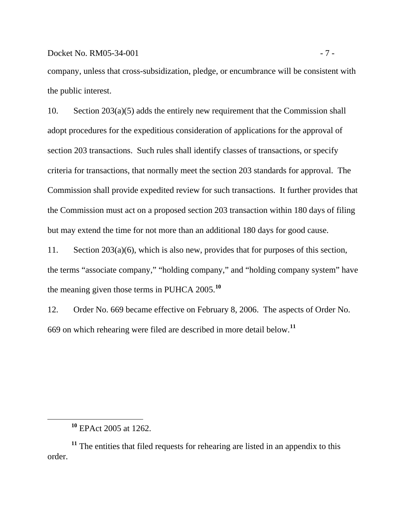company, unless that cross-subsidization, pledge, or encumbrance will be consistent with the public interest.

10. Section 203(a)(5) adds the entirely new requirement that the Commission shall adopt procedures for the expeditious consideration of applications for the approval of section 203 transactions. Such rules shall identify classes of transactions, or specify criteria for transactions, that normally meet the section 203 standards for approval. The Commission shall provide expedited review for such transactions. It further provides that the Commission must act on a proposed section 203 transaction within 180 days of filing but may extend the time for not more than an additional 180 days for good cause.

11. Section 203(a)(6), which is also new, provides that for purposes of this section, the terms "associate company," "holding company," and "holding company system" have the meaning given those terms in PUHCA 2005.**[10](#page-9-0)**

12. Order No. 669 became effective on February 8, 2006. The aspects of Order No. 669 on which rehearing were filed are described in more detail below.**[11](#page-9-1)**

<span id="page-9-0"></span> $\overline{a}$ 

**<sup>10</sup>** EPAct 2005 at 1262.

<span id="page-9-1"></span><sup>&</sup>lt;sup>11</sup> The entities that filed requests for rehearing are listed in an appendix to this order.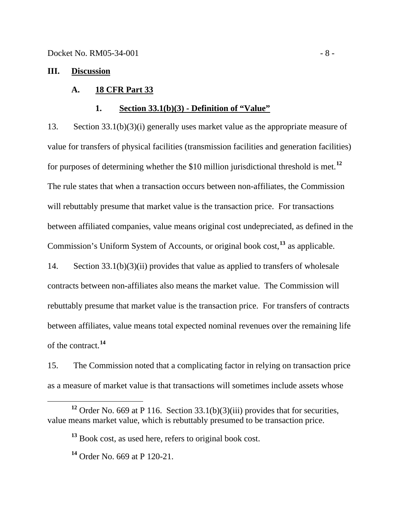#### <span id="page-10-0"></span>**III. Discussion**

#### **A. 18 CFR Part 33**

#### **1. Section 33.1(b)(3) - Definition of "Value"**

13. Section 33.1(b)(3)(i) generally uses market value as the appropriate measure of value for transfers of physical facilities (transmission facilities and generation facilities) for purposes of determining whether the \$10 million jurisdictional threshold is met.**[12](#page-10-1)** The rule states that when a transaction occurs between non-affiliates, the Commission will rebuttably presume that market value is the transaction price. For transactions between affiliated companies, value means original cost undepreciated, as defined in the Commission's Uniform System of Accounts, or original book cost,**[13](#page-10-2)** as applicable.

14. Section 33.1(b)(3)(ii) provides that value as applied to transfers of wholesale contracts between non-affiliates also means the market value. The Commission will rebuttably presume that market value is the transaction price. For transfers of contracts between affiliates, value means total expected nominal revenues over the remaining life of the contract.**[14](#page-10-3)**

15. The Commission noted that a complicating factor in relying on transaction price as a measure of market value is that transactions will sometimes include assets whose

<span id="page-10-3"></span><span id="page-10-2"></span><span id="page-10-1"></span>**<sup>12</sup>** Order No. 669 at P 116. Section 33.1(b)(3)(iii) provides that for securities, value means market value, which is rebuttably presumed to be transaction price.

**<sup>13</sup>** Book cost, as used here, refers to original book cost.

**<sup>14</sup>** Order No. 669 at P 120-21.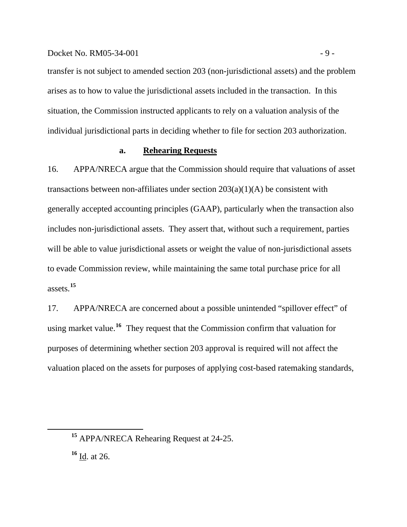#### Docket No. RM05-34-001 - 9 -

transfer is not subject to amended section 203 (non-jurisdictional assets) and the problem arises as to how to value the jurisdictional assets included in the transaction. In this situation, the Commission instructed applicants to rely on a valuation analysis of the individual jurisdictional parts in deciding whether to file for section 203 authorization.

#### **a. Rehearing Requests**

16. APPA/NRECA argue that the Commission should require that valuations of asset transactions between non-affiliates under section  $203(a)(1)(A)$  be consistent with generally accepted accounting principles (GAAP), particularly when the transaction also includes non-jurisdictional assets. They assert that, without such a requirement, parties will be able to value jurisdictional assets or weight the value of non-jurisdictional assets to evade Commission review, while maintaining the same total purchase price for all assets.**[15](#page-11-0)**

17. APPA/NRECA are concerned about a possible unintended "spillover effect" of using market value.**[16](#page-11-1)** They request that the Commission confirm that valuation for purposes of determining whether section 203 approval is required will not affect the valuation placed on the assets for purposes of applying cost-based ratemaking standards,

<span id="page-11-0"></span>**<sup>15</sup>** APPA/NRECA Rehearing Request at 24-25.

<span id="page-11-1"></span>**<sup>16</sup>** Id. at 26.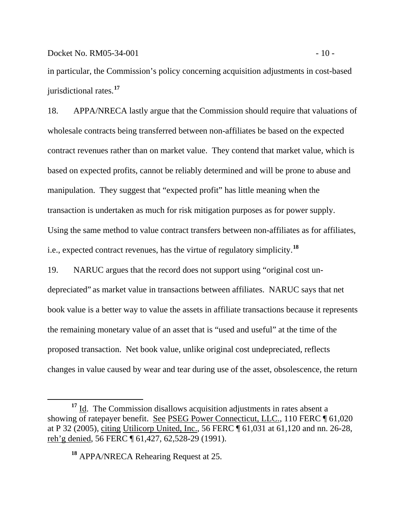in particular, the Commission's policy concerning acquisition adjustments in cost-based jurisdictional rates.**[17](#page-12-0)**

18. APPA/NRECA lastly argue that the Commission should require that valuations of wholesale contracts being transferred between non-affiliates be based on the expected contract revenues rather than on market value. They contend that market value, which is based on expected profits, cannot be reliably determined and will be prone to abuse and manipulation. They suggest that "expected profit" has little meaning when the transaction is undertaken as much for risk mitigation purposes as for power supply. Using the same method to value contract transfers between non-affiliates as for affiliates, i.e., expected contract revenues, has the virtue of regulatory simplicity.**[18](#page-12-1)**

19. NARUC argues that the record does not support using "original cost undepreciated" as market value in transactions between affiliates. NARUC says that net book value is a better way to value the assets in affiliate transactions because it represents the remaining monetary value of an asset that is "used and useful" at the time of the proposed transaction. Net book value, unlike original cost undepreciated, reflects changes in value caused by wear and tear during use of the asset, obsolescence, the return

 $\overline{a}$ 

<span id="page-12-1"></span><span id="page-12-0"></span><sup>&</sup>lt;sup>17</sup> Id. The Commission disallows acquisition adjustments in rates absent a showing of ratepayer benefit. See PSEG Power Connecticut, LLC., 110 FERC  $\P$  61,020 at P 32 (2005), citing Utilicorp United, Inc., 56 FERC ¶ 61,031 at 61,120 and nn. 26-28, reh'g denied, 56 FERC ¶ 61,427, 62,528-29 (1991).

**<sup>18</sup>** APPA/NRECA Rehearing Request at 25.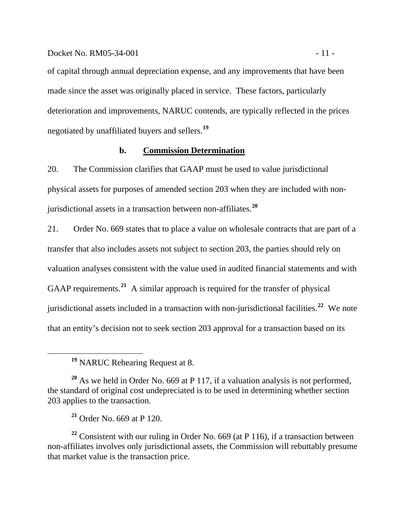#### Docket No. RM05-34-001 - 11 -

of capital through annual depreciation expense, and any improvements that have been made since the asset was originally placed in service. These factors, particularly deterioration and improvements, NARUC contends, are typically reflected in the prices negotiated by unaffiliated buyers and sellers.**[19](#page-13-0)**

#### **b. Commission Determination**

20. The Commission clarifies that GAAP must be used to value jurisdictional physical assets for purposes of amended section 203 when they are included with nonjurisdictional assets in a transaction between non-affiliates.**[20](#page-13-1)**

21. Order No. 669 states that to place a value on wholesale contracts that are part of a transfer that also includes assets not subject to section 203, the parties should rely on valuation analyses consistent with the value used in audited financial statements and with GAAP requirements.**[21](#page-13-2)** A similar approach is required for the transfer of physical jurisdictional assets included in a transaction with non-jurisdictional facilities.**[22](#page-13-3)** We note that an entity's decision not to seek section 203 approval for a transaction based on its

<span id="page-13-3"></span><span id="page-13-2"></span>**<sup>22</sup>** Consistent with our ruling in Order No. 669 (at P 116), if a transaction between non-affiliates involves only jurisdictional assets, the Commission will rebuttably presume that market value is the transaction price.

**<sup>19</sup>** NARUC Rehearing Request at 8.

<span id="page-13-1"></span><span id="page-13-0"></span>**<sup>20</sup>** As we held in Order No. 669 at P 117, if a valuation analysis is not performed, the standard of original cost undepreciated is to be used in determining whether section 203 applies to the transaction.

**<sup>21</sup>** Order No. 669 at P 120.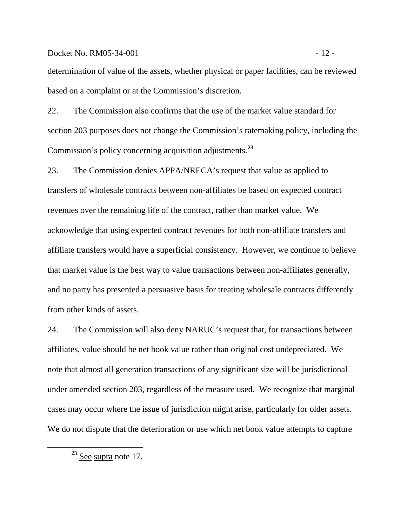#### Docket No. RM05-34-001 - 12 -

determination of value of the assets, whether physical or paper facilities, can be reviewed based on a complaint or at the Commission's discretion.

22. The Commission also confirms that the use of the market value standard for section 203 purposes does not change the Commission's ratemaking policy, including the Commission's policy concerning acquisition adjustments.**[23](#page-14-0)**

23. The Commission denies APPA/NRECA's request that value as applied to transfers of wholesale contracts between non-affiliates be based on expected contract revenues over the remaining life of the contract, rather than market value. We acknowledge that using expected contract revenues for both non-affiliate transfers and affiliate transfers would have a superficial consistency. However, we continue to believe that market value is the best way to value transactions between non-affiliates generally, and no party has presented a persuasive basis for treating wholesale contracts differently from other kinds of assets.

24. The Commission will also deny NARUC's request that, for transactions between affiliates, value should be net book value rather than original cost undepreciated. We note that almost all generation transactions of any significant size will be jurisdictional under amended section 203, regardless of the measure used. We recognize that marginal cases may occur where the issue of jurisdiction might arise, particularly for older assets. We do not dispute that the deterioration or use which net book value attempts to capture

<span id="page-14-0"></span> $\overline{a}$ 

**<sup>23</sup>** See supra note 17.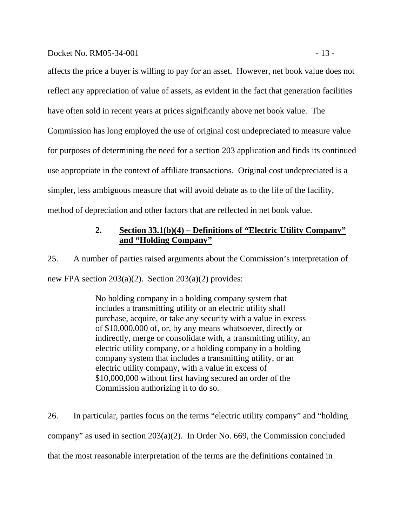#### <span id="page-15-0"></span>Docket No. RM05-34-001 - 13 -

affects the price a buyer is willing to pay for an asset. However, net book value does not reflect any appreciation of value of assets, as evident in the fact that generation facilities have often sold in recent years at prices significantly above net book value. The Commission has long employed the use of original cost undepreciated to measure value for purposes of determining the need for a section 203 application and finds its continued use appropriate in the context of affiliate transactions. Original cost undepreciated is a simpler, less ambiguous measure that will avoid debate as to the life of the facility, method of depreciation and other factors that are reflected in net book value.

## **2. Section 33.1(b)(4) – Definitions of "Electric Utility Company" and "Holding Company"**

25. A number of parties raised arguments about the Commission's interpretation of new FPA section  $203(a)(2)$ . Section  $203(a)(2)$  provides:

> No holding company in a holding company system that includes a transmitting utility or an electric utility shall purchase, acquire, or take any security with a value in excess of \$10,000,000 of, or, by any means whatsoever, directly or indirectly, merge or consolidate with, a transmitting utility, an electric utility company, or a holding company in a holding company system that includes a transmitting utility, or an electric utility company, with a value in excess of \$10,000,000 without first having secured an order of the Commission authorizing it to do so.

26. In particular, parties focus on the terms "electric utility company" and "holding company" as used in section 203(a)(2). In Order No. 669, the Commission concluded that the most reasonable interpretation of the terms are the definitions contained in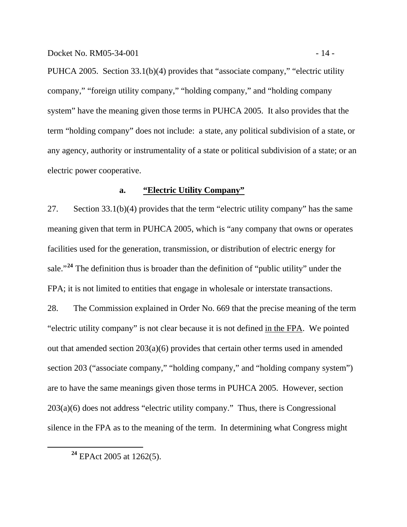PUHCA 2005. Section 33.1(b)(4) provides that "associate company," "electric utility company," "foreign utility company," "holding company," and "holding company system" have the meaning given those terms in PUHCA 2005. It also provides that the term "holding company" does not include: a state, any political subdivision of a state, or any agency, authority or instrumentality of a state or political subdivision of a state; or an electric power cooperative.

## **a. "Electric Utility Company"**

27. Section 33.1(b)(4) provides that the term "electric utility company" has the same meaning given that term in PUHCA 2005, which is "any company that owns or operates facilities used for the generation, transmission, or distribution of electric energy for sale."**[24](#page-16-0)** The definition thus is broader than the definition of "public utility" under the FPA; it is not limited to entities that engage in wholesale or interstate transactions.

28. The Commission explained in Order No. 669 that the precise meaning of the term "electric utility company" is not clear because it is not defined in the FPA. We pointed out that amended section 203(a)(6) provides that certain other terms used in amended section 203 ("associate company," "holding company," and "holding company system") are to have the same meanings given those terms in PUHCA 2005. However, section 203(a)(6) does not address "electric utility company." Thus, there is Congressional silence in the FPA as to the meaning of the term. In determining what Congress might

<span id="page-16-0"></span>**<sup>24</sup>** EPAct 2005 at 1262(5).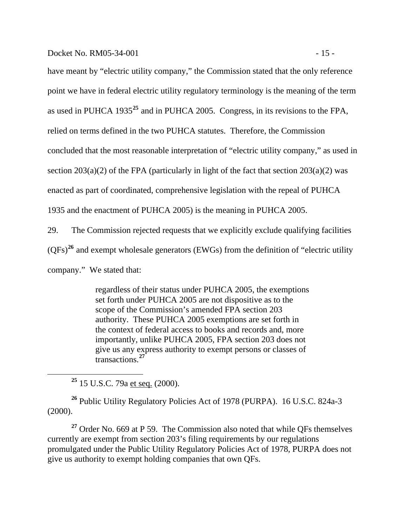Docket No. RM05-34-001 - 15 -

have meant by "electric utility company," the Commission stated that the only reference point we have in federal electric utility regulatory terminology is the meaning of the term as used in PUHCA 1935**[25](#page-17-0)** and in PUHCA 2005. Congress, in its revisions to the FPA, relied on terms defined in the two PUHCA statutes. Therefore, the Commission concluded that the most reasonable interpretation of "electric utility company," as used in section  $203(a)(2)$  of the FPA (particularly in light of the fact that section  $203(a)(2)$  was

enacted as part of coordinated, comprehensive legislation with the repeal of PUHCA

1935 and the enactment of PUHCA 2005) is the meaning in PUHCA 2005.

29. The Commission rejected requests that we explicitly exclude qualifying facilities  $(QFs)<sup>26</sup>$  $(QFs)<sup>26</sup>$  $(QFs)<sup>26</sup>$  and exempt wholesale generators (EWGs) from the definition of "electric utility company." We stated that:

> regardless of their status under PUHCA 2005, the exemptions set forth under PUHCA 2005 are not dispositive as to the scope of the Commission's amended FPA section 203 authority. These PUHCA 2005 exemptions are set forth in the context of federal access to books and records and, more importantly, unlike PUHCA 2005, FPA section 203 does not give us any express authority to exempt persons or classes of transactions.**[27](#page-17-2)**

**<sup>25</sup>** 15 U.S.C. 79a et seq. (2000).

<span id="page-17-0"></span> $\overline{a}$ 

<span id="page-17-1"></span>**<sup>26</sup>** Public Utility Regulatory Policies Act of 1978 (PURPA). 16 U.S.C. 824a-3 (2000).

<span id="page-17-2"></span>**<sup>27</sup>** Order No. 669 at P 59. The Commission also noted that while QFs themselves currently are exempt from section 203's filing requirements by our regulations promulgated under the Public Utility Regulatory Policies Act of 1978, PURPA does not give us authority to exempt holding companies that own QFs.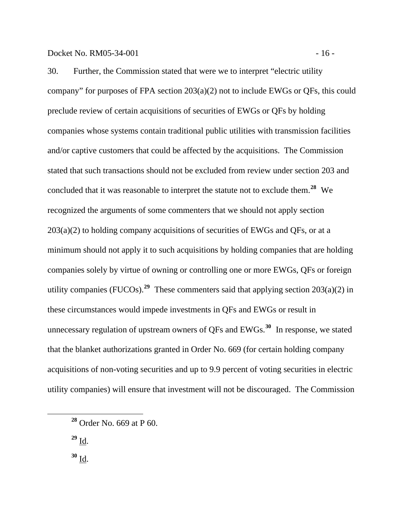30. Further, the Commission stated that were we to interpret "electric utility company" for purposes of FPA section 203(a)(2) not to include EWGs or QFs, this could preclude review of certain acquisitions of securities of EWGs or QFs by holding companies whose systems contain traditional public utilities with transmission facilities and/or captive customers that could be affected by the acquisitions. The Commission stated that such transactions should not be excluded from review under section 203 and concluded that it was reasonable to interpret the statute not to exclude them.**[28](#page-18-0)** We recognized the arguments of some commenters that we should not apply section  $203(a)(2)$  to holding company acquisitions of securities of EWGs and QFs, or at a minimum should not apply it to such acquisitions by holding companies that are holding companies solely by virtue of owning or controlling one or more EWGs, QFs or foreign utility companies (FUCOs).**[29](#page-18-1)** These commenters said that applying section 203(a)(2) in these circumstances would impede investments in QFs and EWGs or result in unnecessary regulation of upstream owners of QFs and EWGs.**[30](#page-18-2)** In response, we stated that the blanket authorizations granted in Order No. 669 (for certain holding company acquisitions of non-voting securities and up to 9.9 percent of voting securities in electric utility companies) will ensure that investment will not be discouraged. The Commission

 $^{29}$  <u>Id</u>.

<span id="page-18-2"></span><span id="page-18-1"></span><span id="page-18-0"></span> $\overline{a}$ 

 $30 \underline{\text{Id}}$ .

**<sup>28</sup>** Order No. 669 at P 60.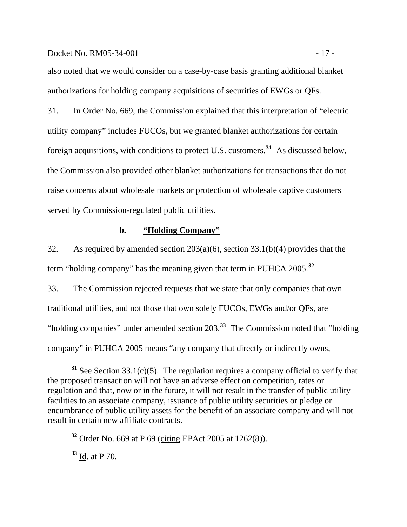#### Docket No. RM05-34-001 - 17 -

also noted that we would consider on a case-by-case basis granting additional blanket authorizations for holding company acquisitions of securities of EWGs or QFs.

31. In Order No. 669, the Commission explained that this interpretation of "electric utility company" includes FUCOs, but we granted blanket authorizations for certain foreign acquisitions, with conditions to protect U.S. customers.**[31](#page-19-0)** As discussed below, the Commission also provided other blanket authorizations for transactions that do not raise concerns about wholesale markets or protection of wholesale captive customers served by Commission-regulated public utilities.

#### **b. "Holding Company"**

32. As required by amended section 203(a)(6), section 33.1(b)(4) provides that the term "holding company" has the meaning given that term in PUHCA 2005.**[32](#page-19-1)**

33. The Commission rejected requests that we state that only companies that own traditional utilities, and not those that own solely FUCOs, EWGs and/or QFs, are "holding companies" under amended section 203.**[33](#page-19-2)** The Commission noted that "holding company" in PUHCA 2005 means "any company that directly or indirectly owns,

<span id="page-19-2"></span>**<sup>33</sup>** Id. at P 70.

<span id="page-19-0"></span>**<sup>31</sup>** See Section 33.1(c)(5). The regulation requires a company official to verify that the proposed transaction will not have an adverse effect on competition, rates or regulation and that, now or in the future, it will not result in the transfer of public utility facilities to an associate company, issuance of public utility securities or pledge or encumbrance of public utility assets for the benefit of an associate company and will not result in certain new affiliate contracts.

<span id="page-19-1"></span>**<sup>32</sup>** Order No. 669 at P 69 (citing EPAct 2005 at 1262(8)).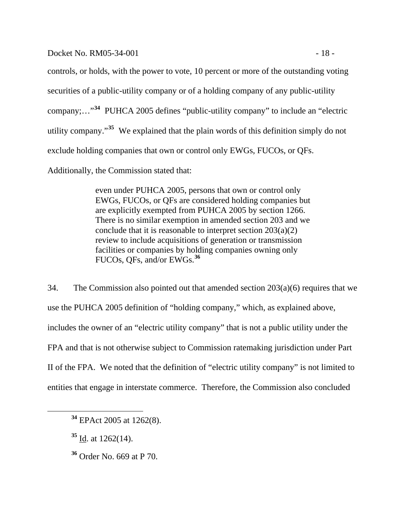Docket No. RM05-34-001 - 18 -

controls, or holds, with the power to vote, 10 percent or more of the outstanding voting securities of a public-utility company or of a holding company of any public-utility company;…"**[34](#page-20-0)** PUHCA 2005 defines "public-utility company" to include an "electric utility company."**[35](#page-20-1)** We explained that the plain words of this definition simply do not exclude holding companies that own or control only EWGs, FUCOs, or QFs.

Additionally, the Commission stated that:

even under PUHCA 2005, persons that own or control only EWGs, FUCOs, or QFs are considered holding companies but are explicitly exempted from PUHCA 2005 by section 1266. There is no similar exemption in amended section 203 and we conclude that it is reasonable to interpret section 203(a)(2) review to include acquisitions of generation or transmission facilities or companies by holding companies owning only FUCOs, QFs, and/or EWGs.**[36](#page-20-2)**

34. The Commission also pointed out that amended section  $203(a)(6)$  requires that we use the PUHCA 2005 definition of "holding company," which, as explained above, includes the owner of an "electric utility company" that is not a public utility under the FPA and that is not otherwise subject to Commission ratemaking jurisdiction under Part II of the FPA. We noted that the definition of "electric utility company" is not limited to entities that engage in interstate commerce. Therefore, the Commission also concluded

<span id="page-20-2"></span><span id="page-20-1"></span><span id="page-20-0"></span> $\overline{a}$ 

**<sup>34</sup>** EPAct 2005 at 1262(8).

**<sup>35</sup>** Id. at 1262(14).

**<sup>36</sup>** Order No. 669 at P 70.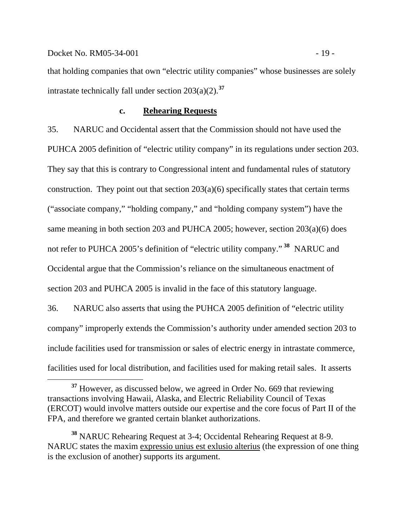that holding companies that own "electric utility companies" whose businesses are solely intrastate technically fall under section  $203(a)(2)$ .<sup>[37](#page-21-0)</sup>

#### **c. Rehearing Requests**

35. NARUC and Occidental assert that the Commission should not have used the PUHCA 2005 definition of "electric utility company" in its regulations under section 203. They say that this is contrary to Congressional intent and fundamental rules of statutory construction. They point out that section  $203(a)(6)$  specifically states that certain terms ("associate company," "holding company," and "holding company system") have the same meaning in both section 203 and PUHCA 2005; however, section 203(a)(6) does not refer to PUHCA 2005's definition of "electric utility company." **[38](#page-21-1)** NARUC and Occidental argue that the Commission's reliance on the simultaneous enactment of section 203 and PUHCA 2005 is invalid in the face of this statutory language.

36. NARUC also asserts that using the PUHCA 2005 definition of "electric utility company" improperly extends the Commission's authority under amended section 203 to include facilities used for transmission or sales of electric energy in intrastate commerce, facilities used for local distribution, and facilities used for making retail sales. It asserts

<span id="page-21-0"></span><sup>&</sup>lt;sup>37</sup> However, as discussed below, we agreed in Order No. 669 that reviewing transactions involving Hawaii, Alaska, and Electric Reliability Council of Texas (ERCOT) would involve matters outside our expertise and the core focus of Part II of the FPA, and therefore we granted certain blanket authorizations.

<span id="page-21-1"></span>**<sup>38</sup>** NARUC Rehearing Request at 3-4; Occidental Rehearing Request at 8-9. NARUC states the maxim expressio unius est exlusio alterius (the expression of one thing is the exclusion of another) supports its argument.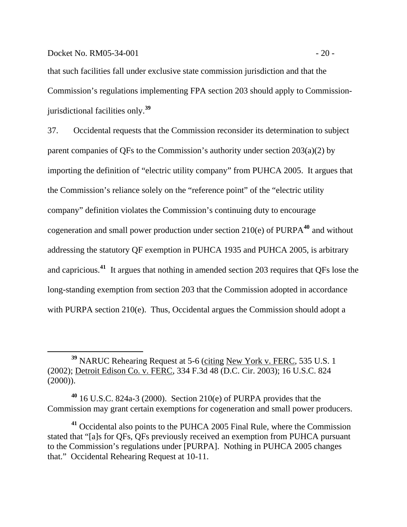$\overline{a}$ 

that such facilities fall under exclusive state commission jurisdiction and that the Commission's regulations implementing FPA section 203 should apply to Commissionjurisdictional facilities only.**[39](#page-22-0)**

37. Occidental requests that the Commission reconsider its determination to subject parent companies of QFs to the Commission's authority under section 203(a)(2) by importing the definition of "electric utility company" from PUHCA 2005. It argues that the Commission's reliance solely on the "reference point" of the "electric utility company" definition violates the Commission's continuing duty to encourage cogeneration and small power production under section 210(e) of PURPA**[40](#page-22-1)** and without addressing the statutory QF exemption in PUHCA 1935 and PUHCA 2005, is arbitrary and capricious.**[41](#page-22-2)** It argues that nothing in amended section 203 requires that QFs lose the long-standing exemption from section 203 that the Commission adopted in accordance with PURPA section 210(e). Thus, Occidental argues the Commission should adopt a

<span id="page-22-0"></span>**<sup>39</sup>** NARUC Rehearing Request at 5-6 (citing New York v. FERC, 535 U.S. 1 (2002); Detroit Edison Co. v. FERC, 334 F.3d 48 (D.C. Cir. 2003); 16 U.S.C. 824  $(2000)$ ).

<span id="page-22-1"></span>**<sup>40</sup>** 16 U.S.C. 824a-3 (2000). Section 210(e) of PURPA provides that the Commission may grant certain exemptions for cogeneration and small power producers.

<span id="page-22-2"></span>**<sup>41</sup>** Occidental also points to the PUHCA 2005 Final Rule, where the Commission stated that "[a]s for QFs, QFs previously received an exemption from PUHCA pursuant to the Commission's regulations under [PURPA]. Nothing in PUHCA 2005 changes that." Occidental Rehearing Request at 10-11.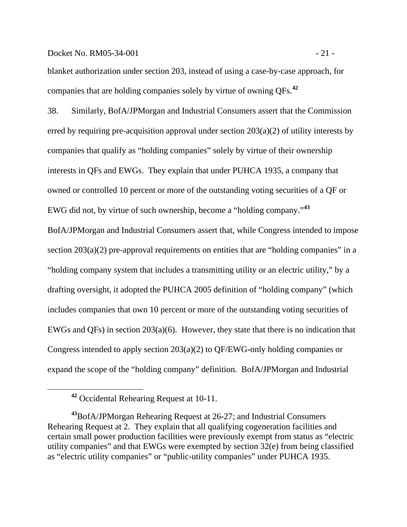#### Docket No. RM05-34-001 - 21 -

blanket authorization under section 203, instead of using a case-by-case approach, for companies that are holding companies solely by virtue of owning QFs.**[42](#page-23-0)**

38. Similarly, BofA/JPMorgan and Industrial Consumers assert that the Commission erred by requiring pre-acquisition approval under section 203(a)(2) of utility interests by companies that qualify as "holding companies" solely by virtue of their ownership interests in QFs and EWGs. They explain that under PUHCA 1935, a company that owned or controlled 10 percent or more of the outstanding voting securities of a QF or EWG did not, by virtue of such ownership, become a "holding company."**[43](#page-23-1)**

BofA/JPMorgan and Industrial Consumers assert that, while Congress intended to impose section  $203(a)(2)$  pre-approval requirements on entities that are "holding companies" in a "holding company system that includes a transmitting utility or an electric utility," by a drafting oversight, it adopted the PUHCA 2005 definition of "holding company" (which includes companies that own 10 percent or more of the outstanding voting securities of EWGs and QFs) in section 203(a)(6). However, they state that there is no indication that Congress intended to apply section 203(a)(2) to QF/EWG-only holding companies or expand the scope of the "holding company" definition. BofA/JPMorgan and Industrial

<span id="page-23-0"></span> $\overline{a}$ 

**<sup>42</sup>** Occidental Rehearing Request at 10-11.

<span id="page-23-1"></span>**<sup>43</sup>**BofA/JPMorgan Rehearing Request at 26-27; and Industrial Consumers Rehearing Request at 2. They explain that all qualifying cogeneration facilities and certain small power production facilities were previously exempt from status as "electric utility companies" and that EWGs were exempted by section 32(e) from being classified as "electric utility companies" or "public-utility companies" under PUHCA 1935.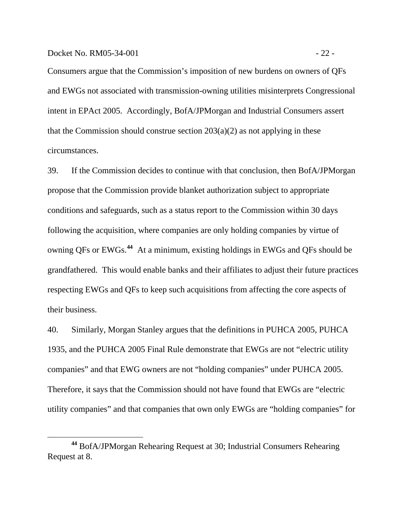$\overline{a}$ 

Consumers argue that the Commission's imposition of new burdens on owners of QFs and EWGs not associated with transmission-owning utilities misinterprets Congressional intent in EPAct 2005. Accordingly, BofA/JPMorgan and Industrial Consumers assert that the Commission should construe section  $203(a)(2)$  as not applying in these circumstances.

39. If the Commission decides to continue with that conclusion, then BofA/JPMorgan propose that the Commission provide blanket authorization subject to appropriate conditions and safeguards, such as a status report to the Commission within 30 days following the acquisition, where companies are only holding companies by virtue of owning QFs or EWGs.**[44](#page-24-0)** At a minimum, existing holdings in EWGs and QFs should be grandfathered. This would enable banks and their affiliates to adjust their future practices respecting EWGs and QFs to keep such acquisitions from affecting the core aspects of their business.

40. Similarly, Morgan Stanley argues that the definitions in PUHCA 2005, PUHCA 1935, and the PUHCA 2005 Final Rule demonstrate that EWGs are not "electric utility companies" and that EWG owners are not "holding companies" under PUHCA 2005. Therefore, it says that the Commission should not have found that EWGs are "electric utility companies" and that companies that own only EWGs are "holding companies" for

<span id="page-24-0"></span>**<sup>44</sup>** BofA/JPMorgan Rehearing Request at 30; Industrial Consumers Rehearing Request at 8.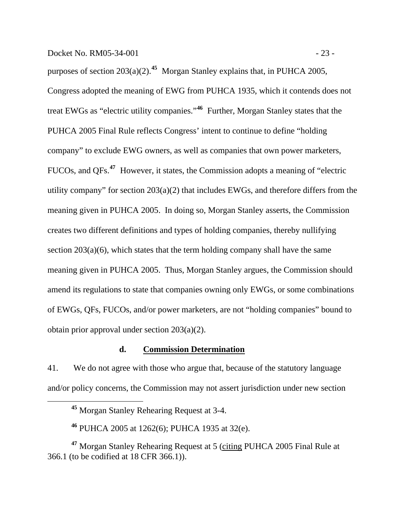purposes of section  $203(a)(2)$ .<sup>[45](#page-25-0)</sup> Morgan Stanley explains that, in PUHCA 2005, Congress adopted the meaning of EWG from PUHCA 1935, which it contends does not treat EWGs as "electric utility companies."**[46](#page-25-1)** Further, Morgan Stanley states that the PUHCA 2005 Final Rule reflects Congress' intent to continue to define "holding company" to exclude EWG owners, as well as companies that own power marketers, FUCOs, and QFs.**[47](#page-25-2)** However, it states, the Commission adopts a meaning of "electric utility company" for section 203(a)(2) that includes EWGs, and therefore differs from the meaning given in PUHCA 2005. In doing so, Morgan Stanley asserts, the Commission creates two different definitions and types of holding companies, thereby nullifying section 203(a)(6), which states that the term holding company shall have the same meaning given in PUHCA 2005. Thus, Morgan Stanley argues, the Commission should amend its regulations to state that companies owning only EWGs, or some combinations of EWGs, QFs, FUCOs, and/or power marketers, are not "holding companies" bound to obtain prior approval under section 203(a)(2).

#### **d. Commission Determination**

41. We do not agree with those who argue that, because of the statutory language and/or policy concerns, the Commission may not assert jurisdiction under new section

**<sup>45</sup>** Morgan Stanley Rehearing Request at 3-4.

**<sup>46</sup>** PUHCA 2005 at 1262(6); PUHCA 1935 at 32(e).

<span id="page-25-2"></span><span id="page-25-1"></span><span id="page-25-0"></span>**<sup>47</sup>** Morgan Stanley Rehearing Request at 5 (citing PUHCA 2005 Final Rule at 366.1 (to be codified at 18 CFR 366.1)).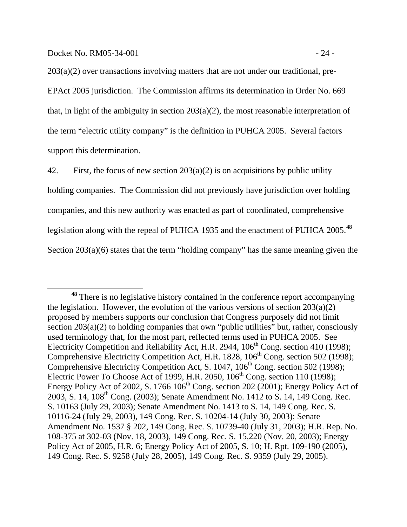$\overline{a}$ 

203(a)(2) over transactions involving matters that are not under our traditional, pre-EPAct 2005 jurisdiction. The Commission affirms its determination in Order No. 669 that, in light of the ambiguity in section 203(a)(2), the most reasonable interpretation of the term "electric utility company" is the definition in PUHCA 2005. Several factors support this determination.

42. First, the focus of new section  $203(a)(2)$  is on acquisitions by public utility holding companies. The Commission did not previously have jurisdiction over holding companies, and this new authority was enacted as part of coordinated, comprehensive legislation along with the repeal of PUHCA 1935 and the enactment of PUHCA 2005.**[48](#page-26-0)** Section 203(a)(6) states that the term "holding company" has the same meaning given the

<span id="page-26-0"></span>**<sup>48</sup>** There is no legislative history contained in the conference report accompanying the legislation. However, the evolution of the various versions of section  $203(a)(2)$ proposed by members supports our conclusion that Congress purposely did not limit section 203(a)(2) to holding companies that own "public utilities" but, rather, consciously used terminology that, for the most part, reflected terms used in PUHCA 2005. See Electricity Competition and Reliability Act, H.R. 2944, 106<sup>th</sup> Cong. section 410 (1998); Comprehensive Electricity Competition Act, H.R. 1828,  $106<sup>th</sup>$  Cong. section 502 (1998); Comprehensive Electricity Competition Act, S. 1047, 106<sup>th</sup> Cong. section 502 (1998); Electric Power To Choose Act of 1999, H.R. 2050,  $106<sup>th</sup>$  Cong. section 110 (1998); Energy Policy Act of 2002, S. 1766  $106<sup>th</sup>$  Cong. section 202 (2001); Energy Policy Act of 2003, S. 14, 108<sup>th</sup> Cong. (2003); Senate Amendment No. 1412 to S. 14, 149 Cong. Rec. S. 10163 (July 29, 2003); Senate Amendment No. 1413 to S. 14, 149 Cong. Rec. S. 10116-24 (July 29, 2003), 149 Cong. Rec. S. 10204-14 (July 30, 2003); Senate Amendment No. 1537 § 202, 149 Cong. Rec. S. 10739-40 (July 31, 2003); H.R. Rep. No. 108-375 at 302-03 (Nov. 18, 2003), 149 Cong. Rec. S. 15,220 (Nov. 20, 2003); Energy Policy Act of 2005, H.R. 6; Energy Policy Act of 2005, S. 10; H. Rpt. 109-190 (2005), 149 Cong. Rec. S. 9258 (July 28, 2005), 149 Cong. Rec. S. 9359 (July 29, 2005).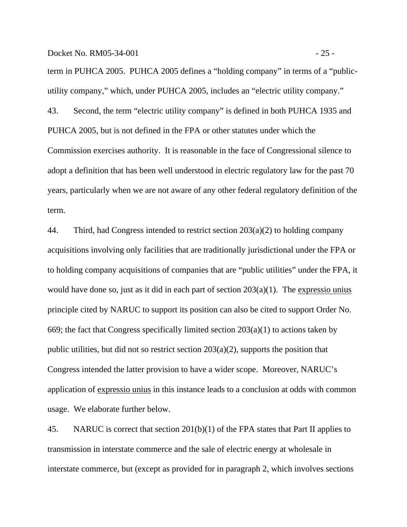Docket No. RM05-34-001 - 25 -

term in PUHCA 2005. PUHCA 2005 defines a "holding company" in terms of a "publicutility company," which, under PUHCA 2005, includes an "electric utility company." 43. Second, the term "electric utility company" is defined in both PUHCA 1935 and PUHCA 2005, but is not defined in the FPA or other statutes under which the Commission exercises authority. It is reasonable in the face of Congressional silence to adopt a definition that has been well understood in electric regulatory law for the past 70 years, particularly when we are not aware of any other federal regulatory definition of the term.

44. Third, had Congress intended to restrict section  $203(a)(2)$  to holding company acquisitions involving only facilities that are traditionally jurisdictional under the FPA or to holding company acquisitions of companies that are "public utilities" under the FPA, it would have done so, just as it did in each part of section  $203(a)(1)$ . The expressio unius principle cited by NARUC to support its position can also be cited to support Order No. 669; the fact that Congress specifically limited section  $203(a)(1)$  to actions taken by public utilities, but did not so restrict section 203(a)(2), supports the position that Congress intended the latter provision to have a wider scope. Moreover, NARUC's application of expressio unius in this instance leads to a conclusion at odds with common usage. We elaborate further below.

45. NARUC is correct that section 201(b)(1) of the FPA states that Part II applies to transmission in interstate commerce and the sale of electric energy at wholesale in interstate commerce, but (except as provided for in paragraph 2, which involves sections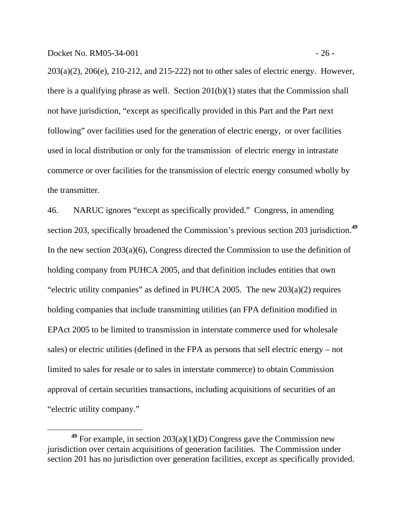$\overline{a}$ 

203(a)(2), 206(e), 210-212, and 215-222) not to other sales of electric energy. However, there is a qualifying phrase as well. Section 201(b)(1) states that the Commission shall not have jurisdiction, "except as specifically provided in this Part and the Part next following" over facilities used for the generation of electric energy, or over facilities used in local distribution or only for the transmission of electric energy in intrastate commerce or over facilities for the transmission of electric energy consumed wholly by the transmitter.

46. NARUC ignores "except as specifically provided." Congress, in amending section 203, specifically broadened the Commission's previous section 203 jurisdiction.**[49](#page-28-0)** In the new section 203(a)(6), Congress directed the Commission to use the definition of holding company from PUHCA 2005, and that definition includes entities that own "electric utility companies" as defined in PUHCA 2005. The new  $203(a)(2)$  requires holding companies that include transmitting utilities (an FPA definition modified in EPAct 2005 to be limited to transmission in interstate commerce used for wholesale sales) or electric utilities (defined in the FPA as persons that sell electric energy – not limited to sales for resale or to sales in interstate commerce) to obtain Commission approval of certain securities transactions, including acquisitions of securities of an "electric utility company."

<span id="page-28-0"></span>**<sup>49</sup>** For example, in section 203(a)(1)(D) Congress gave the Commission new jurisdiction over certain acquisitions of generation facilities. The Commission under section 201 has no jurisdiction over generation facilities, except as specifically provided.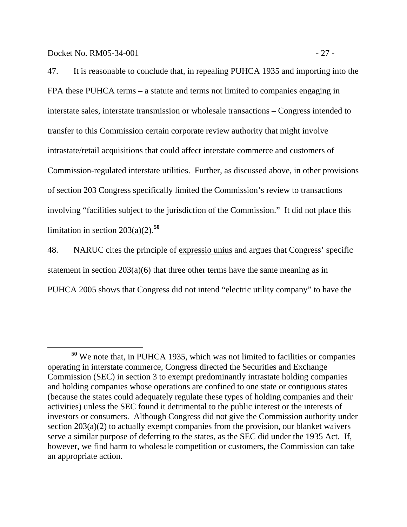Docket No. RM05-34-001 - 27 -

47. It is reasonable to conclude that, in repealing PUHCA 1935 and importing into the FPA these PUHCA terms – a statute and terms not limited to companies engaging in interstate sales, interstate transmission or wholesale transactions – Congress intended to transfer to this Commission certain corporate review authority that might involve intrastate/retail acquisitions that could affect interstate commerce and customers of Commission-regulated interstate utilities. Further, as discussed above, in other provisions of section 203 Congress specifically limited the Commission's review to transactions involving "facilities subject to the jurisdiction of the Commission." It did not place this limitation in section  $203(a)(2)$ .<sup>[50](#page-29-0)</sup>

48. NARUC cites the principle of expressio unius and argues that Congress' specific statement in section 203(a)(6) that three other terms have the same meaning as in PUHCA 2005 shows that Congress did not intend "electric utility company" to have the

<span id="page-29-0"></span>**<sup>50</sup>** We note that, in PUHCA 1935, which was not limited to facilities or companies operating in interstate commerce, Congress directed the Securities and Exchange Commission (SEC) in section 3 to exempt predominantly intrastate holding companies and holding companies whose operations are confined to one state or contiguous states (because the states could adequately regulate these types of holding companies and their activities) unless the SEC found it detrimental to the public interest or the interests of investors or consumers. Although Congress did not give the Commission authority under section 203(a)(2) to actually exempt companies from the provision, our blanket waivers serve a similar purpose of deferring to the states, as the SEC did under the 1935 Act. If, however, we find harm to wholesale competition or customers, the Commission can take an appropriate action.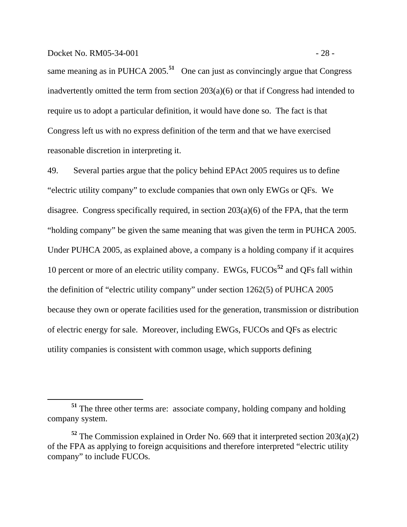#### Docket No. RM05-34-001 - 28 -

 $\overline{a}$ 

same meaning as in PUHCA 2005.<sup>[51](#page-30-0)</sup> One can just as convincingly argue that Congress inadvertently omitted the term from section 203(a)(6) or that if Congress had intended to require us to adopt a particular definition, it would have done so. The fact is that Congress left us with no express definition of the term and that we have exercised reasonable discretion in interpreting it.

49. Several parties argue that the policy behind EPAct 2005 requires us to define "electric utility company" to exclude companies that own only EWGs or QFs. We disagree. Congress specifically required, in section 203(a)(6) of the FPA, that the term "holding company" be given the same meaning that was given the term in PUHCA 2005. Under PUHCA 2005, as explained above, a company is a holding company if it acquires 10 percent or more of an electric utility company. EWGs, FUCOs**[52](#page-30-1)** and QFs fall within the definition of "electric utility company" under section 1262(5) of PUHCA 2005 because they own or operate facilities used for the generation, transmission or distribution of electric energy for sale. Moreover, including EWGs, FUCOs and QFs as electric utility companies is consistent with common usage, which supports defining

<span id="page-30-0"></span>**<sup>51</sup>** The three other terms are: associate company, holding company and holding company system.

<span id="page-30-1"></span>**<sup>52</sup>** The Commission explained in Order No. 669 that it interpreted section 203(a)(2) of the FPA as applying to foreign acquisitions and therefore interpreted "electric utility company" to include FUCOs.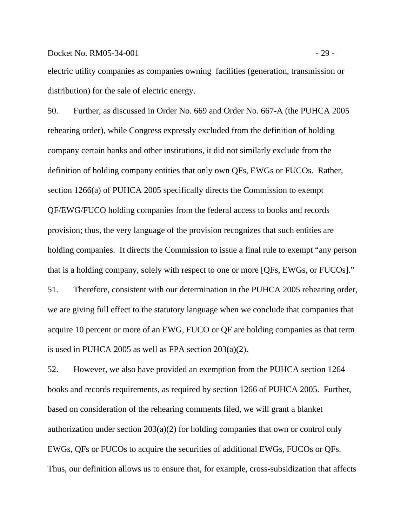#### Docket No. RM05-34-001 - 29 -

electric utility companies as companies owning facilities (generation, transmission or distribution) for the sale of electric energy.

50. Further, as discussed in Order No. 669 and Order No. 667-A (the PUHCA 2005 rehearing order), while Congress expressly excluded from the definition of holding company certain banks and other institutions, it did not similarly exclude from the definition of holding company entities that only own QFs, EWGs or FUCOs. Rather, section 1266(a) of PUHCA 2005 specifically directs the Commission to exempt QF/EWG/FUCO holding companies from the federal access to books and records provision; thus, the very language of the provision recognizes that such entities are holding companies. It directs the Commission to issue a final rule to exempt "any person that is a holding company, solely with respect to one or more [QFs, EWGs, or FUCOs]."

51. Therefore, consistent with our determination in the PUHCA 2005 rehearing order, we are giving full effect to the statutory language when we conclude that companies that acquire 10 percent or more of an EWG, FUCO or QF are holding companies as that term is used in PUHCA 2005 as well as FPA section  $203(a)(2)$ .

52. However, we also have provided an exemption from the PUHCA section 1264 books and records requirements, as required by section 1266 of PUHCA 2005. Further, based on consideration of the rehearing comments filed, we will grant a blanket authorization under section 203(a)(2) for holding companies that own or control only EWGs, QFs or FUCOs to acquire the securities of additional EWGs, FUCOs or QFs. Thus, our definition allows us to ensure that, for example, cross-subsidization that affects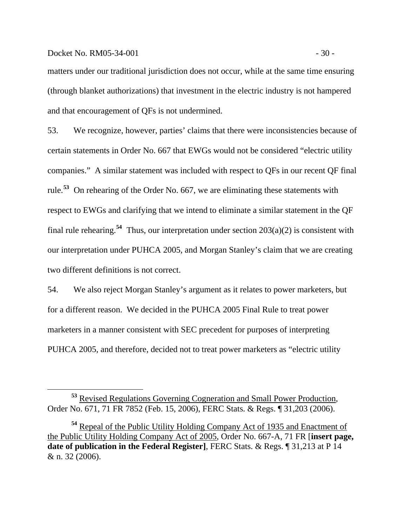#### Docket No. RM05-34-001 - 30 -

 $\overline{a}$ 

matters under our traditional jurisdiction does not occur, while at the same time ensuring (through blanket authorizations) that investment in the electric industry is not hampered and that encouragement of QFs is not undermined.

53. We recognize, however, parties' claims that there were inconsistencies because of certain statements in Order No. 667 that EWGs would not be considered "electric utility companies." A similar statement was included with respect to QFs in our recent QF final rule.**[53](#page-32-0)** On rehearing of the Order No. 667, we are eliminating these statements with respect to EWGs and clarifying that we intend to eliminate a similar statement in the QF final rule rehearing.<sup>[54](#page-32-1)</sup> Thus, our interpretation under section  $203(a)(2)$  is consistent with our interpretation under PUHCA 2005, and Morgan Stanley's claim that we are creating two different definitions is not correct.

54. We also reject Morgan Stanley's argument as it relates to power marketers, but for a different reason. We decided in the PUHCA 2005 Final Rule to treat power marketers in a manner consistent with SEC precedent for purposes of interpreting PUHCA 2005, and therefore, decided not to treat power marketers as "electric utility

<span id="page-32-0"></span>**<sup>53</sup>** Revised Regulations Governing Cogneration and Small Power Production*,* Order No. 671, 71 FR 7852 (Feb. 15, 2006), FERC Stats. & Regs. ¶ 31,203 (2006).

<span id="page-32-1"></span>**<sup>54</sup>** Repeal of the Public Utility Holding Company Act of 1935 and Enactment of the Public Utility Holding Company Act of 2005, Order No. 667-A, 71 FR [**insert page, date of publication in the Federal Register]**, FERC Stats. & Regs. ¶ 31,213 at P 14 & n. 32 (2006).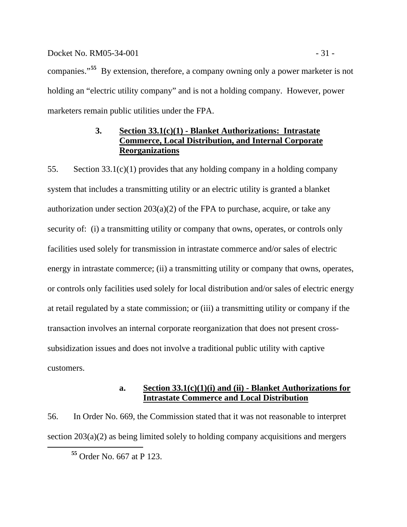#### <span id="page-33-0"></span>Docket No. RM05-34-001 - 31 -

companies."**[55](#page-33-1)** By extension, therefore, a company owning only a power marketer is not holding an "electric utility company" and is not a holding company. However, power marketers remain public utilities under the FPA.

## **3. Section 33.1(c)(1) - Blanket Authorizations: Intrastate Commerce, Local Distribution, and Internal Corporate Reorganizations**

55. Section 33.1(c)(1) provides that any holding company in a holding company system that includes a transmitting utility or an electric utility is granted a blanket authorization under section  $203(a)(2)$  of the FPA to purchase, acquire, or take any security of: (i) a transmitting utility or company that owns, operates, or controls only facilities used solely for transmission in intrastate commerce and/or sales of electric energy in intrastate commerce; (ii) a transmitting utility or company that owns, operates, or controls only facilities used solely for local distribution and/or sales of electric energy at retail regulated by a state commission; or (iii) a transmitting utility or company if the transaction involves an internal corporate reorganization that does not present crosssubsidization issues and does not involve a traditional public utility with captive customers.

## **a. Section 33.1(c)(1)(i) and (ii) - Blanket Authorizations for Intrastate Commerce and Local Distribution**

<span id="page-33-1"></span>56. In Order No. 669, the Commission stated that it was not reasonable to interpret section 203(a)(2) as being limited solely to holding company acquisitions and mergers

**<sup>55</sup>** Order No. 667 at P 123.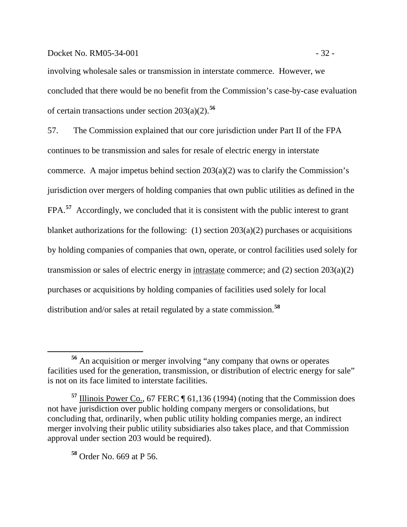#### Docket No. RM05-34-001 - 32 -

involving wholesale sales or transmission in interstate commerce. However, we concluded that there would be no benefit from the Commission's case-by-case evaluation of certain transactions under section 203(a)(2).**[56](#page-34-0)**

57. The Commission explained that our core jurisdiction under Part II of the FPA continues to be transmission and sales for resale of electric energy in interstate commerce. A major impetus behind section  $203(a)(2)$  was to clarify the Commission's jurisdiction over mergers of holding companies that own public utilities as defined in the FPA.<sup>[57](#page-34-1)</sup> Accordingly, we concluded that it is consistent with the public interest to grant blanket authorizations for the following: (1) section  $203(a)(2)$  purchases or acquisitions by holding companies of companies that own, operate, or control facilities used solely for transmission or sales of electric energy in intrastate commerce; and (2) section 203(a)(2) purchases or acquisitions by holding companies of facilities used solely for local distribution and/or sales at retail regulated by a state commission.**[58](#page-34-2)**

<span id="page-34-2"></span>**<sup>58</sup>** Order No. 669 at P 56.

<span id="page-34-0"></span>**<sup>56</sup>** An acquisition or merger involving "any company that owns or operates facilities used for the generation, transmission, or distribution of electric energy for sale" is not on its face limited to interstate facilities.

<span id="page-34-1"></span>**<sup>57</sup>** Illinois Power Co., 67 FERC ¶ 61,136 (1994) (noting that the Commission does not have jurisdiction over public holding company mergers or consolidations, but concluding that, ordinarily, when public utility holding companies merge, an indirect merger involving their public utility subsidiaries also takes place, and that Commission approval under section 203 would be required).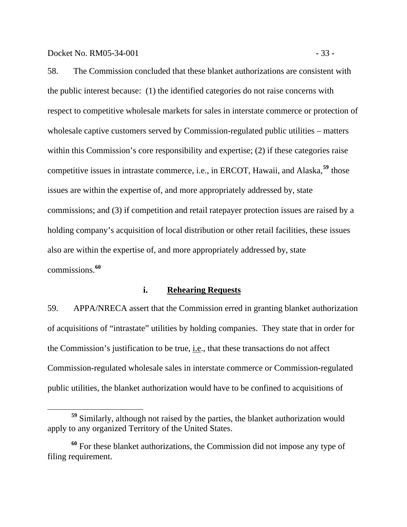58. The Commission concluded that these blanket authorizations are consistent with the public interest because: (1) the identified categories do not raise concerns with respect to competitive wholesale markets for sales in interstate commerce or protection of wholesale captive customers served by Commission-regulated public utilities – matters within this Commission's core responsibility and expertise; (2) if these categories raise competitive issues in intrastate commerce, i.e., in ERCOT, Hawaii, and Alaska,**[59](#page-35-0)** those issues are within the expertise of, and more appropriately addressed by, state commissions; and (3) if competition and retail ratepayer protection issues are raised by a holding company's acquisition of local distribution or other retail facilities, these issues also are within the expertise of, and more appropriately addressed by, state commissions.**[60](#page-35-1)**

#### **i. Rehearing Requests**

59. APPA/NRECA assert that the Commission erred in granting blanket authorization of acquisitions of "intrastate" utilities by holding companies. They state that in order for the Commission's justification to be true, i.e., that these transactions do not affect Commission-regulated wholesale sales in interstate commerce or Commission-regulated public utilities, the blanket authorization would have to be confined to acquisitions of

<span id="page-35-0"></span>**<sup>59</sup>** Similarly, although not raised by the parties, the blanket authorization would apply to any organized Territory of the United States.

<span id="page-35-1"></span>**<sup>60</sup>** For these blanket authorizations, the Commission did not impose any type of filing requirement.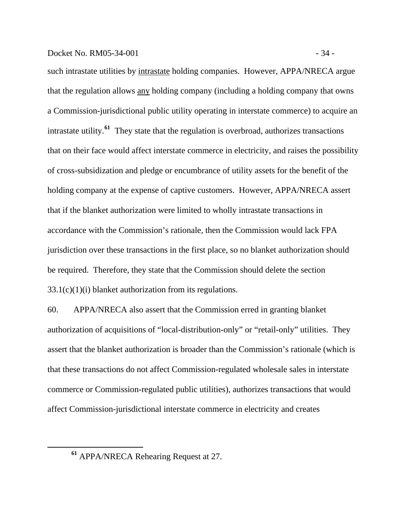### Docket No. RM05-34-001 - 34 -

such intrastate utilities by intrastate holding companies. However, APPA/NRECA argue that the regulation allows any holding company (including a holding company that owns a Commission-jurisdictional public utility operating in interstate commerce) to acquire an intrastate utility.**[61](#page-36-0)** They state that the regulation is overbroad, authorizes transactions that on their face would affect interstate commerce in electricity, and raises the possibility of cross-subsidization and pledge or encumbrance of utility assets for the benefit of the holding company at the expense of captive customers. However, APPA/NRECA assert that if the blanket authorization were limited to wholly intrastate transactions in accordance with the Commission's rationale, then the Commission would lack FPA jurisdiction over these transactions in the first place, so no blanket authorization should be required. Therefore, they state that the Commission should delete the section  $33.1(c)(1)(i)$  blanket authorization from its regulations.

60. APPA/NRECA also assert that the Commission erred in granting blanket authorization of acquisitions of "local-distribution-only" or "retail-only" utilities. They assert that the blanket authorization is broader than the Commission's rationale (which is that these transactions do not affect Commission-regulated wholesale sales in interstate commerce or Commission-regulated public utilities), authorizes transactions that would affect Commission-jurisdictional interstate commerce in electricity and creates

<span id="page-36-0"></span>**<sup>61</sup>** APPA/NRECA Rehearing Request at 27.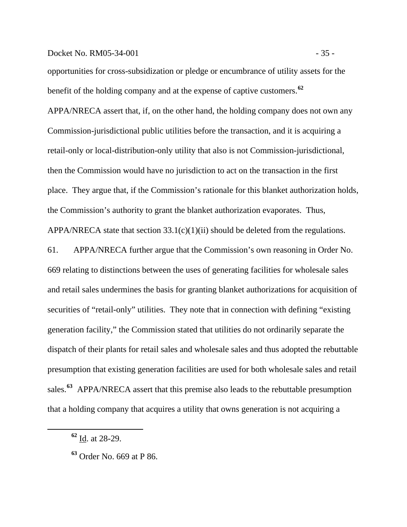## Docket No. RM05-34-001 - 35 -

opportunities for cross-subsidization or pledge or encumbrance of utility assets for the benefit of the holding company and at the expense of captive customers.**[62](#page-37-0)**

APPA/NRECA assert that, if, on the other hand, the holding company does not own any Commission-jurisdictional public utilities before the transaction, and it is acquiring a retail-only or local-distribution-only utility that also is not Commission-jurisdictional, then the Commission would have no jurisdiction to act on the transaction in the first place. They argue that, if the Commission's rationale for this blanket authorization holds, the Commission's authority to grant the blanket authorization evaporates. Thus, APPA/NRECA state that section  $33.1(c)(1)(ii)$  should be deleted from the regulations.

61. APPA/NRECA further argue that the Commission's own reasoning in Order No. 669 relating to distinctions between the uses of generating facilities for wholesale sales and retail sales undermines the basis for granting blanket authorizations for acquisition of securities of "retail-only" utilities. They note that in connection with defining "existing generation facility," the Commission stated that utilities do not ordinarily separate the dispatch of their plants for retail sales and wholesale sales and thus adopted the rebuttable presumption that existing generation facilities are used for both wholesale sales and retail sales.**[63](#page-37-1)** APPA/NRECA assert that this premise also leads to the rebuttable presumption that a holding company that acquires a utility that owns generation is not acquiring a

<span id="page-37-1"></span><span id="page-37-0"></span> $\overline{a}$ 

**<sup>62</sup>** Id. at 28-29.

**<sup>63</sup>** Order No. 669 at P 86.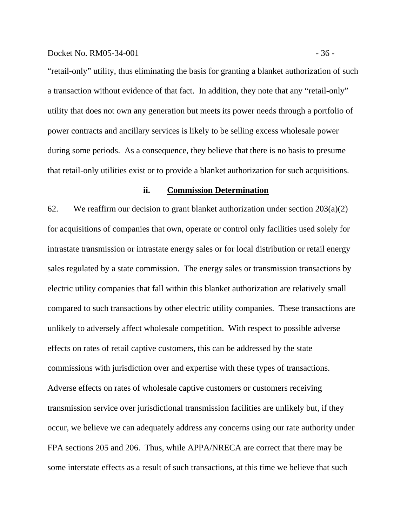"retail-only" utility, thus eliminating the basis for granting a blanket authorization of such a transaction without evidence of that fact. In addition, they note that any "retail-only" utility that does not own any generation but meets its power needs through a portfolio of power contracts and ancillary services is likely to be selling excess wholesale power during some periods. As a consequence, they believe that there is no basis to presume that retail-only utilities exist or to provide a blanket authorization for such acquisitions.

### **ii. Commission Determination**

62. We reaffirm our decision to grant blanket authorization under section  $203(a)(2)$ for acquisitions of companies that own, operate or control only facilities used solely for intrastate transmission or intrastate energy sales or for local distribution or retail energy sales regulated by a state commission.The energy sales or transmission transactions by electric utility companies that fall within this blanket authorization are relatively small compared to such transactions by other electric utility companies. These transactions are unlikely to adversely affect wholesale competition. With respect to possible adverse effects on rates of retail captive customers, this can be addressed by the state commissions with jurisdiction over and expertise with these types of transactions. Adverse effects on rates of wholesale captive customers or customers receiving transmission service over jurisdictional transmission facilities are unlikely but, if they occur, we believe we can adequately address any concerns using our rate authority under FPA sections 205 and 206. Thus, while APPA/NRECA are correct that there may be some interstate effects as a result of such transactions, at this time we believe that such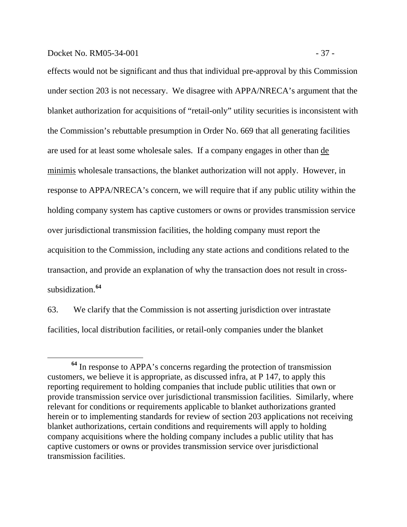effects would not be significant and thus that individual pre-approval by this Commission under section 203 is not necessary. We disagree with APPA/NRECA's argument that the blanket authorization for acquisitions of "retail-only" utility securities is inconsistent with the Commission's rebuttable presumption in Order No. 669 that all generating facilities are used for at least some wholesale sales. If a company engages in other than de minimis wholesale transactions, the blanket authorization will not apply. However, in response to APPA/NRECA's concern, we will require that if any public utility within the holding company system has captive customers or owns or provides transmission service over jurisdictional transmission facilities, the holding company must report the acquisition to the Commission, including any state actions and conditions related to the transaction, and provide an explanation of why the transaction does not result in crosssubsidization.**[64](#page-39-0)**

63. We clarify that the Commission is not asserting jurisdiction over intrastate facilities, local distribution facilities, or retail-only companies under the blanket

<span id="page-39-0"></span>**<sup>64</sup>** In response to APPA's concerns regarding the protection of transmission customers, we believe it is appropriate, as discussed infra, at P 147, to apply this reporting requirement to holding companies that include public utilities that own or provide transmission service over jurisdictional transmission facilities. Similarly, where relevant for conditions or requirements applicable to blanket authorizations granted herein or to implementing standards for review of section 203 applications not receiving blanket authorizations, certain conditions and requirements will apply to holding company acquisitions where the holding company includes a public utility that has captive customers or owns or provides transmission service over jurisdictional transmission facilities.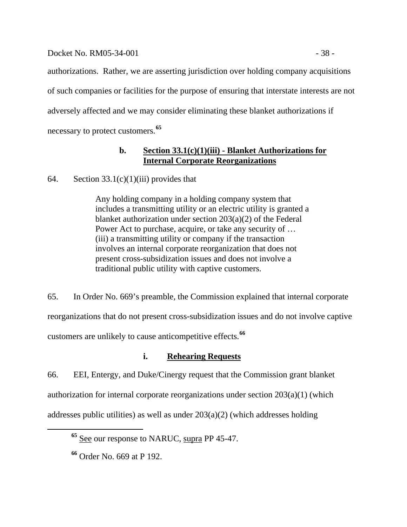## Docket No. RM05-34-001 - 38 -

authorizations. Rather, we are asserting jurisdiction over holding company acquisitions of such companies or facilities for the purpose of ensuring that interstate interests are not adversely affected and we may consider eliminating these blanket authorizations if necessary to protect customers.**[65](#page-40-0)**

# **b. Section 33.1(c)(1)(iii) - Blanket Authorizations for Internal Corporate Reorganizations**

64. Section  $33.1(c)(1)(iii)$  provides that

Any holding company in a holding company system that includes a transmitting utility or an electric utility is granted a blanket authorization under section 203(a)(2) of the Federal Power Act to purchase, acquire, or take any security of … (iii) a transmitting utility or company if the transaction involves an internal corporate reorganization that does not present cross-subsidization issues and does not involve a traditional public utility with captive customers.

65. In Order No. 669's preamble, the Commission explained that internal corporate reorganizations that do not present cross-subsidization issues and do not involve captive customers are unlikely to cause anticompetitive effects.**[66](#page-40-1)**

# **i. Rehearing Requests**

66. EEI, Entergy, and Duke/Cinergy request that the Commission grant blanket authorization for internal corporate reorganizations under section 203(a)(1) (which addresses public utilities) as well as under  $203(a)(2)$  (which addresses holding

<span id="page-40-0"></span>**<sup>65</sup>** See our response to NARUC, supra PP 45-47.

<span id="page-40-1"></span>**<sup>66</sup>** Order No. 669 at P 192.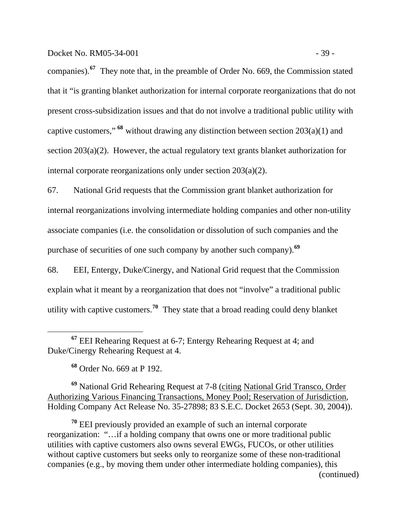companies).**[67](#page-41-0)** They note that, in the preamble of Order No. 669, the Commission stated that it "is granting blanket authorization for internal corporate reorganizations that do not present cross-subsidization issues and that do not involve a traditional public utility with captive customers," **[68](#page-41-1)** without drawing any distinction between section 203(a)(1) and section 203(a)(2). However, the actual regulatory text grants blanket authorization for internal corporate reorganizations only under section 203(a)(2).

67. National Grid requests that the Commission grant blanket authorization for internal reorganizations involving intermediate holding companies and other non-utility associate companies (i.e. the consolidation or dissolution of such companies and the purchase of securities of one such company by another such company).**[69](#page-41-2)**

68. EEI, Entergy, Duke/Cinergy, and National Grid request that the Commission explain what it meant by a reorganization that does not "involve" a traditional public utility with captive customers.**[70](#page-41-3)** They state that a broad reading could deny blanket

**<sup>68</sup>** Order No. 669 at P 192.

 $\overline{a}$ 

<span id="page-41-2"></span><span id="page-41-1"></span>**<sup>69</sup>** National Grid Rehearing Request at 7-8 (citing National Grid Transco, Order Authorizing Various Financing Transactions, Money Pool; Reservation of Jurisdiction, Holding Company Act Release No. 35-27898; 83 S.E.C. Docket 2653 (Sept. 30, 2004)).

<span id="page-41-3"></span>**<sup>70</sup>** EEI previously provided an example of such an internal corporate reorganization: "…if a holding company that owns one or more traditional public utilities with captive customers also owns several EWGs, FUCOs, or other utilities without captive customers but seeks only to reorganize some of these non-traditional companies (e.g., by moving them under other intermediate holding companies), this (continued)

<span id="page-41-0"></span>**<sup>67</sup>** EEI Rehearing Request at 6-7; Entergy Rehearing Request at 4; and Duke/Cinergy Rehearing Request at 4.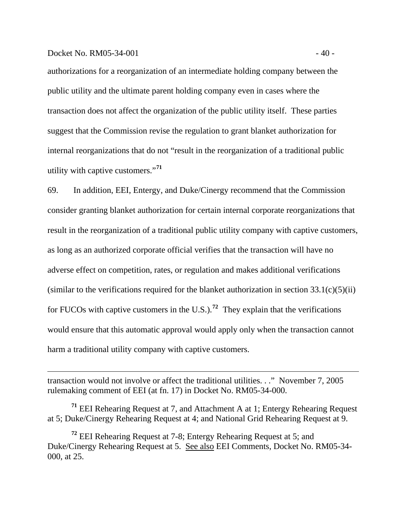#### Docket No. RM05-34-001  $-40$  -

 $\overline{a}$ 

authorizations for a reorganization of an intermediate holding company between the public utility and the ultimate parent holding company even in cases where the transaction does not affect the organization of the public utility itself. These parties suggest that the Commission revise the regulation to grant blanket authorization for internal reorganizations that do not "result in the reorganization of a traditional public utility with captive customers."**[71](#page-42-0)**

69. In addition, EEI, Entergy, and Duke/Cinergy recommend that the Commission consider granting blanket authorization for certain internal corporate reorganizations that result in the reorganization of a traditional public utility company with captive customers, as long as an authorized corporate official verifies that the transaction will have no adverse effect on competition, rates, or regulation and makes additional verifications (similar to the verifications required for the blanket authorization in section  $33.1(c)(5)(ii)$ ) for FUCOs with captive customers in the U.S.).<sup>[72](#page-42-1)</sup> They explain that the verifications would ensure that this automatic approval would apply only when the transaction cannot harm a traditional utility company with captive customers.

transaction would not involve or affect the traditional utilities. . ." November 7, 2005 rulemaking comment of EEI (at fn. 17) in Docket No. RM05-34-000.

<span id="page-42-0"></span>**<sup>71</sup>** EEI Rehearing Request at 7, and Attachment A at 1; Entergy Rehearing Request at 5; Duke/Cinergy Rehearing Request at 4; and National Grid Rehearing Request at 9.

<span id="page-42-1"></span>**<sup>72</sup>** EEI Rehearing Request at 7-8; Entergy Rehearing Request at 5; and Duke/Cinergy Rehearing Request at 5. See also EEI Comments, Docket No. RM05-34- 000, at 25.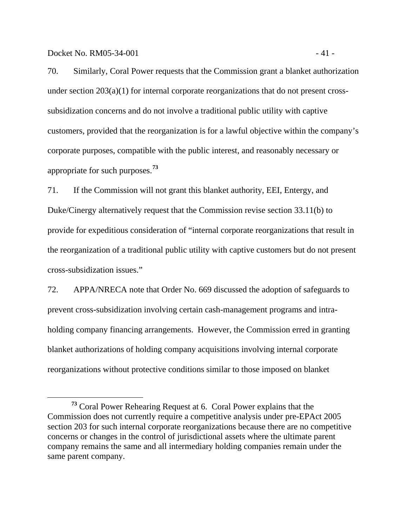Docket No. RM05-34-001 - 41 -

 $\overline{a}$ 

70. Similarly, Coral Power requests that the Commission grant a blanket authorization under section 203(a)(1) for internal corporate reorganizations that do not present crosssubsidization concerns and do not involve a traditional public utility with captive customers, provided that the reorganization is for a lawful objective within the company's corporate purposes, compatible with the public interest, and reasonably necessary or appropriate for such purposes.**[73](#page-43-0)**

71. If the Commission will not grant this blanket authority, EEI, Entergy, and Duke/Cinergy alternatively request that the Commission revise section 33.11(b) to provide for expeditious consideration of "internal corporate reorganizations that result in the reorganization of a traditional public utility with captive customers but do not present cross-subsidization issues."

72. APPA/NRECA note that Order No. 669 discussed the adoption of safeguards to prevent cross-subsidization involving certain cash-management programs and intraholding company financing arrangements. However, the Commission erred in granting blanket authorizations of holding company acquisitions involving internal corporate reorganizations without protective conditions similar to those imposed on blanket

<span id="page-43-0"></span>**<sup>73</sup>** Coral Power Rehearing Request at 6. Coral Power explains that the Commission does not currently require a competitive analysis under pre-EPAct 2005 section 203 for such internal corporate reorganizations because there are no competitive concerns or changes in the control of jurisdictional assets where the ultimate parent company remains the same and all intermediary holding companies remain under the same parent company.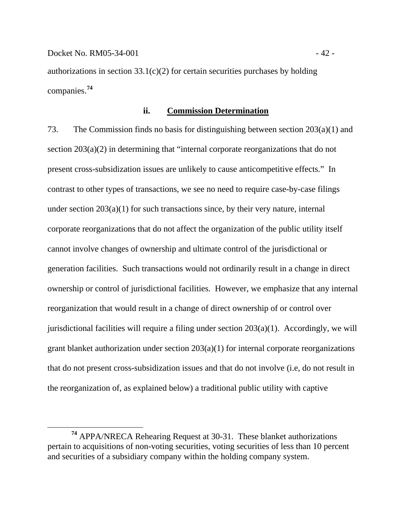authorizations in section  $33.1(c)(2)$  for certain securities purchases by holding companies.**[74](#page-44-0)**

#### **ii. Commission Determination**

73. The Commission finds no basis for distinguishing between section 203(a)(1) and section 203(a)(2) in determining that "internal corporate reorganizations that do not present cross-subsidization issues are unlikely to cause anticompetitive effects." In contrast to other types of transactions, we see no need to require case-by-case filings under section  $203(a)(1)$  for such transactions since, by their very nature, internal corporate reorganizations that do not affect the organization of the public utility itself cannot involve changes of ownership and ultimate control of the jurisdictional or generation facilities. Such transactions would not ordinarily result in a change in direct ownership or control of jurisdictional facilities. However, we emphasize that any internal reorganization that would result in a change of direct ownership of or control over jurisdictional facilities will require a filing under section 203(a)(1). Accordingly, we will grant blanket authorization under section 203(a)(1) for internal corporate reorganizations that do not present cross-subsidization issues and that do not involve (i.e, do not result in the reorganization of, as explained below) a traditional public utility with captive

<span id="page-44-0"></span>**<sup>74</sup>** APPA/NRECA Rehearing Request at 30-31. These blanket authorizations pertain to acquisitions of non-voting securities, voting securities of less than 10 percent and securities of a subsidiary company within the holding company system.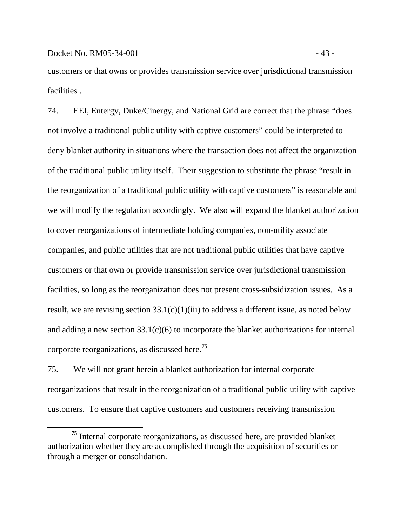$\overline{a}$ 

customers or that owns or provides transmission service over jurisdictional transmission facilities .

74. EEI, Entergy, Duke/Cinergy, and National Grid are correct that the phrase "does not involve a traditional public utility with captive customers" could be interpreted to deny blanket authority in situations where the transaction does not affect the organization of the traditional public utility itself. Their suggestion to substitute the phrase "result in the reorganization of a traditional public utility with captive customers" is reasonable and we will modify the regulation accordingly. We also will expand the blanket authorization to cover reorganizations of intermediate holding companies, non-utility associate companies, and public utilities that are not traditional public utilities that have captive customers or that own or provide transmission service over jurisdictional transmission facilities, so long as the reorganization does not present cross-subsidization issues. As a result, we are revising section  $33.1(c)(1)(iii)$  to address a different issue, as noted below and adding a new section  $33.1(c)(6)$  to incorporate the blanket authorizations for internal corporate reorganizations, as discussed here.**[75](#page-45-0)**

75. We will not grant herein a blanket authorization for internal corporate reorganizations that result in the reorganization of a traditional public utility with captive customers. To ensure that captive customers and customers receiving transmission

<span id="page-45-0"></span>**<sup>75</sup>** Internal corporate reorganizations, as discussed here, are provided blanket authorization whether they are accomplished through the acquisition of securities or through a merger or consolidation.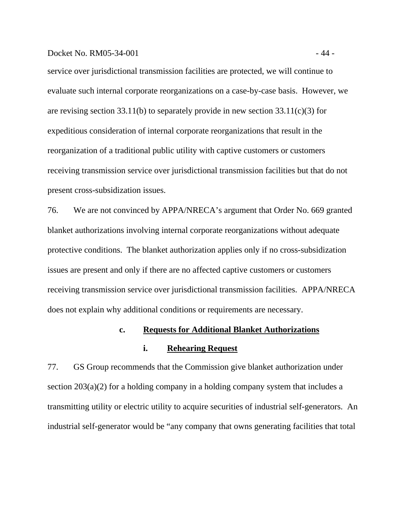service over jurisdictional transmission facilities are protected, we will continue to evaluate such internal corporate reorganizations on a case-by-case basis. However, we are revising section 33.11(b) to separately provide in new section  $33.11(c)(3)$  for expeditious consideration of internal corporate reorganizations that result in the reorganization of a traditional public utility with captive customers or customers receiving transmission service over jurisdictional transmission facilities but that do not present cross-subsidization issues.

76. We are not convinced by APPA/NRECA's argument that Order No. 669 granted blanket authorizations involving internal corporate reorganizations without adequate protective conditions. The blanket authorization applies only if no cross-subsidization issues are present and only if there are no affected captive customers or customers receiving transmission service over jurisdictional transmission facilities. APPA/NRECA does not explain why additional conditions or requirements are necessary.

## **c. Requests for Additional Blanket Authorizations**

## **i. Rehearing Request**

77. GS Group recommends that the Commission give blanket authorization under section 203(a)(2) for a holding company in a holding company system that includes a transmitting utility or electric utility to acquire securities of industrial self-generators. An industrial self-generator would be "any company that owns generating facilities that total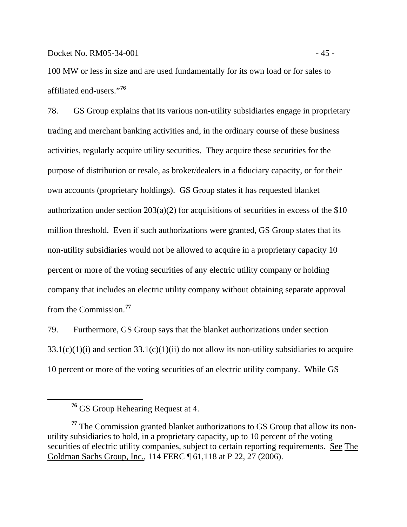Docket No. RM05-34-001 - 45 -

100 MW or less in size and are used fundamentally for its own load or for sales to affiliated end-users."**[76](#page-47-0)**

78. GS Group explains that its various non-utility subsidiaries engage in proprietary trading and merchant banking activities and, in the ordinary course of these business activities, regularly acquire utility securities. They acquire these securities for the purpose of distribution or resale, as broker/dealers in a fiduciary capacity, or for their own accounts (proprietary holdings). GS Group states it has requested blanket authorization under section  $203(a)(2)$  for acquisitions of securities in excess of the \$10 million threshold. Even if such authorizations were granted, GS Group states that its non-utility subsidiaries would not be allowed to acquire in a proprietary capacity 10 percent or more of the voting securities of any electric utility company or holding company that includes an electric utility company without obtaining separate approval from the Commission.**[77](#page-47-1)**

79. Furthermore, GS Group says that the blanket authorizations under section  $33.1(c)(1)(i)$  and section  $33.1(c)(1)(ii)$  do not allow its non-utility subsidiaries to acquire 10 percent or more of the voting securities of an electric utility company. While GS

<span id="page-47-0"></span> $\overline{a}$ 

**<sup>76</sup>** GS Group Rehearing Request at 4.

<span id="page-47-1"></span>**<sup>77</sup>** The Commission granted blanket authorizations to GS Group that allow its nonutility subsidiaries to hold, in a proprietary capacity, up to 10 percent of the voting securities of electric utility companies, subject to certain reporting requirements. See The Goldman Sachs Group, Inc., 114 FERC ¶ 61,118 at P 22, 27 (2006).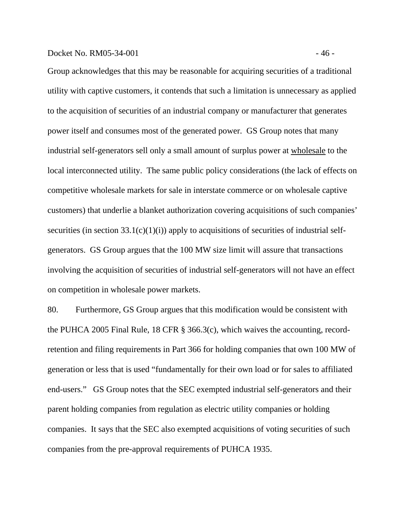#### Docket No. RM05-34-001 - 46 -

Group acknowledges that this may be reasonable for acquiring securities of a traditional utility with captive customers, it contends that such a limitation is unnecessary as applied to the acquisition of securities of an industrial company or manufacturer that generates power itself and consumes most of the generated power. GS Group notes that many industrial self-generators sell only a small amount of surplus power at wholesale to the local interconnected utility. The same public policy considerations (the lack of effects on competitive wholesale markets for sale in interstate commerce or on wholesale captive customers) that underlie a blanket authorization covering acquisitions of such companies' securities (in section  $33.1(c)(1)(i)$ ) apply to acquisitions of securities of industrial selfgenerators. GS Group argues that the 100 MW size limit will assure that transactions involving the acquisition of securities of industrial self-generators will not have an effect on competition in wholesale power markets.

80. Furthermore, GS Group argues that this modification would be consistent with the PUHCA 2005 Final Rule, 18 CFR § 366.3(c), which waives the accounting, recordretention and filing requirements in Part 366 for holding companies that own 100 MW of generation or less that is used "fundamentally for their own load or for sales to affiliated end-users." GS Group notes that the SEC exempted industrial self-generators and their parent holding companies from regulation as electric utility companies or holding companies. It says that the SEC also exempted acquisitions of voting securities of such companies from the pre-approval requirements of PUHCA 1935.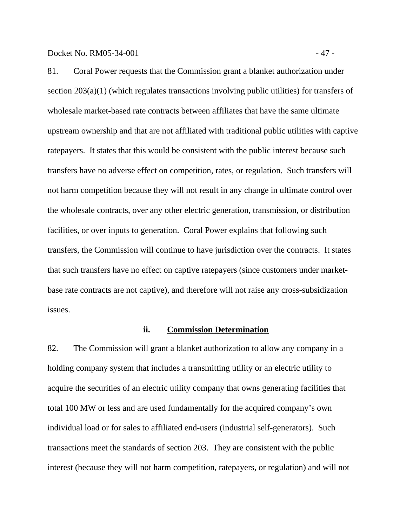Docket No. RM05-34-001 - 47 -

81. Coral Power requests that the Commission grant a blanket authorization under section 203(a)(1) (which regulates transactions involving public utilities) for transfers of wholesale market-based rate contracts between affiliates that have the same ultimate upstream ownership and that are not affiliated with traditional public utilities with captive ratepayers. It states that this would be consistent with the public interest because such transfers have no adverse effect on competition, rates, or regulation. Such transfers will not harm competition because they will not result in any change in ultimate control over the wholesale contracts, over any other electric generation, transmission, or distribution facilities, or over inputs to generation. Coral Power explains that following such transfers, the Commission will continue to have jurisdiction over the contracts. It states that such transfers have no effect on captive ratepayers (since customers under marketbase rate contracts are not captive), and therefore will not raise any cross-subsidization issues.

### **ii. Commission Determination**

82. The Commission will grant a blanket authorization to allow any company in a holding company system that includes a transmitting utility or an electric utility to acquire the securities of an electric utility company that owns generating facilities that total 100 MW or less and are used fundamentally for the acquired company's own individual load or for sales to affiliated end-users (industrial self-generators). Such transactions meet the standards of section 203. They are consistent with the public interest (because they will not harm competition, ratepayers, or regulation) and will not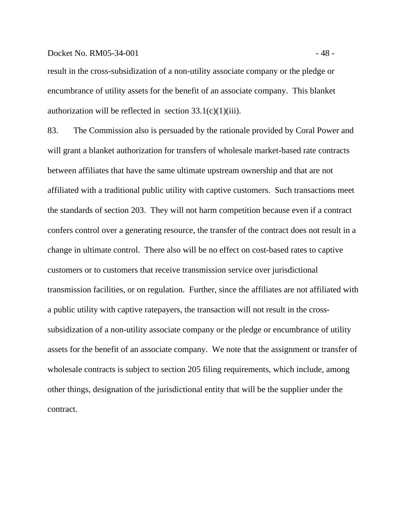#### Docket No. RM05-34-001 - 48 -

result in the cross-subsidization of a non-utility associate company or the pledge or encumbrance of utility assets for the benefit of an associate company. This blanket authorization will be reflected in section  $33.1(c)(1)(iii)$ .

83. The Commission also is persuaded by the rationale provided by Coral Power and will grant a blanket authorization for transfers of wholesale market-based rate contracts between affiliates that have the same ultimate upstream ownership and that are not affiliated with a traditional public utility with captive customers. Such transactions meet the standards of section 203. They will not harm competition because even if a contract confers control over a generating resource, the transfer of the contract does not result in a change in ultimate control. There also will be no effect on cost-based rates to captive customers or to customers that receive transmission service over jurisdictional transmission facilities, or on regulation. Further, since the affiliates are not affiliated with a public utility with captive ratepayers, the transaction will not result in the crosssubsidization of a non-utility associate company or the pledge or encumbrance of utility assets for the benefit of an associate company. We note that the assignment or transfer of wholesale contracts is subject to section 205 filing requirements, which include, among other things, designation of the jurisdictional entity that will be the supplier under the contract.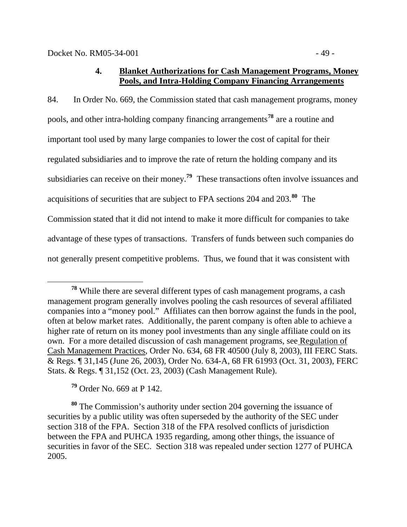# **4. Blanket Authorizations for Cash Management Programs, Money Pools, and Intra-Holding Company Financing Arrangements**

84. In Order No. 669, the Commission stated that cash management programs, money pools, and other intra-holding company financing arrangements**[78](#page-51-0)** are a routine and important tool used by many large companies to lower the cost of capital for their regulated subsidiaries and to improve the rate of return the holding company and its subsidiaries can receive on their money.**[79](#page-51-1)** These transactions often involve issuances and acquisitions of securities that are subject to FPA sections 204 and 203.**[80](#page-51-2)** The Commission stated that it did not intend to make it more difficult for companies to take advantage of these types of transactions. Transfers of funds between such companies do not generally present competitive problems. Thus, we found that it was consistent with

**<sup>79</sup>** Order No. 669 at P 142.

<span id="page-51-2"></span><span id="page-51-1"></span>**<sup>80</sup>** The Commission's authority under section 204 governing the issuance of securities by a public utility was often superseded by the authority of the SEC under section 318 of the FPA. Section 318 of the FPA resolved conflicts of jurisdiction between the FPA and PUHCA 1935 regarding, among other things, the issuance of securities in favor of the SEC. Section 318 was repealed under section 1277 of PUHCA 2005.

<span id="page-51-0"></span>**<sup>78</sup>** While there are several different types of cash management programs, a cash management program generally involves pooling the cash resources of several affiliated companies into a "money pool." Affiliates can then borrow against the funds in the pool, often at below market rates. Additionally, the parent company is often able to achieve a higher rate of return on its money pool investments than any single affiliate could on its own. For a more detailed discussion of cash management programs, see Regulation of Cash Management Practices, Order No. 634, 68 FR 40500 (July 8, 2003), III FERC Stats. & Regs. ¶ 31,145 (June 26, 2003), Order No. 634-A, 68 FR 61993 (Oct. 31, 2003), FERC Stats. & Regs. ¶ 31,152 (Oct. 23, 2003) (Cash Management Rule).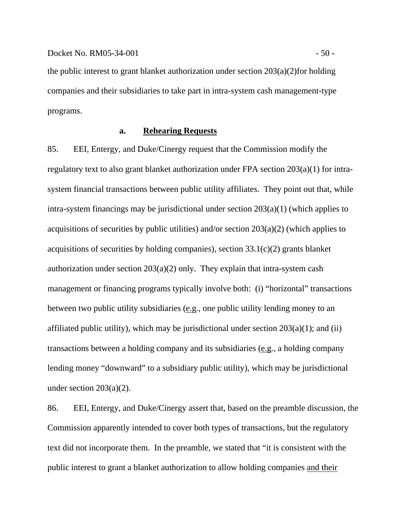the public interest to grant blanket authorization under section 203(a)(2)for holding companies and their subsidiaries to take part in intra-system cash management-type programs.

## **a. Rehearing Requests**

85. EEI, Entergy, and Duke/Cinergy request that the Commission modify the regulatory text to also grant blanket authorization under FPA section 203(a)(1) for intrasystem financial transactions between public utility affiliates. They point out that, while intra-system financings may be jurisdictional under section 203(a)(1) (which applies to acquisitions of securities by public utilities) and/or section  $203(a)(2)$  (which applies to acquisitions of securities by holding companies), section  $33.1(c)(2)$  grants blanket authorization under section  $203(a)(2)$  only. They explain that intra-system cash management or financing programs typically involve both: (i) "horizontal" transactions between two public utility subsidiaries (e.g., one public utility lending money to an affiliated public utility), which may be jurisdictional under section  $203(a)(1)$ ; and (ii) transactions between a holding company and its subsidiaries (e.g., a holding company lending money "downward" to a subsidiary public utility), which may be jurisdictional under section  $203(a)(2)$ .

86. EEI, Entergy, and Duke/Cinergy assert that, based on the preamble discussion, the Commission apparently intended to cover both types of transactions, but the regulatory text did not incorporate them. In the preamble, we stated that "it is consistent with the public interest to grant a blanket authorization to allow holding companies and their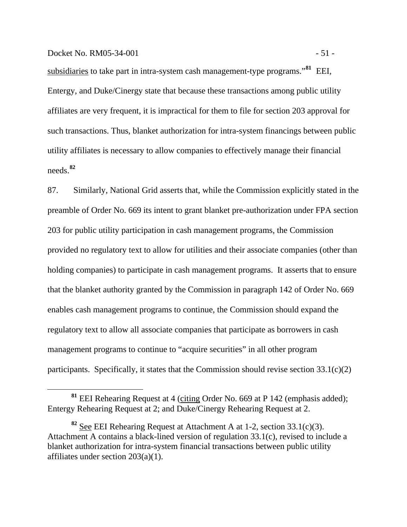subsidiaries to take part in intra-system cash management-type programs."**[81](#page-53-0)** EEI, Entergy, and Duke/Cinergy state that because these transactions among public utility affiliates are very frequent, it is impractical for them to file for section 203 approval for such transactions. Thus, blanket authorization for intra-system financings between public utility affiliates is necessary to allow companies to effectively manage their financial needs.**[82](#page-53-1)**

87. Similarly, National Grid asserts that, while the Commission explicitly stated in the preamble of Order No. 669 its intent to grant blanket pre-authorization under FPA section 203 for public utility participation in cash management programs, the Commission provided no regulatory text to allow for utilities and their associate companies (other than holding companies) to participate in cash management programs. It asserts that to ensure that the blanket authority granted by the Commission in paragraph 142 of Order No. 669 enables cash management programs to continue, the Commission should expand the regulatory text to allow all associate companies that participate as borrowers in cash management programs to continue to "acquire securities" in all other program participants. Specifically, it states that the Commission should revise section 33.1(c)(2)

<span id="page-53-0"></span>**<sup>81</sup>** EEI Rehearing Request at 4 (citing Order No. 669 at P 142 (emphasis added); Entergy Rehearing Request at 2; and Duke/Cinergy Rehearing Request at 2.

<span id="page-53-1"></span>**<sup>82</sup>** See EEI Rehearing Request at Attachment A at 1-2, section 33.1(c)(3). Attachment A contains a black-lined version of regulation 33.1(c), revised to include a blanket authorization for intra-system financial transactions between public utility affiliates under section 203(a)(1).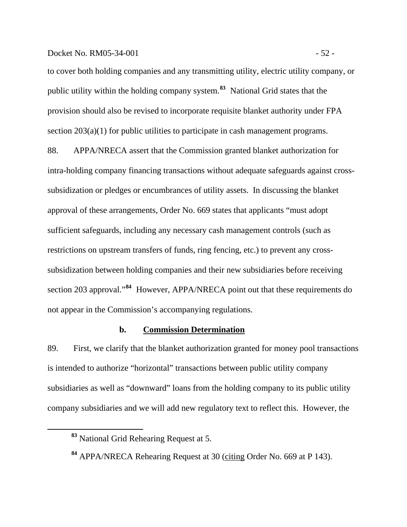#### Docket No. RM05-34-001 - 52 -

to cover both holding companies and any transmitting utility, electric utility company, or public utility within the holding company system.**[83](#page-54-0)** National Grid states that the provision should also be revised to incorporate requisite blanket authority under FPA section 203(a)(1) for public utilities to participate in cash management programs.

88. APPA/NRECA assert that the Commission granted blanket authorization for intra-holding company financing transactions without adequate safeguards against crosssubsidization or pledges or encumbrances of utility assets. In discussing the blanket approval of these arrangements, Order No. 669 states that applicants "must adopt sufficient safeguards, including any necessary cash management controls (such as restrictions on upstream transfers of funds, ring fencing, etc.) to prevent any crosssubsidization between holding companies and their new subsidiaries before receiving section 203 approval."**[84](#page-54-1)** However, APPA/NRECA point out that these requirements do not appear in the Commission's accompanying regulations.

### **b. Commission Determination**

89. First, we clarify that the blanket authorization granted for money pool transactions is intended to authorize "horizontal" transactions between public utility company subsidiaries as well as "downward" loans from the holding company to its public utility company subsidiaries and we will add new regulatory text to reflect this. However, the

<span id="page-54-0"></span>**<sup>83</sup>** National Grid Rehearing Request at 5.

<span id="page-54-1"></span>**<sup>84</sup>** APPA/NRECA Rehearing Request at 30 (citing Order No. 669 at P 143).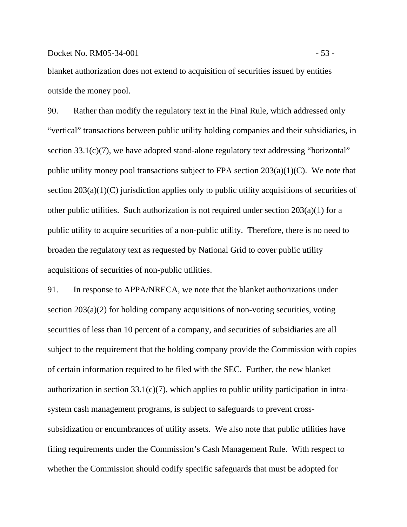blanket authorization does not extend to acquisition of securities issued by entities outside the money pool.

90. Rather than modify the regulatory text in the Final Rule, which addressed only "vertical" transactions between public utility holding companies and their subsidiaries, in section 33.1(c)(7), we have adopted stand-alone regulatory text addressing "horizontal" public utility money pool transactions subject to FPA section  $203(a)(1)(C)$ . We note that section  $203(a)(1)(C)$  jurisdiction applies only to public utility acquisitions of securities of other public utilities. Such authorization is not required under section  $203(a)(1)$  for a public utility to acquire securities of a non-public utility. Therefore, there is no need to broaden the regulatory text as requested by National Grid to cover public utility acquisitions of securities of non-public utilities.

91. In response to APPA/NRECA, we note that the blanket authorizations under section 203(a)(2) for holding company acquisitions of non-voting securities, voting securities of less than 10 percent of a company, and securities of subsidiaries are all subject to the requirement that the holding company provide the Commission with copies of certain information required to be filed with the SEC. Further, the new blanket authorization in section  $33.1(c)(7)$ , which applies to public utility participation in intrasystem cash management programs, is subject to safeguards to prevent crosssubsidization or encumbrances of utility assets. We also note that public utilities have filing requirements under the Commission's Cash Management Rule. With respect to whether the Commission should codify specific safeguards that must be adopted for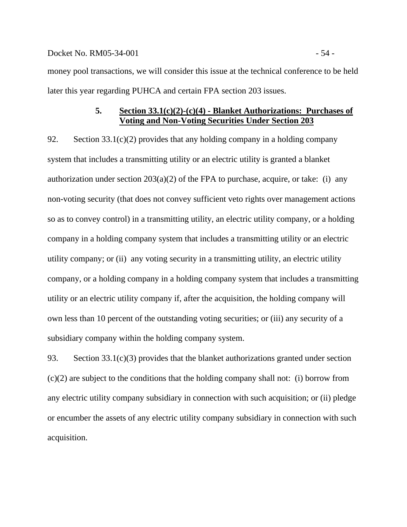#### Docket No. RM05-34-001 - 54 -

money pool transactions, we will consider this issue at the technical conference to be held later this year regarding PUHCA and certain FPA section 203 issues.

## **5. Section 33.1(c)(2)-(c)(4) - Blanket Authorizations: Purchases of Voting and Non-Voting Securities Under Section 203**

92. Section  $33.1(c)(2)$  provides that any holding company in a holding company system that includes a transmitting utility or an electric utility is granted a blanket authorization under section  $203(a)(2)$  of the FPA to purchase, acquire, or take: (i) any non-voting security (that does not convey sufficient veto rights over management actions so as to convey control) in a transmitting utility, an electric utility company, or a holding company in a holding company system that includes a transmitting utility or an electric utility company; or (ii) any voting security in a transmitting utility, an electric utility company, or a holding company in a holding company system that includes a transmitting utility or an electric utility company if, after the acquisition, the holding company will own less than 10 percent of the outstanding voting securities; or (iii) any security of a subsidiary company within the holding company system.

93. Section 33.1(c)(3) provides that the blanket authorizations granted under section (c)(2) are subject to the conditions that the holding company shall not: (i) borrow from any electric utility company subsidiary in connection with such acquisition; or (ii) pledge or encumber the assets of any electric utility company subsidiary in connection with such acquisition.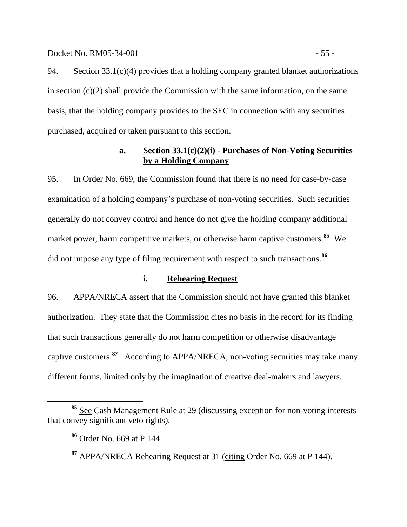### Docket No. RM05-34-001 - 55 -

94. Section 33.1(c)(4) provides that a holding company granted blanket authorizations in section (c)(2) shall provide the Commission with the same information, on the same basis, that the holding company provides to the SEC in connection with any securities purchased, acquired or taken pursuant to this section.

# **a. Section 33.1(c)(2)(i) - Purchases of Non-Voting Securities by a Holding Company**

95. In Order No. 669, the Commission found that there is no need for case-by-case examination of a holding company's purchase of non-voting securities. Such securities generally do not convey control and hence do not give the holding company additional market power, harm competitive markets, or otherwise harm captive customers.**[85](#page-57-0)** We did not impose any type of filing requirement with respect to such transactions.**[86](#page-57-1)**

# **i. Rehearing Request**

96. APPA/NRECA assert that the Commission should not have granted this blanket authorization. They state that the Commission cites no basis in the record for its finding that such transactions generally do not harm competition or otherwise disadvantage captive customers.**[87](#page-57-2)** According to APPA/NRECA, non-voting securities may take many different forms, limited only by the imagination of creative deal-makers and lawyers.

<span id="page-57-2"></span><span id="page-57-1"></span><span id="page-57-0"></span>**<sup>85</sup>** See Cash Management Rule at 29 (discussing exception for non-voting interests that convey significant veto rights).

**<sup>86</sup>** Order No. 669 at P 144.

**<sup>87</sup>** APPA/NRECA Rehearing Request at 31 (citing Order No. 669 at P 144).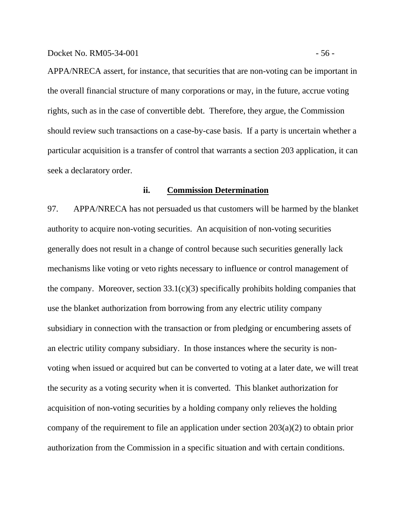APPA/NRECA assert, for instance, that securities that are non-voting can be important in the overall financial structure of many corporations or may, in the future, accrue voting rights, such as in the case of convertible debt. Therefore, they argue, the Commission should review such transactions on a case-by-case basis. If a party is uncertain whether a particular acquisition is a transfer of control that warrants a section 203 application, it can seek a declaratory order.

### **ii. Commission Determination**

97. APPA/NRECA has not persuaded us that customers will be harmed by the blanket authority to acquire non-voting securities. An acquisition of non-voting securities generally does not result in a change of control because such securities generally lack mechanisms like voting or veto rights necessary to influence or control management of the company. Moreover, section  $33.1(c)(3)$  specifically prohibits holding companies that use the blanket authorization from borrowing from any electric utility company subsidiary in connection with the transaction or from pledging or encumbering assets of an electric utility company subsidiary. In those instances where the security is nonvoting when issued or acquired but can be converted to voting at a later date, we will treat the security as a voting security when it is converted. This blanket authorization for acquisition of non-voting securities by a holding company only relieves the holding company of the requirement to file an application under section 203(a)(2) to obtain prior authorization from the Commission in a specific situation and with certain conditions.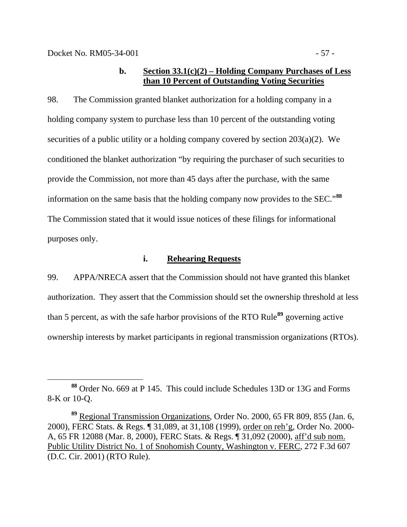## **b. Section 33.1(c)(2) – Holding Company Purchases of Less than 10 Percent of Outstanding Voting Securities**

98. The Commission granted blanket authorization for a holding company in a holding company system to purchase less than 10 percent of the outstanding voting securities of a public utility or a holding company covered by section 203(a)(2). We conditioned the blanket authorization "by requiring the purchaser of such securities to provide the Commission, not more than 45 days after the purchase, with the same information on the same basis that the holding company now provides to the SEC."**[88](#page-59-0)** The Commission stated that it would issue notices of these filings for informational purposes only.

### **i. Rehearing Requests**

99. APPA/NRECA assert that the Commission should not have granted this blanket authorization. They assert that the Commission should set the ownership threshold at less than 5 percent, as with the safe harbor provisions of the RTO Rule**[89](#page-59-1)** governing active ownership interests by market participants in regional transmission organizations (RTOs).

<span id="page-59-0"></span>**<sup>88</sup>** Order No. 669 at P 145. This could include Schedules 13D or 13G and Forms 8-K or 10-Q.

<span id="page-59-1"></span>**<sup>89</sup>** Regional Transmission Organizations*,* Order No. 2000, 65 FR 809, 855 (Jan. 6, 2000), FERC Stats. & Regs. ¶ 31,089, at 31,108 (1999), order on reh'g*,* Order No. 2000- A, 65 FR 12088 (Mar. 8, 2000), FERC Stats. & Regs. ¶ 31,092 (2000), aff'd sub nom. Public Utility District No. 1 of Snohomish County, Washington v. FERC, 272 F.3d 607 (D.C. Cir. 2001) (RTO Rule).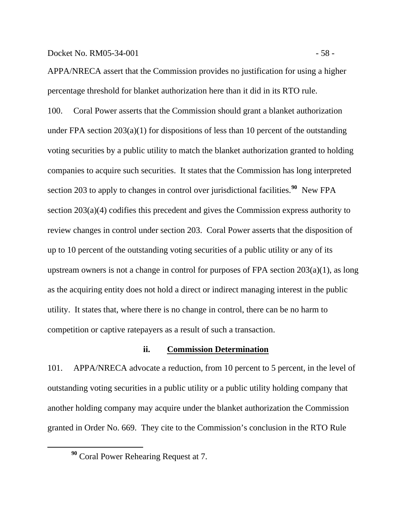#### Docket No. RM05-34-001 - 58 -

APPA/NRECA assert that the Commission provides no justification for using a higher percentage threshold for blanket authorization here than it did in its RTO rule.

100. Coral Power asserts that the Commission should grant a blanket authorization under FPA section  $203(a)(1)$  for dispositions of less than 10 percent of the outstanding voting securities by a public utility to match the blanket authorization granted to holding companies to acquire such securities. It states that the Commission has long interpreted section 203 to apply to changes in control over jurisdictional facilities.**[90](#page-60-0)** New FPA section 203(a)(4) codifies this precedent and gives the Commission express authority to review changes in control under section 203. Coral Power asserts that the disposition of up to 10 percent of the outstanding voting securities of a public utility or any of its upstream owners is not a change in control for purposes of FPA section 203(a)(1), as long as the acquiring entity does not hold a direct or indirect managing interest in the public utility. It states that, where there is no change in control, there can be no harm to competition or captive ratepayers as a result of such a transaction.

## **ii. Commission Determination**

101. APPA/NRECA advocate a reduction, from 10 percent to 5 percent, in the level of outstanding voting securities in a public utility or a public utility holding company that another holding company may acquire under the blanket authorization the Commission granted in Order No. 669. They cite to the Commission's conclusion in the RTO Rule

<span id="page-60-0"></span>**<sup>90</sup>** Coral Power Rehearing Request at 7.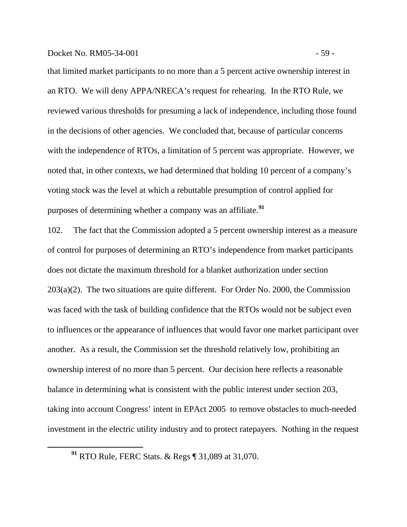that limited market participants to no more than a 5 percent active ownership interest in an RTO. We will deny APPA/NRECA's request for rehearing. In the RTO Rule, we reviewed various thresholds for presuming a lack of independence, including those found in the decisions of other agencies. We concluded that, because of particular concerns with the independence of RTOs, a limitation of 5 percent was appropriate. However, we noted that, in other contexts, we had determined that holding 10 percent of a company's voting stock was the level at which a rebuttable presumption of control applied for purposes of determining whether a company was an affiliate.**[91](#page-61-0)**

102. The fact that the Commission adopted a 5 percent ownership interest as a measure of control for purposes of determining an RTO's independence from market participants does not dictate the maximum threshold for a blanket authorization under section 203(a)(2). The two situations are quite different. For Order No. 2000, the Commission was faced with the task of building confidence that the RTOs would not be subject even to influences or the appearance of influences that would favor one market participant over another. As a result, the Commission set the threshold relatively low, prohibiting an ownership interest of no more than 5 percent. Our decision here reflects a reasonable balance in determining what is consistent with the public interest under section 203, taking into account Congress' intent in EPAct 2005 to remove obstacles to much-needed investment in the electric utility industry and to protect ratepayers. Nothing in the request

<span id="page-61-0"></span> $\overline{a}$ 

**<sup>91</sup>** RTO Rule, FERC Stats. & Regs ¶ 31,089 at 31,070.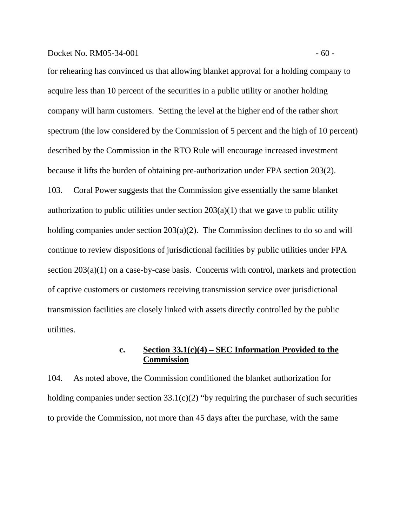for rehearing has convinced us that allowing blanket approval for a holding company to acquire less than 10 percent of the securities in a public utility or another holding company will harm customers. Setting the level at the higher end of the rather short spectrum (the low considered by the Commission of 5 percent and the high of 10 percent) described by the Commission in the RTO Rule will encourage increased investment because it lifts the burden of obtaining pre-authorization under FPA section 203(2). 103. Coral Power suggests that the Commission give essentially the same blanket authorization to public utilities under section  $203(a)(1)$  that we gave to public utility holding companies under section 203(a)(2). The Commission declines to do so and will continue to review dispositions of jurisdictional facilities by public utilities under FPA section 203(a)(1) on a case-by-case basis. Concerns with control, markets and protection of captive customers or customers receiving transmission service over jurisdictional transmission facilities are closely linked with assets directly controlled by the public utilities.

# **c. Section 33.1(c)(4) – SEC Information Provided to the Commission**

104. As noted above, the Commission conditioned the blanket authorization for holding companies under section  $33.1(c)(2)$  "by requiring the purchaser of such securities to provide the Commission, not more than 45 days after the purchase, with the same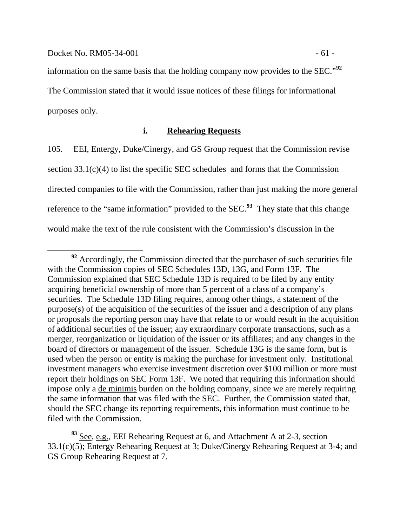information on the same basis that the holding company now provides to the SEC."**[92](#page-63-0)** The Commission stated that it would issue notices of these filings for informational purposes only.

## **i. Rehearing Requests**

105. EEI, Entergy, Duke/Cinergy, and GS Group request that the Commission revise section 33.1(c)(4) to list the specific SEC schedules and forms that the Commission directed companies to file with the Commission, rather than just making the more general reference to the "same information" provided to the SEC.**[93](#page-63-1)** They state that this change would make the text of the rule consistent with the Commission's discussion in the

<span id="page-63-0"></span><sup>&</sup>lt;sup>92</sup> Accordingly, the Commission directed that the purchaser of such securities file with the Commission copies of SEC Schedules 13D, 13G, and Form 13F. The Commission explained that SEC Schedule 13D is required to be filed by any entity acquiring beneficial ownership of more than 5 percent of a class of a company's securities. The Schedule 13D filing requires, among other things, a statement of the purpose(s) of the acquisition of the securities of the issuer and a description of any plans or proposals the reporting person may have that relate to or would result in the acquisition of additional securities of the issuer; any extraordinary corporate transactions, such as a merger, reorganization or liquidation of the issuer or its affiliates; and any changes in the board of directors or management of the issuer. Schedule 13G is the same form, but is used when the person or entity is making the purchase for investment only. Institutional investment managers who exercise investment discretion over \$100 million or more must report their holdings on SEC Form 13F. We noted that requiring this information should impose only a de minimis burden on the holding company, since we are merely requiring the same information that was filed with the SEC. Further, the Commission stated that, should the SEC change its reporting requirements, this information must continue to be filed with the Commission.

<span id="page-63-1"></span><sup>&</sup>lt;sup>93</sup> See, e.g., EEI Rehearing Request at 6, and Attachment A at 2-3, section 33.1(c)(5); Entergy Rehearing Request at 3; Duke/Cinergy Rehearing Request at 3-4; and GS Group Rehearing Request at 7.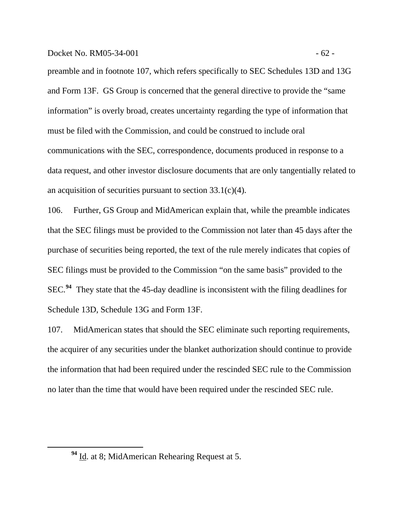preamble and in footnote 107, which refers specifically to SEC Schedules 13D and 13G and Form 13F. GS Group is concerned that the general directive to provide the "same information" is overly broad, creates uncertainty regarding the type of information that must be filed with the Commission, and could be construed to include oral communications with the SEC, correspondence, documents produced in response to a data request, and other investor disclosure documents that are only tangentially related to an acquisition of securities pursuant to section 33.1(c)(4).

106. Further, GS Group and MidAmerican explain that, while the preamble indicates that the SEC filings must be provided to the Commission not later than 45 days after the purchase of securities being reported, the text of the rule merely indicates that copies of SEC filings must be provided to the Commission "on the same basis" provided to the SEC.**[94](#page-64-0)** They state that the 45-day deadline is inconsistent with the filing deadlines for Schedule 13D, Schedule 13G and Form 13F.

107. MidAmerican states that should the SEC eliminate such reporting requirements, the acquirer of any securities under the blanket authorization should continue to provide the information that had been required under the rescinded SEC rule to the Commission no later than the time that would have been required under the rescinded SEC rule.

<span id="page-64-0"></span> $\overline{a}$ 

**<sup>94</sup>** Id. at 8; MidAmerican Rehearing Request at 5.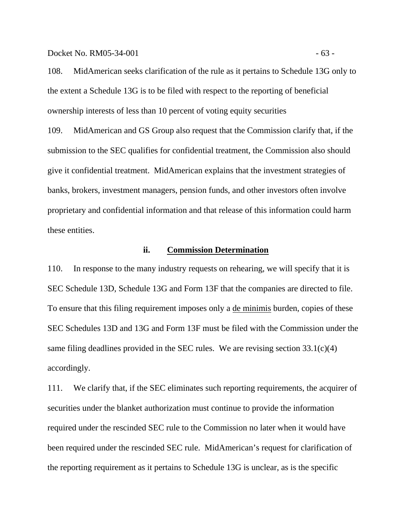Docket No. RM05-34-001 - 63 -

108. MidAmerican seeks clarification of the rule as it pertains to Schedule 13G only to the extent a Schedule 13G is to be filed with respect to the reporting of beneficial ownership interests of less than 10 percent of voting equity securities

109. MidAmerican and GS Group also request that the Commission clarify that, if the submission to the SEC qualifies for confidential treatment, the Commission also should give it confidential treatment. MidAmerican explains that the investment strategies of banks, brokers, investment managers, pension funds, and other investors often involve proprietary and confidential information and that release of this information could harm these entities.

### **ii. Commission Determination**

110. In response to the many industry requests on rehearing, we will specify that it is SEC Schedule 13D, Schedule 13G and Form 13F that the companies are directed to file. To ensure that this filing requirement imposes only a de minimis burden, copies of these SEC Schedules 13D and 13G and Form 13F must be filed with the Commission under the same filing deadlines provided in the SEC rules. We are revising section  $33.1(c)(4)$ accordingly.

111. We clarify that, if the SEC eliminates such reporting requirements, the acquirer of securities under the blanket authorization must continue to provide the information required under the rescinded SEC rule to the Commission no later when it would have been required under the rescinded SEC rule. MidAmerican's request for clarification of the reporting requirement as it pertains to Schedule 13G is unclear, as is the specific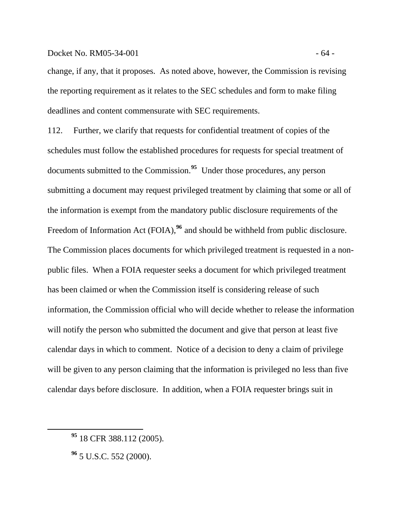### Docket No. RM05-34-001 - 64 -

change, if any, that it proposes. As noted above, however, the Commission is revising the reporting requirement as it relates to the SEC schedules and form to make filing deadlines and content commensurate with SEC requirements.

112. Further, we clarify that requests for confidential treatment of copies of the schedules must follow the established procedures for requests for special treatment of documents submitted to the Commission.**[95](#page-66-0)** Under those procedures, any person submitting a document may request privileged treatment by claiming that some or all of the information is exempt from the mandatory public disclosure requirements of the Freedom of Information Act (FOIA),<sup>[96](#page-66-1)</sup> and should be withheld from public disclosure. The Commission places documents for which privileged treatment is requested in a nonpublic files. When a FOIA requester seeks a document for which privileged treatment has been claimed or when the Commission itself is considering release of such information, the Commission official who will decide whether to release the information will notify the person who submitted the document and give that person at least five calendar days in which to comment. Notice of a decision to deny a claim of privilege will be given to any person claiming that the information is privileged no less than five calendar days before disclosure. In addition, when a FOIA requester brings suit in

<span id="page-66-1"></span><span id="page-66-0"></span> $\overline{a}$ 

**<sup>95</sup>** 18 CFR 388.112 (2005).

**<sup>96</sup>** 5 U.S.C. 552 (2000).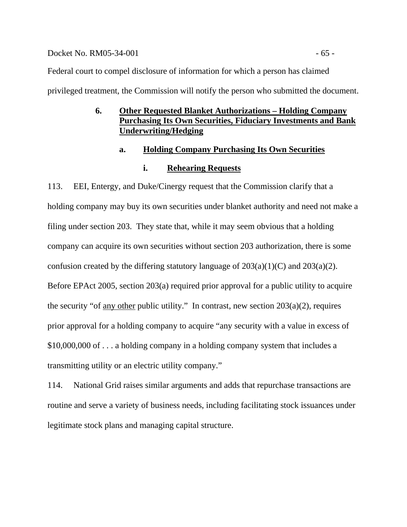### Docket No. RM05-34-001 - 65 -

Federal court to compel disclosure of information for which a person has claimed

privileged treatment, the Commission will notify the person who submitted the document.

# **6. Other Requested Blanket Authorizations – Holding Company Purchasing Its Own Securities, Fiduciary Investments and Bank Underwriting/Hedging**

## **a. Holding Company Purchasing Its Own Securities**

# **i. Rehearing Requests**

113. EEI, Entergy, and Duke/Cinergy request that the Commission clarify that a holding company may buy its own securities under blanket authority and need not make a filing under section 203. They state that, while it may seem obvious that a holding company can acquire its own securities without section 203 authorization, there is some confusion created by the differing statutory language of  $203(a)(1)(C)$  and  $203(a)(2)$ . Before EPAct 2005, section 203(a) required prior approval for a public utility to acquire the security "of <u>any other</u> public utility." In contrast, new section  $203(a)(2)$ , requires prior approval for a holding company to acquire "any security with a value in excess of \$10,000,000 of . . . a holding company in a holding company system that includes a transmitting utility or an electric utility company."

114. National Grid raises similar arguments and adds that repurchase transactions are routine and serve a variety of business needs, including facilitating stock issuances under legitimate stock plans and managing capital structure.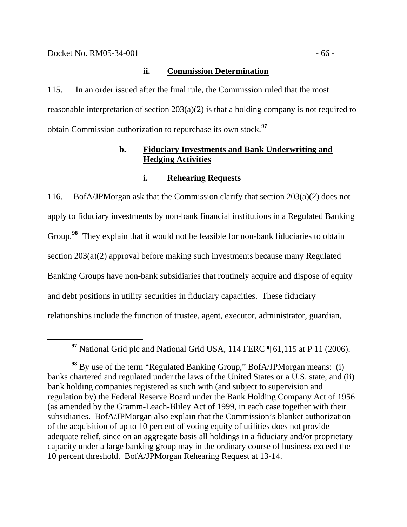**ii. Commission Determination**

115. In an order issued after the final rule, the Commission ruled that the most reasonable interpretation of section 203(a)(2) is that a holding company is not required to obtain Commission authorization to repurchase its own stock.**[97](#page-68-0)**

# **b. Fiduciary Investments and Bank Underwriting and Hedging Activities**

## **i. Rehearing Requests**

116. BofA/JPMorgan ask that the Commission clarify that section 203(a)(2) does not apply to fiduciary investments by non-bank financial institutions in a Regulated Banking Group.**[98](#page-68-1)** They explain that it would not be feasible for non-bank fiduciaries to obtain section 203(a)(2) approval before making such investments because many Regulated Banking Groups have non-bank subsidiaries that routinely acquire and dispose of equity and debt positions in utility securities in fiduciary capacities. These fiduciary relationships include the function of trustee, agent, executor, administrator, guardian,

**<sup>97</sup>** National Grid plc and National Grid USA, 114 FERC ¶ 61,115 at P 11 (2006).

<span id="page-68-1"></span><span id="page-68-0"></span>**<sup>98</sup>** By use of the term "Regulated Banking Group," BofA/JPMorgan means: (i) banks chartered and regulated under the laws of the United States or a U.S. state, and (ii) bank holding companies registered as such with (and subject to supervision and regulation by) the Federal Reserve Board under the Bank Holding Company Act of 1956 (as amended by the Gramm-Leach-Bliley Act of 1999, in each case together with their subsidiaries. BofA/JPMorgan also explain that the Commission's blanket authorization of the acquisition of up to 10 percent of voting equity of utilities does not provide adequate relief, since on an aggregate basis all holdings in a fiduciary and/or proprietary capacity under a large banking group may in the ordinary course of business exceed the 10 percent threshold. BofA/JPMorgan Rehearing Request at 13-14.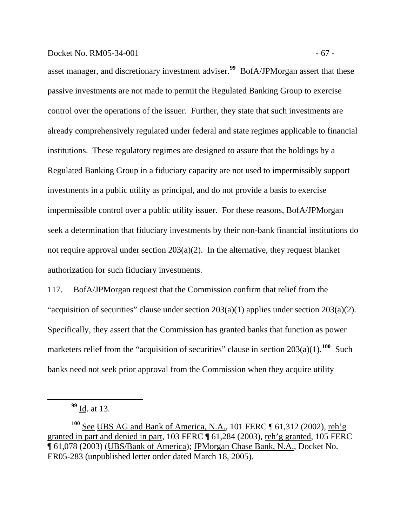## Docket No. RM05-34-001 - 67 -

asset manager, and discretionary investment adviser.**[99](#page-69-0)** BofA/JPMorgan assert that these passive investments are not made to permit the Regulated Banking Group to exercise control over the operations of the issuer. Further, they state that such investments are already comprehensively regulated under federal and state regimes applicable to financial institutions. These regulatory regimes are designed to assure that the holdings by a Regulated Banking Group in a fiduciary capacity are not used to impermissibly support investments in a public utility as principal, and do not provide a basis to exercise impermissible control over a public utility issuer. For these reasons, BofA/JPMorgan seek a determination that fiduciary investments by their non-bank financial institutions do not require approval under section 203(a)(2). In the alternative, they request blanket authorization for such fiduciary investments.

117. BofA/JPMorgan request that the Commission confirm that relief from the "acquisition of securities" clause under section  $203(a)(1)$  applies under section  $203(a)(2)$ . Specifically, they assert that the Commission has granted banks that function as power marketers relief from the "acquisition of securities" clause in section  $203(a)(1)$ .<sup>[100](#page-69-1)</sup> Such banks need not seek prior approval from the Commission when they acquire utility

<span id="page-69-0"></span> $\overline{a}$ 

**<sup>99</sup>** Id. at 13.

<span id="page-69-1"></span>**<sup>100</sup>** See UBS AG and Bank of America, N.A., 101 FERC ¶ 61,312 (2002), reh'g granted in part and denied in part, 103 FERC ¶ 61,284 (2003), reh'g granted, 105 FERC ¶ 61,078 (2003) (UBS/Bank of America); JPMorgan Chase Bank, N.A., Docket No. ER05-283 (unpublished letter order dated March 18, 2005).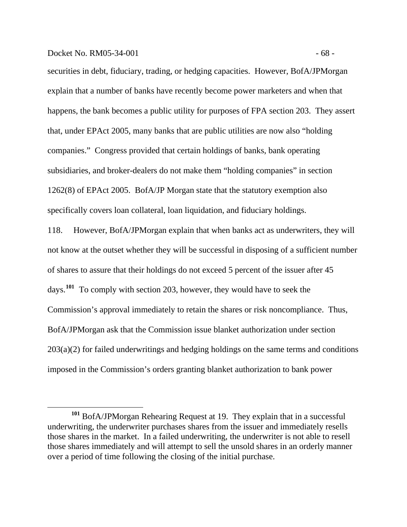### Docket No. RM05-34-001 - 68 -

 $\overline{a}$ 

securities in debt, fiduciary, trading, or hedging capacities. However, BofA/JPMorgan explain that a number of banks have recently become power marketers and when that happens, the bank becomes a public utility for purposes of FPA section 203. They assert that, under EPAct 2005, many banks that are public utilities are now also "holding companies." Congress provided that certain holdings of banks, bank operating subsidiaries, and broker-dealers do not make them "holding companies" in section 1262(8) of EPAct 2005. BofA/JP Morgan state that the statutory exemption also specifically covers loan collateral, loan liquidation, and fiduciary holdings.

118. However, BofA/JPMorgan explain that when banks act as underwriters, they will not know at the outset whether they will be successful in disposing of a sufficient number of shares to assure that their holdings do not exceed 5 percent of the issuer after 45 days.**[101](#page-70-0)** To comply with section 203, however, they would have to seek the Commission's approval immediately to retain the shares or risk noncompliance. Thus, BofA/JPMorgan ask that the Commission issue blanket authorization under section 203(a)(2) for failed underwritings and hedging holdings on the same terms and conditions imposed in the Commission's orders granting blanket authorization to bank power

<span id="page-70-0"></span>**<sup>101</sup>** BofA/JPMorgan Rehearing Request at 19. They explain that in a successful underwriting, the underwriter purchases shares from the issuer and immediately resells those shares in the market. In a failed underwriting, the underwriter is not able to resell those shares immediately and will attempt to sell the unsold shares in an orderly manner over a period of time following the closing of the initial purchase.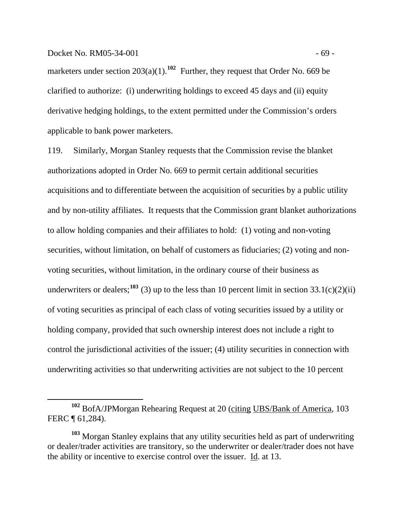### Docket No. RM05-34-001 - 69 -

 $\overline{a}$ 

marketers under section  $203(a)(1)$ .<sup>[102](#page-71-0)</sup> Further, they request that Order No. 669 be clarified to authorize: (i) underwriting holdings to exceed 45 days and (ii) equity derivative hedging holdings, to the extent permitted under the Commission's orders applicable to bank power marketers.

119. Similarly, Morgan Stanley requests that the Commission revise the blanket authorizations adopted in Order No. 669 to permit certain additional securities acquisitions and to differentiate between the acquisition of securities by a public utility and by non-utility affiliates. It requests that the Commission grant blanket authorizations to allow holding companies and their affiliates to hold: (1) voting and non-voting securities, without limitation, on behalf of customers as fiduciaries; (2) voting and nonvoting securities, without limitation, in the ordinary course of their business as underwriters or dealers;  $103$  (3) up to the less than 10 percent limit in section 33.1(c)(2)(ii) of voting securities as principal of each class of voting securities issued by a utility or holding company, provided that such ownership interest does not include a right to control the jurisdictional activities of the issuer; (4) utility securities in connection with underwriting activities so that underwriting activities are not subject to the 10 percent

<span id="page-71-0"></span>**<sup>102</sup>** BofA/JPMorgan Rehearing Request at 20 (citing UBS/Bank of America, 103 FERC ¶ 61,284).

<span id="page-71-1"></span>**<sup>103</sup>** Morgan Stanley explains that any utility securities held as part of underwriting or dealer/trader activities are transitory, so the underwriter or dealer/trader does not have the ability or incentive to exercise control over the issuer. Id. at 13.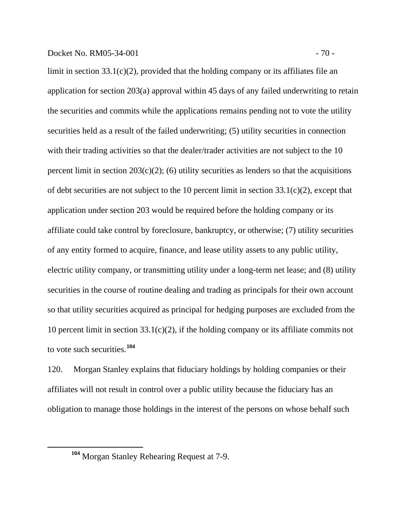limit in section 33.1(c)(2), provided that the holding company or its affiliates file an application for section 203(a) approval within 45 days of any failed underwriting to retain the securities and commits while the applications remains pending not to vote the utility securities held as a result of the failed underwriting; (5) utility securities in connection with their trading activities so that the dealer/trader activities are not subject to the 10 percent limit in section  $203(c)(2)$ ; (6) utility securities as lenders so that the acquisitions of debt securities are not subject to the 10 percent limit in section  $33.1(c)(2)$ , except that application under section 203 would be required before the holding company or its affiliate could take control by foreclosure, bankruptcy, or otherwise; (7) utility securities of any entity formed to acquire, finance, and lease utility assets to any public utility, electric utility company, or transmitting utility under a long-term net lease; and (8) utility securities in the course of routine dealing and trading as principals for their own account so that utility securities acquired as principal for hedging purposes are excluded from the 10 percent limit in section  $33.1(c)(2)$ , if the holding company or its affiliate commits not

to vote such securities.**[104](#page-72-0)**

<span id="page-72-0"></span> $\overline{a}$ 

120. Morgan Stanley explains that fiduciary holdings by holding companies or their affiliates will not result in control over a public utility because the fiduciary has an obligation to manage those holdings in the interest of the persons on whose behalf such

**<sup>104</sup>** Morgan Stanley Rehearing Request at 7-9.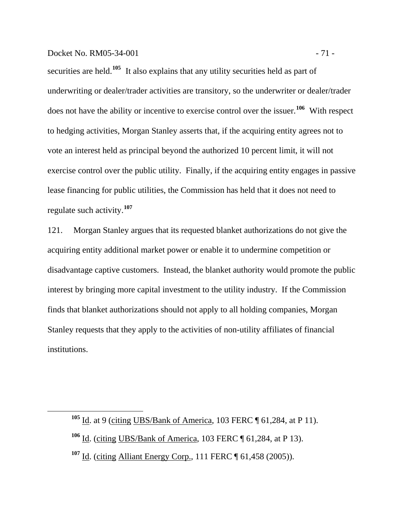## Docket No. RM05-34-001 - 71 -

<span id="page-73-2"></span><span id="page-73-1"></span><span id="page-73-0"></span> $\overline{a}$ 

securities are held.<sup>[105](#page-73-0)</sup> It also explains that any utility securities held as part of underwriting or dealer/trader activities are transitory, so the underwriter or dealer/trader does not have the ability or incentive to exercise control over the issuer.**[106](#page-73-1)** With respect to hedging activities, Morgan Stanley asserts that, if the acquiring entity agrees not to vote an interest held as principal beyond the authorized 10 percent limit, it will not exercise control over the public utility. Finally, if the acquiring entity engages in passive lease financing for public utilities, the Commission has held that it does not need to regulate such activity.**[107](#page-73-2)**

121. Morgan Stanley argues that its requested blanket authorizations do not give the acquiring entity additional market power or enable it to undermine competition or disadvantage captive customers. Instead, the blanket authority would promote the public interest by bringing more capital investment to the utility industry. If the Commission finds that blanket authorizations should not apply to all holding companies, Morgan Stanley requests that they apply to the activities of non-utility affiliates of financial institutions.

**<sup>105</sup>** Id. at 9 (citing UBS/Bank of America, 103 FERC ¶ 61,284, at P 11).

**<sup>106</sup>** Id. (citing UBS/Bank of America, 103 FERC ¶ 61,284, at P 13).

**<sup>107</sup>** Id. (citing Alliant Energy Corp., 111 FERC ¶ 61,458 (2005)).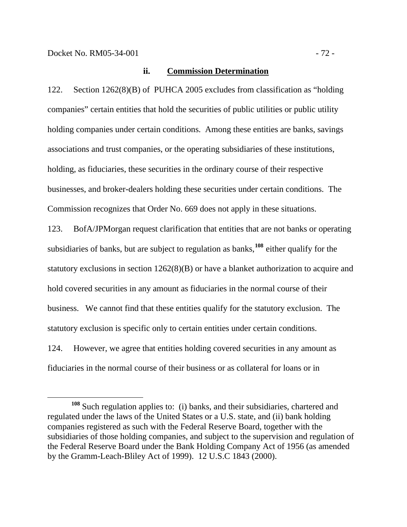#### **ii. Commission Determination**

122. Section 1262(8)(B) of PUHCA 2005 excludes from classification as "holding companies" certain entities that hold the securities of public utilities or public utility holding companies under certain conditions. Among these entities are banks, savings associations and trust companies, or the operating subsidiaries of these institutions, holding, as fiduciaries, these securities in the ordinary course of their respective businesses, and broker-dealers holding these securities under certain conditions. The Commission recognizes that Order No. 669 does not apply in these situations.

123. BofA/JPMorgan request clarification that entities that are not banks or operating subsidiaries of banks, but are subject to regulation as banks,**[108](#page-74-0)** either qualify for the statutory exclusions in section 1262(8)(B) or have a blanket authorization to acquire and hold covered securities in any amount as fiduciaries in the normal course of their business. We cannot find that these entities qualify for the statutory exclusion. The statutory exclusion is specific only to certain entities under certain conditions. 124. However, we agree that entities holding covered securities in any amount as fiduciaries in the normal course of their business or as collateral for loans or in

<span id="page-74-0"></span>**<sup>108</sup>** Such regulation applies to: (i) banks, and their subsidiaries, chartered and regulated under the laws of the United States or a U.S. state, and (ii) bank holding companies registered as such with the Federal Reserve Board, together with the subsidiaries of those holding companies, and subject to the supervision and regulation of the Federal Reserve Board under the Bank Holding Company Act of 1956 (as amended by the Gramm-Leach-Bliley Act of 1999). 12 U.S.C 1843 (2000).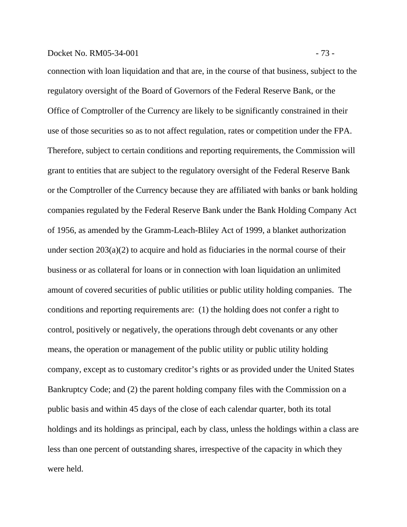## Docket No. RM05-34-001 - 73 -

connection with loan liquidation and that are, in the course of that business, subject to the regulatory oversight of the Board of Governors of the Federal Reserve Bank, or the Office of Comptroller of the Currency are likely to be significantly constrained in their use of those securities so as to not affect regulation, rates or competition under the FPA. Therefore, subject to certain conditions and reporting requirements, the Commission will grant to entities that are subject to the regulatory oversight of the Federal Reserve Bank or the Comptroller of the Currency because they are affiliated with banks or bank holding companies regulated by the Federal Reserve Bank under the Bank Holding Company Act of 1956, as amended by the Gramm-Leach-Bliley Act of 1999, a blanket authorization under section 203(a)(2) to acquire and hold as fiduciaries in the normal course of their business or as collateral for loans or in connection with loan liquidation an unlimited amount of covered securities of public utilities or public utility holding companies. The conditions and reporting requirements are:(1) the holding does not confer a right to control, positively or negatively, the operations through debt covenants or any other means, the operation or management of the public utility or public utility holding company, except as to customary creditor's rights or as provided under the United States Bankruptcy Code; and (2) the parent holding company files with the Commission on a public basis and within 45 days of the close of each calendar quarter, both its total holdings and its holdings as principal, each by class, unless the holdings within a class are less than one percent of outstanding shares, irrespective of the capacity in which they were held.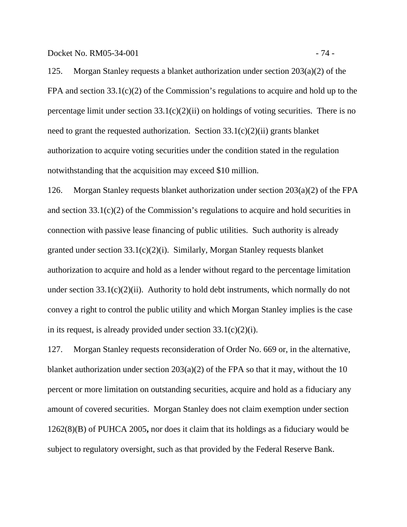Docket No. RM05-34-001 - 74 -

125. Morgan Stanley requests a blanket authorization under section 203(a)(2) of the FPA and section 33.1(c)(2) of the Commission's regulations to acquire and hold up to the percentage limit under section  $33.1(c)(2)(ii)$  on holdings of voting securities. There is no need to grant the requested authorization. Section  $33.1(c)(2)(ii)$  grants blanket authorization to acquire voting securities under the condition stated in the regulation notwithstanding that the acquisition may exceed \$10 million.

126. Morgan Stanley requests blanket authorization under section 203(a)(2) of the FPA and section 33.1(c)(2) of the Commission's regulations to acquire and hold securities in connection with passive lease financing of public utilities. Such authority is already granted under section 33.1(c)(2)(i). Similarly, Morgan Stanley requests blanket authorization to acquire and hold as a lender without regard to the percentage limitation under section  $33.1(c)(2)(ii)$ . Authority to hold debt instruments, which normally do not convey a right to control the public utility and which Morgan Stanley implies is the case in its request, is already provided under section  $33.1(c)(2)(i)$ .

127. Morgan Stanley requests reconsideration of Order No. 669 or, in the alternative, blanket authorization under section  $203(a)(2)$  of the FPA so that it may, without the 10 percent or more limitation on outstanding securities, acquire and hold as a fiduciary any amount of covered securities. Morgan Stanley does not claim exemption under section 1262(8)(B) of PUHCA 2005**,** nor does it claim that its holdings as a fiduciary would be subject to regulatory oversight, such as that provided by the Federal Reserve Bank.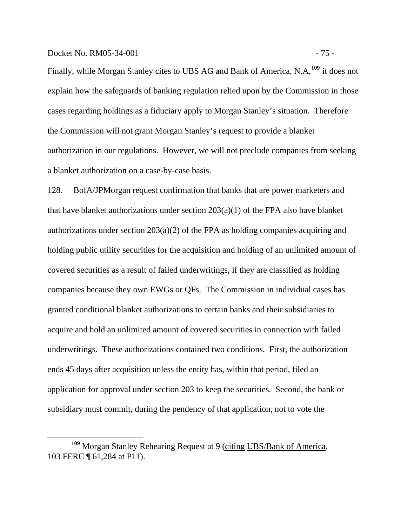Finally, while Morgan Stanley cites to UBS AG and Bank of America, N.A,<sup>[109](#page-77-0)</sup> it does not explain how the safeguards of banking regulation relied upon by the Commission in those cases regarding holdings as a fiduciary apply to Morgan Stanley's situation. Therefore the Commission will not grant Morgan Stanley's request to provide a blanket authorization in our regulations. However, we will not preclude companies from seeking a blanket authorization on a case-by-case basis.

128. BofA/JPMorgan request confirmation that banks that are power marketers and that have blanket authorizations under section 203(a)(1) of the FPA also have blanket authorizations under section 203(a)(2) of the FPA as holding companies acquiring and holding public utility securities for the acquisition and holding of an unlimited amount of covered securities as a result of failed underwritings, if they are classified as holding companies because they own EWGs or QFs. The Commission in individual cases has granted conditional blanket authorizations to certain banks and their subsidiaries to acquire and hold an unlimited amount of covered securities in connection with failed underwritings. These authorizations contained two conditions. First, the authorization ends 45 days after acquisition unless the entity has, within that period, filed an application for approval under section 203 to keep the securities. Second, the bank or subsidiary must commit, during the pendency of that application, not to vote the

<span id="page-77-0"></span><sup>&</sup>lt;sup>109</sup> Morgan Stanley Rehearing Request at 9 (citing UBS/Bank of America, 103 FERC ¶ 61,284 at P11).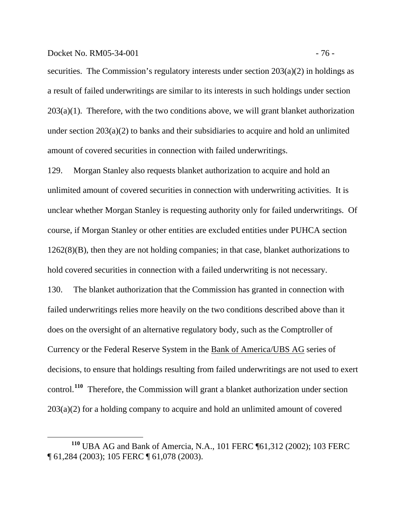Docket No. RM05-34-001 - 76 -

securities. The Commission's regulatory interests under section  $203(a)(2)$  in holdings as a result of failed underwritings are similar to its interests in such holdings under section  $203(a)(1)$ . Therefore, with the two conditions above, we will grant blanket authorization under section 203(a)(2) to banks and their subsidiaries to acquire and hold an unlimited amount of covered securities in connection with failed underwritings.

129. Morgan Stanley also requests blanket authorization to acquire and hold an unlimited amount of covered securities in connection with underwriting activities. It is unclear whether Morgan Stanley is requesting authority only for failed underwritings. Of course, if Morgan Stanley or other entities are excluded entities under PUHCA section 1262(8)(B), then they are not holding companies; in that case, blanket authorizations to hold covered securities in connection with a failed underwriting is not necessary. 130. The blanket authorization that the Commission has granted in connection with failed underwritings relies more heavily on the two conditions described above than it does on the oversight of an alternative regulatory body, such as the Comptroller of Currency or the Federal Reserve System in the Bank of America/UBS AG series of decisions, to ensure that holdings resulting from failed underwritings are not used to exert control.**[110](#page-78-0)** Therefore, the Commission will grant a blanket authorization under section

203(a)(2) for a holding company to acquire and hold an unlimited amount of covered

<span id="page-78-0"></span>**<sup>110</sup>** UBA AG and Bank of Amercia, N.A., 101 FERC ¶61,312 (2002); 103 FERC ¶ 61,284 (2003); 105 FERC ¶ 61,078 (2003).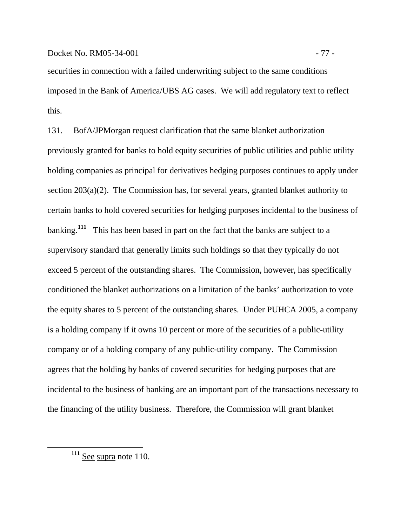securities in connection with a failed underwriting subject to the same conditions imposed in the Bank of America/UBS AG cases. We will add regulatory text to reflect this.

131. BofA/JPMorgan request clarification that the same blanket authorization previously granted for banks to hold equity securities of public utilities and public utility holding companies as principal for derivatives hedging purposes continues to apply under section 203(a)(2). The Commission has, for several years, granted blanket authority to certain banks to hold covered securities for hedging purposes incidental to the business of banking.**[111](#page-79-0)** This has been based in part on the fact that the banks are subject to a supervisory standard that generally limits such holdings so that they typically do not exceed 5 percent of the outstanding shares. The Commission, however, has specifically conditioned the blanket authorizations on a limitation of the banks' authorization to vote the equity shares to 5 percent of the outstanding shares. Under PUHCA 2005, a company is a holding company if it owns 10 percent or more of the securities of a public-utility company or of a holding company of any public-utility company. The Commission agrees that the holding by banks of covered securities for hedging purposes that are incidental to the business of banking are an important part of the transactions necessary to the financing of the utility business. Therefore, the Commission will grant blanket

<span id="page-79-0"></span> $\overline{a}$ 

**<sup>111</sup>** See supra note 110.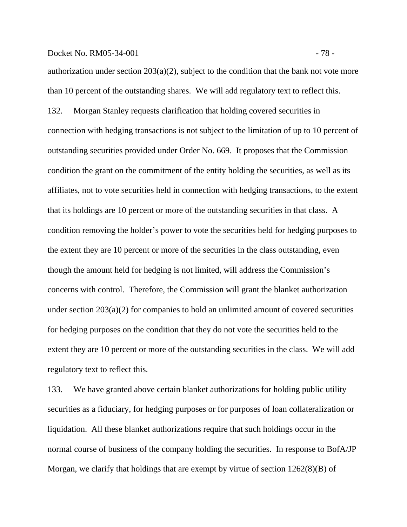## Docket No. RM05-34-001 - 78 -

authorization under section  $203(a)(2)$ , subject to the condition that the bank not vote more than 10 percent of the outstanding shares. We will add regulatory text to reflect this. 132. Morgan Stanley requests clarification that holding covered securities in connection with hedging transactions is not subject to the limitation of up to 10 percent of outstanding securities provided under Order No. 669. It proposes that the Commission condition the grant on the commitment of the entity holding the securities, as well as its affiliates, not to vote securities held in connection with hedging transactions, to the extent that its holdings are 10 percent or more of the outstanding securities in that class. A condition removing the holder's power to vote the securities held for hedging purposes to the extent they are 10 percent or more of the securities in the class outstanding, even though the amount held for hedging is not limited, will address the Commission's concerns with control. Therefore, the Commission will grant the blanket authorization under section 203(a)(2) for companies to hold an unlimited amount of covered securities for hedging purposes on the condition that they do not vote the securities held to the extent they are 10 percent or more of the outstanding securities in the class. We will add

regulatory text to reflect this.

133. We have granted above certain blanket authorizations for holding public utility securities as a fiduciary, for hedging purposes or for purposes of loan collateralization or liquidation. All these blanket authorizations require that such holdings occur in the normal course of business of the company holding the securities. In response to BofA/JP Morgan, we clarify that holdings that are exempt by virtue of section 1262(8)(B) of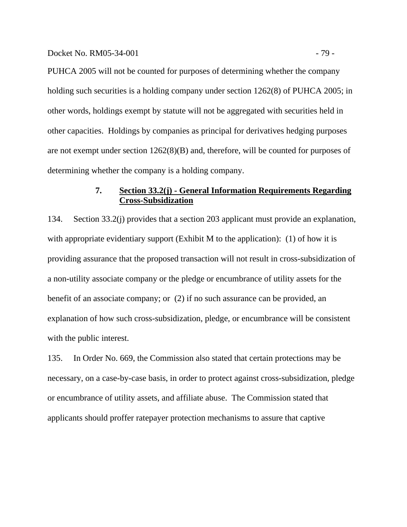PUHCA 2005 will not be counted for purposes of determining whether the company holding such securities is a holding company under section 1262(8) of PUHCA 2005; in other words, holdings exempt by statute will not be aggregated with securities held in other capacities. Holdings by companies as principal for derivatives hedging purposes are not exempt under section 1262(8)(B) and, therefore, will be counted for purposes of determining whether the company is a holding company.

## **7. Section 33.2(j) - General Information Requirements Regarding Cross-Subsidization**

134. Section 33.2(j) provides that a section 203 applicant must provide an explanation, with appropriate evidentiary support (Exhibit M to the application): (1) of how it is providing assurance that the proposed transaction will not result in cross-subsidization of a non-utility associate company or the pledge or encumbrance of utility assets for the benefit of an associate company; or (2) if no such assurance can be provided, an explanation of how such cross-subsidization, pledge, or encumbrance will be consistent with the public interest.

135. In Order No. 669, the Commission also stated that certain protections may be necessary, on a case-by-case basis, in order to protect against cross-subsidization, pledge or encumbrance of utility assets, and affiliate abuse. The Commission stated that applicants should proffer ratepayer protection mechanisms to assure that captive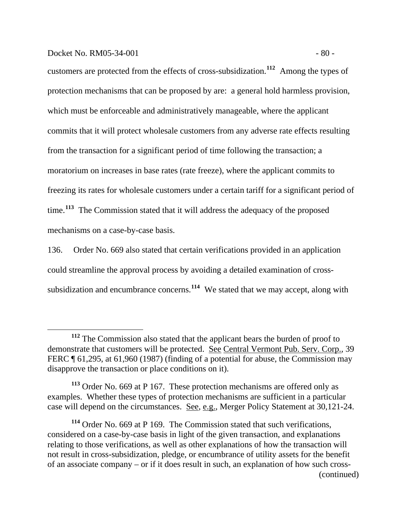#### Docket No. RM05-34-001 - 80 -

 $\overline{a}$ 

customers are protected from the effects of cross-subsidization.**[112](#page-82-0)** Among the types of protection mechanisms that can be proposed by are: a general hold harmless provision, which must be enforceable and administratively manageable, where the applicant commits that it will protect wholesale customers from any adverse rate effects resulting from the transaction for a significant period of time following the transaction; a moratorium on increases in base rates (rate freeze), where the applicant commits to freezing its rates for wholesale customers under a certain tariff for a significant period of time.**[113](#page-82-1)** The Commission stated that it will address the adequacy of the proposed mechanisms on a case-by-case basis.

136. Order No. 669 also stated that certain verifications provided in an application could streamline the approval process by avoiding a detailed examination of crosssubsidization and encumbrance concerns.**[114](#page-82-2)** We stated that we may accept, along with

<span id="page-82-0"></span>**<sup>112</sup>** The Commission also stated that the applicant bears the burden of proof to demonstrate that customers will be protected. See Central Vermont Pub. Serv. Corp., 39 FERC ¶ 61,295, at 61,960 (1987) (finding of a potential for abuse, the Commission may disapprove the transaction or place conditions on it).

<span id="page-82-1"></span>**<sup>113</sup>** Order No. 669 at P 167. These protection mechanisms are offered only as examples. Whether these types of protection mechanisms are sufficient in a particular case will depend on the circumstances. See, e.g., Merger Policy Statement at 30,121-24.

<span id="page-82-2"></span>**<sup>114</sup>** Order No. 669 at P 169. The Commission stated that such verifications, considered on a case-by-case basis in light of the given transaction, and explanations relating to those verifications, as well as other explanations of how the transaction will not result in cross-subsidization, pledge, or encumbrance of utility assets for the benefit of an associate company – or if it does result in such, an explanation of how such cross- (continued)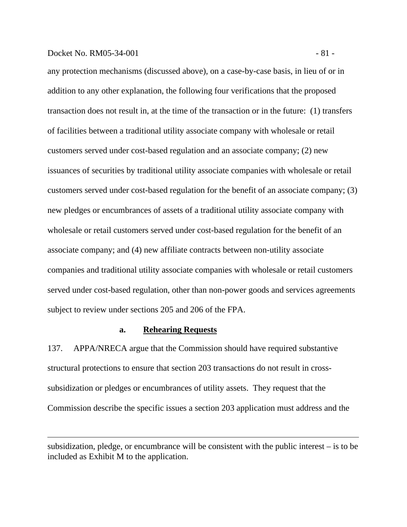#### Docket No. RM05-34-001 - 81 -

 $\overline{a}$ 

any protection mechanisms (discussed above), on a case-by-case basis, in lieu of or in addition to any other explanation, the following four verifications that the proposed transaction does not result in, at the time of the transaction or in the future: (1) transfers of facilities between a traditional utility associate company with wholesale or retail customers served under cost-based regulation and an associate company; (2) new issuances of securities by traditional utility associate companies with wholesale or retail customers served under cost-based regulation for the benefit of an associate company; (3) new pledges or encumbrances of assets of a traditional utility associate company with wholesale or retail customers served under cost-based regulation for the benefit of an associate company; and (4) new affiliate contracts between non-utility associate companies and traditional utility associate companies with wholesale or retail customers served under cost-based regulation, other than non-power goods and services agreements subject to review under sections 205 and 206 of the FPA.

## **a. Rehearing Requests**

137. APPA/NRECA argue that the Commission should have required substantive structural protections to ensure that section 203 transactions do not result in crosssubsidization or pledges or encumbrances of utility assets. They request that the Commission describe the specific issues a section 203 application must address and the

subsidization, pledge, or encumbrance will be consistent with the public interest – is to be included as Exhibit M to the application.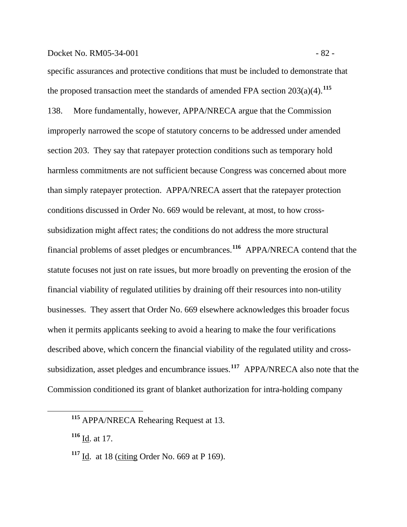#### Docket No. RM05-34-001 - 82 -

specific assurances and protective conditions that must be included to demonstrate that the proposed transaction meet the standards of amended FPA section  $203(a)(4)$ .<sup>[115](#page-84-0)</sup> 138. More fundamentally, however, APPA/NRECA argue that the Commission improperly narrowed the scope of statutory concerns to be addressed under amended section 203. They say that ratepayer protection conditions such as temporary hold harmless commitments are not sufficient because Congress was concerned about more than simply ratepayer protection. APPA/NRECA assert that the ratepayer protection conditions discussed in Order No. 669 would be relevant, at most, to how crosssubsidization might affect rates; the conditions do not address the more structural financial problems of asset pledges or encumbrances.**[116](#page-84-1)** APPA/NRECA contend that the statute focuses not just on rate issues, but more broadly on preventing the erosion of the financial viability of regulated utilities by draining off their resources into non-utility businesses. They assert that Order No. 669 elsewhere acknowledges this broader focus when it permits applicants seeking to avoid a hearing to make the four verifications described above, which concern the financial viability of the regulated utility and crosssubsidization, asset pledges and encumbrance issues.**[117](#page-84-2)** APPA/NRECA also note that the Commission conditioned its grant of blanket authorization for intra-holding company

<span id="page-84-2"></span><span id="page-84-1"></span><span id="page-84-0"></span> $\overline{a}$ 

**<sup>115</sup>** APPA/NRECA Rehearing Request at 13.

**<sup>116</sup>** Id. at 17.

**<sup>117</sup>** Id. at 18 (citing Order No. 669 at P 169).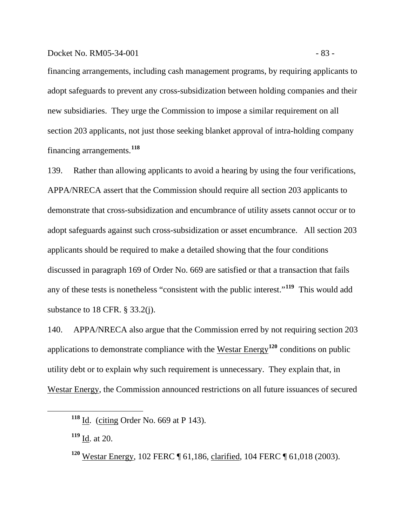## Docket No. RM05-34-001 - 83

financing arrangements, including cash management programs, by requiring applicants to adopt safeguards to prevent any cross-subsidization between holding companies and their new subsidiaries. They urge the Commission to impose a similar requirement on all section 203 applicants, not just those seeking blanket approval of intra-holding company financing arrangements.**[118](#page-85-0)**

139. Rather than allowing applicants to avoid a hearing by using the four verifications, APPA/NRECA assert that the Commission should require all section 203 applicants to demonstrate that cross-subsidization and encumbrance of utility assets cannot occur or to adopt safeguards against such cross-subsidization or asset encumbrance. All section 203 applicants should be required to make a detailed showing that the four conditions discussed in paragraph 169 of Order No. 669 are satisfied or that a transaction that fails any of these tests is nonetheless "consistent with the public interest."**[119](#page-85-1)** This would add substance to 18 CFR. § 33.2(j).

140. APPA/NRECA also argue that the Commission erred by not requiring section 203 applications to demonstrate compliance with the Westar Energy**[120](#page-85-2)** conditions on public utility debt or to explain why such requirement is unnecessary. They explain that, in Westar Energy, the Commission announced restrictions on all future issuances of secured

<span id="page-85-0"></span>**<sup>118</sup>** Id. (citing Order No. 669 at P 143).

<span id="page-85-1"></span>**<sup>119</sup>** Id. at 20.

<span id="page-85-2"></span>**<sup>120</sup>** Westar Energy, 102 FERC ¶ 61,186, clarified*,* 104 FERC ¶ 61,018 (2003).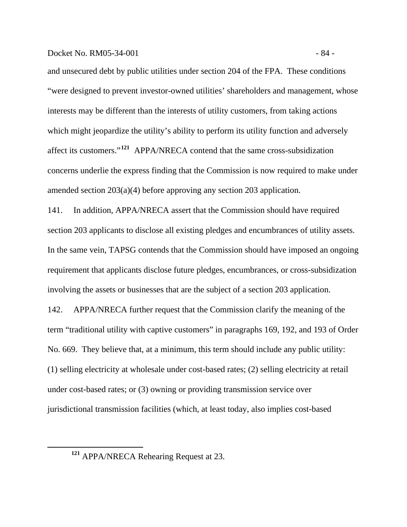#### Docket No. RM05-34-001 - 84 -

and unsecured debt by public utilities under section 204 of the FPA. These conditions "were designed to prevent investor-owned utilities' shareholders and management, whose interests may be different than the interests of utility customers, from taking actions which might jeopardize the utility's ability to perform its utility function and adversely affect its customers."**[121](#page-86-0)** APPA/NRECA contend that the same cross-subsidization concerns underlie the express finding that the Commission is now required to make under amended section 203(a)(4) before approving any section 203 application.

141. In addition, APPA/NRECA assert that the Commission should have required section 203 applicants to disclose all existing pledges and encumbrances of utility assets. In the same vein, TAPSG contends that the Commission should have imposed an ongoing requirement that applicants disclose future pledges, encumbrances, or cross-subsidization involving the assets or businesses that are the subject of a section 203 application.

142. APPA/NRECA further request that the Commission clarify the meaning of the term "traditional utility with captive customers" in paragraphs 169, 192, and 193 of Order No. 669. They believe that, at a minimum, this term should include any public utility: (1) selling electricity at wholesale under cost-based rates; (2) selling electricity at retail under cost-based rates; or (3) owning or providing transmission service over jurisdictional transmission facilities (which, at least today, also implies cost-based

<span id="page-86-0"></span> $\overline{a}$ 

**<sup>121</sup>** APPA/NRECA Rehearing Request at 23.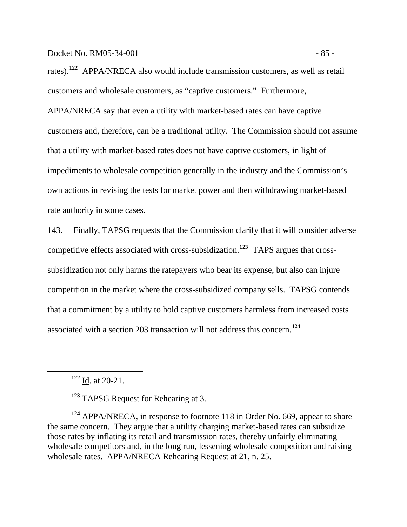rates).**[122](#page-87-0)** APPA/NRECA also would include transmission customers, as well as retail customers and wholesale customers, as "captive customers." Furthermore, APPA/NRECA say that even a utility with market-based rates can have captive customers and, therefore, can be a traditional utility. The Commission should not assume that a utility with market-based rates does not have captive customers, in light of impediments to wholesale competition generally in the industry and the Commission's own actions in revising the tests for market power and then withdrawing market-based rate authority in some cases.

143. Finally, TAPSG requests that the Commission clarify that it will consider adverse competitive effects associated with cross-subsidization.**[123](#page-87-1)** TAPS argues that crosssubsidization not only harms the ratepayers who bear its expense, but also can injure competition in the market where the cross-subsidized company sells. TAPSG contends that a commitment by a utility to hold captive customers harmless from increased costs associated with a section 203 transaction will not address this concern.**[124](#page-87-2)**

**<sup>122</sup>** Id. at 20-21.

<span id="page-87-0"></span> $\overline{a}$ 

**<sup>123</sup>** TAPSG Request for Rehearing at 3.

<span id="page-87-2"></span><span id="page-87-1"></span>**<sup>124</sup>** APPA/NRECA, in response to footnote 118 in Order No. 669, appear to share the same concern. They argue that a utility charging market-based rates can subsidize those rates by inflating its retail and transmission rates, thereby unfairly eliminating wholesale competitors and, in the long run, lessening wholesale competition and raising wholesale rates. APPA/NRECA Rehearing Request at 21, n. 25.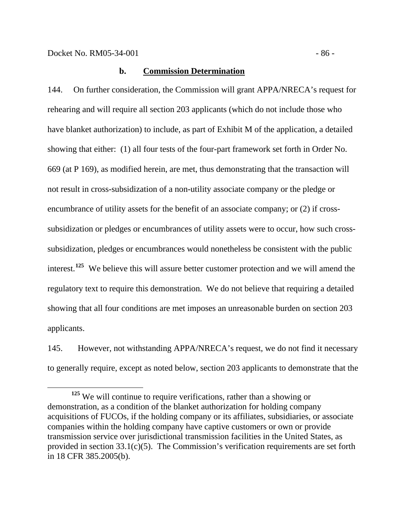### **b. Commission Determination**

144. On further consideration, the Commission will grant APPA/NRECA's request for rehearing and will require all section 203 applicants (which do not include those who have blanket authorization) to include, as part of Exhibit M of the application, a detailed showing that either: (1) all four tests of the four-part framework set forth in Order No. 669 (at P 169), as modified herein, are met, thus demonstrating that the transaction will not result in cross-subsidization of a non-utility associate company or the pledge or encumbrance of utility assets for the benefit of an associate company; or (2) if crosssubsidization or pledges or encumbrances of utility assets were to occur, how such crosssubsidization, pledges or encumbrances would nonetheless be consistent with the public interest.**[125](#page-88-0)** We believe this will assure better customer protection and we will amend the regulatory text to require this demonstration. We do not believe that requiring a detailed showing that all four conditions are met imposes an unreasonable burden on section 203 applicants.

145. However, not withstanding APPA/NRECA's request, we do not find it necessary to generally require, except as noted below, section 203 applicants to demonstrate that the

<span id="page-88-0"></span>**<sup>125</sup>** We will continue to require verifications, rather than a showing or demonstration, as a condition of the blanket authorization for holding company acquisitions of FUCOs, if the holding company or its affiliates, subsidiaries, or associate companies within the holding company have captive customers or own or provide transmission service over jurisdictional transmission facilities in the United States, as provided in section 33.1(c)(5). The Commission's verification requirements are set forth in 18 CFR 385.2005(b).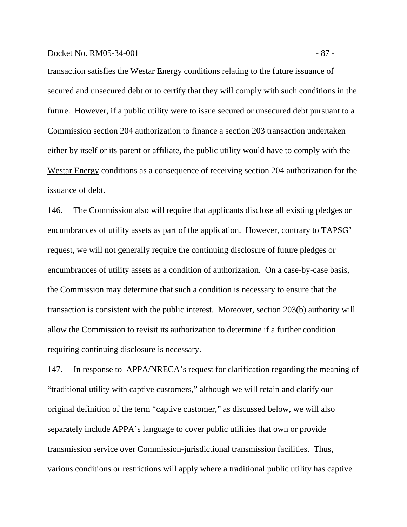## Docket No. RM05-34-001 - 87 -

transaction satisfies the Westar Energy conditions relating to the future issuance of secured and unsecured debt or to certify that they will comply with such conditions in the future. However, if a public utility were to issue secured or unsecured debt pursuant to a Commission section 204 authorization to finance a section 203 transaction undertaken either by itself or its parent or affiliate, the public utility would have to comply with the Westar Energy conditions as a consequence of receiving section 204 authorization for the issuance of debt.

146. The Commission also will require that applicants disclose all existing pledges or encumbrances of utility assets as part of the application. However, contrary to TAPSG' request, we will not generally require the continuing disclosure of future pledges or encumbrances of utility assets as a condition of authorization. On a case-by-case basis, the Commission may determine that such a condition is necessary to ensure that the transaction is consistent with the public interest. Moreover, section 203(b) authority will allow the Commission to revisit its authorization to determine if a further condition requiring continuing disclosure is necessary.

147. In response to APPA/NRECA's request for clarification regarding the meaning of "traditional utility with captive customers," although we will retain and clarify our original definition of the term "captive customer," as discussed below, we will also separately include APPA's language to cover public utilities that own or provide transmission service over Commission-jurisdictional transmission facilities. Thus, various conditions or restrictions will apply where a traditional public utility has captive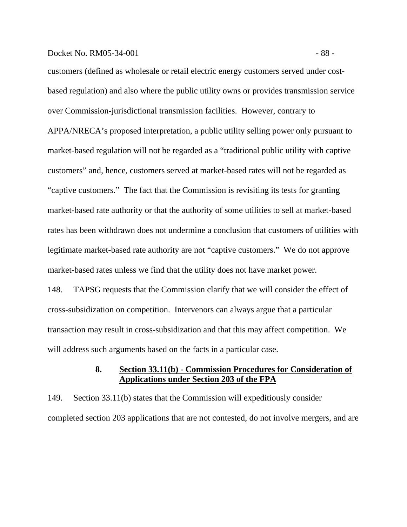#### Docket No. RM05-34-001 - 88 -

customers (defined as wholesale or retail electric energy customers served under costbased regulation) and also where the public utility owns or provides transmission service over Commission-jurisdictional transmission facilities. However, contrary to APPA/NRECA's proposed interpretation, a public utility selling power only pursuant to market-based regulation will not be regarded as a "traditional public utility with captive customers" and, hence, customers served at market-based rates will not be regarded as "captive customers." The fact that the Commission is revisiting its tests for granting market-based rate authority or that the authority of some utilities to sell at market-based rates has been withdrawn does not undermine a conclusion that customers of utilities with legitimate market-based rate authority are not "captive customers." We do not approve market-based rates unless we find that the utility does not have market power.

148. TAPSG requests that the Commission clarify that we will consider the effect of cross-subsidization on competition. Intervenors can always argue that a particular transaction may result in cross-subsidization and that this may affect competition. We will address such arguments based on the facts in a particular case.

## **8. Section 33.11(b) - Commission Procedures for Consideration of Applications under Section 203 of the FPA**

149. Section 33.11(b) states that the Commission will expeditiously consider completed section 203 applications that are not contested, do not involve mergers, and are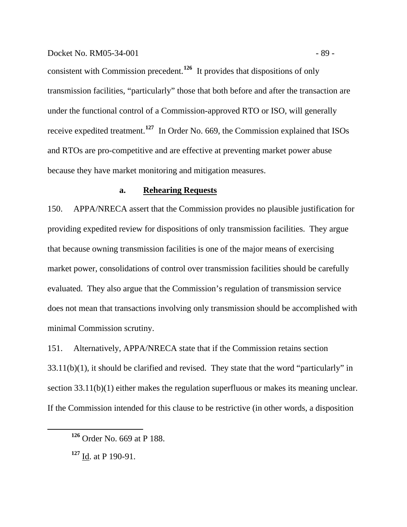consistent with Commission precedent.**[126](#page-91-0)** It provides that dispositions of only transmission facilities, "particularly" those that both before and after the transaction are under the functional control of a Commission-approved RTO or ISO, will generally receive expedited treatment.**[127](#page-91-1)** In Order No. 669, the Commission explained that ISOs and RTOs are pro-competitive and are effective at preventing market power abuse because they have market monitoring and mitigation measures.

## **a. Rehearing Requests**

150. APPA/NRECA assert that the Commission provides no plausible justification for providing expedited review for dispositions of only transmission facilities. They argue that because owning transmission facilities is one of the major means of exercising market power, consolidations of control over transmission facilities should be carefully evaluated. They also argue that the Commission's regulation of transmission service does not mean that transactions involving only transmission should be accomplished with minimal Commission scrutiny.

151. Alternatively, APPA/NRECA state that if the Commission retains section 33.11(b)(1), it should be clarified and revised. They state that the word "particularly" in section 33.11(b)(1) either makes the regulation superfluous or makes its meaning unclear. If the Commission intended for this clause to be restrictive (in other words, a disposition

<span id="page-91-0"></span>**<sup>126</sup>** Order No. 669 at P 188.

<span id="page-91-1"></span>**<sup>127</sup>** Id. at P 190-91.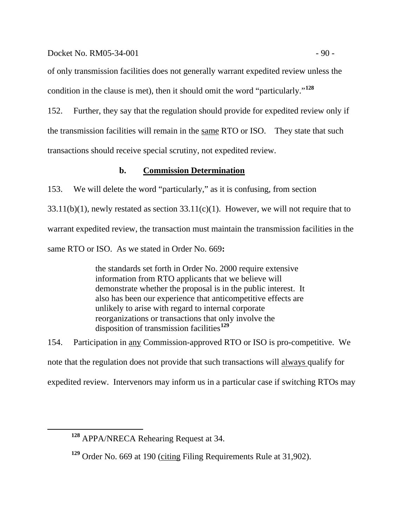#### Docket No. RM05-34-001 - 90 -

of only transmission facilities does not generally warrant expedited review unless the condition in the clause is met), then it should omit the word "particularly."**[128](#page-92-0)**

152. Further, they say that the regulation should provide for expedited review only if the transmission facilities will remain in the same RTO or ISO. They state that such transactions should receive special scrutiny, not expedited review.

## **b. Commission Determination**

153. We will delete the word "particularly," as it is confusing, from section  $33.11(b)(1)$ , newly restated as section  $33.11(c)(1)$ . However, we will not require that to warrant expedited review, the transaction must maintain the transmission facilities in the same RTO or ISO. As we stated in Order No. 669**:**

> the standards set forth in Order No. 2000 require extensive information from RTO applicants that we believe will demonstrate whether the proposal is in the public interest. It also has been our experience that anticompetitive effects are unlikely to arise with regard to internal corporate reorganizations or transactions that only involve the disposition of transmission facilities**[129](#page-92-1)**

154. Participation in any Commission-approved RTO or ISO is pro-competitive. We note that the regulation does not provide that such transactions will always qualify for expedited review. Intervenors may inform us in a particular case if switching RTOs may

<span id="page-92-0"></span>**<sup>128</sup>** APPA/NRECA Rehearing Request at 34.

<span id="page-92-1"></span>**<sup>129</sup>** Order No. 669 at 190 (citing Filing Requirements Rule at 31,902).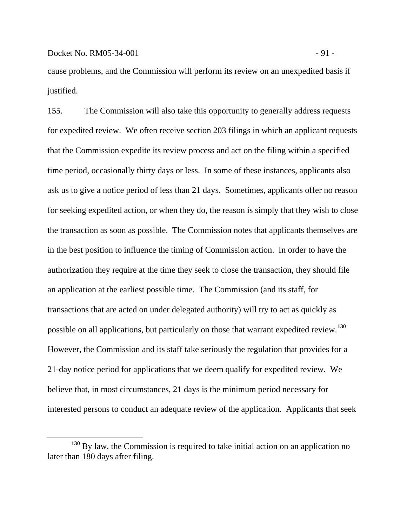$\overline{a}$ 

cause problems, and the Commission will perform its review on an unexpedited basis if justified.

155. The Commission will also take this opportunity to generally address requests for expedited review. We often receive section 203 filings in which an applicant requests that the Commission expedite its review process and act on the filing within a specified time period, occasionally thirty days or less. In some of these instances, applicants also ask us to give a notice period of less than 21 days. Sometimes, applicants offer no reason for seeking expedited action, or when they do, the reason is simply that they wish to close the transaction as soon as possible. The Commission notes that applicants themselves are in the best position to influence the timing of Commission action. In order to have the authorization they require at the time they seek to close the transaction, they should file an application at the earliest possible time. The Commission (and its staff, for transactions that are acted on under delegated authority) will try to act as quickly as possible on all applications, but particularly on those that warrant expedited review.**[130](#page-93-0)** However, the Commission and its staff take seriously the regulation that provides for a 21-day notice period for applications that we deem qualify for expedited review. We believe that, in most circumstances, 21 days is the minimum period necessary for interested persons to conduct an adequate review of the application. Applicants that seek

<span id="page-93-0"></span>**<sup>130</sup>** By law, the Commission is required to take initial action on an application no later than 180 days after filing.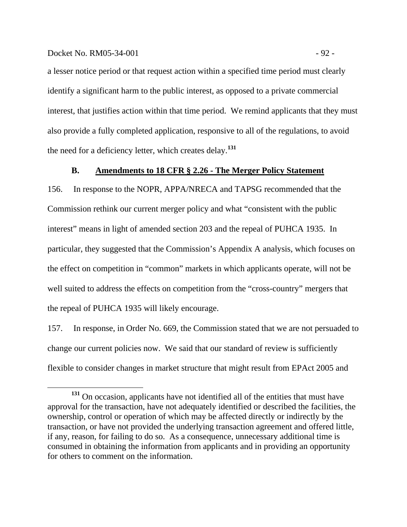#### Docket No. RM05-34-001 - 92 -

a lesser notice period or that request action within a specified time period must clearly identify a significant harm to the public interest, as opposed to a private commercial interest, that justifies action within that time period. We remind applicants that they must also provide a fully completed application, responsive to all of the regulations, to avoid the need for a deficiency letter, which creates delay.**[131](#page-94-0)**

## **B. Amendments to 18 CFR § 2.26 - The Merger Policy Statement**

156. In response to the NOPR, APPA/NRECA and TAPSG recommended that the Commission rethink our current merger policy and what "consistent with the public interest" means in light of amended section 203 and the repeal of PUHCA 1935. In particular, they suggested that the Commission's Appendix A analysis, which focuses on the effect on competition in "common" markets in which applicants operate, will not be well suited to address the effects on competition from the "cross-country" mergers that the repeal of PUHCA 1935 will likely encourage.

157. In response, in Order No. 669, the Commission stated that we are not persuaded to change our current policies now. We said that our standard of review is sufficiently flexible to consider changes in market structure that might result from EPAct 2005 and

<span id="page-94-0"></span>**<sup>131</sup>** On occasion, applicants have not identified all of the entities that must have approval for the transaction, have not adequately identified or described the facilities, the ownership, control or operation of which may be affected directly or indirectly by the transaction, or have not provided the underlying transaction agreement and offered little, if any, reason, for failing to do so. As a consequence, unnecessary additional time is consumed in obtaining the information from applicants and in providing an opportunity for others to comment on the information.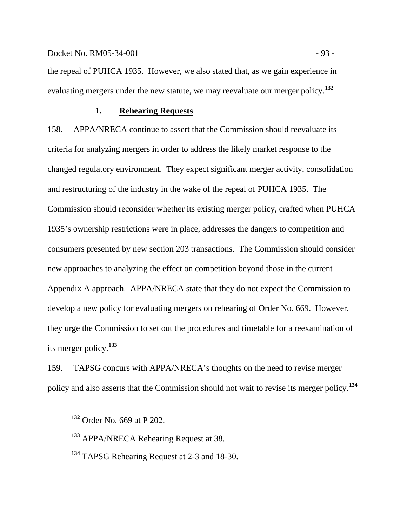Docket No. RM05-34-001 - 93

the repeal of PUHCA 1935. However, we also stated that, as we gain experience in evaluating mergers under the new statute, we may reevaluate our merger policy.**[132](#page-95-0)**

## **1. Rehearing Requests**

158. APPA/NRECA continue to assert that the Commission should reevaluate its criteria for analyzing mergers in order to address the likely market response to the changed regulatory environment. They expect significant merger activity, consolidation and restructuring of the industry in the wake of the repeal of PUHCA 1935. The Commission should reconsider whether its existing merger policy, crafted when PUHCA 1935's ownership restrictions were in place, addresses the dangers to competition and consumers presented by new section 203 transactions. The Commission should consider new approaches to analyzing the effect on competition beyond those in the current Appendix A approach. APPA/NRECA state that they do not expect the Commission to develop a new policy for evaluating mergers on rehearing of Order No. 669. However, they urge the Commission to set out the procedures and timetable for a reexamination of its merger policy.**[133](#page-95-1)**

<span id="page-95-0"></span>159. TAPSG concurs with APPA/NRECA's thoughts on the need to revise merger policy and also asserts that the Commission should not wait to revise its merger policy.**[134](#page-95-2)**

**<sup>132</sup>** Order No. 669 at P 202.

<span id="page-95-1"></span>**<sup>133</sup>** APPA/NRECA Rehearing Request at 38.

<span id="page-95-2"></span>**<sup>134</sup>** TAPSG Rehearing Request at 2-3 and 18-30.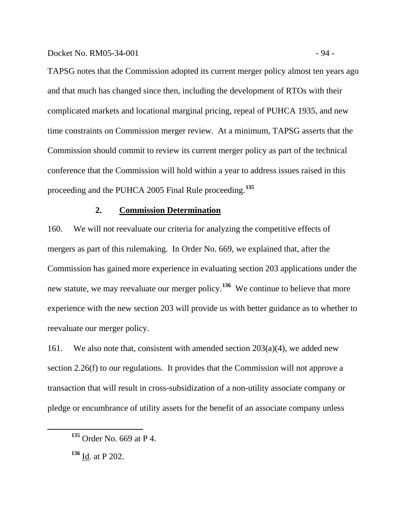TAPSG notes that the Commission adopted its current merger policy almost ten years ago and that much has changed since then, including the development of RTOs with their complicated markets and locational marginal pricing, repeal of PUHCA 1935, and new time constraints on Commission merger review. At a minimum, TAPSG asserts that the Commission should commit to review its current merger policy as part of the technical conference that the Commission will hold within a year to address issues raised in this proceeding and the PUHCA 2005 Final Rule proceeding.**[135](#page-96-0)**

## **2. Commission Determination**

160. We will not reevaluate our criteria for analyzing the competitive effects of mergers as part of this rulemaking. In Order No. 669, we explained that, after the Commission has gained more experience in evaluating section 203 applications under the new statute, we may reevaluate our merger policy.**[136](#page-96-1)** We continue to believe that more experience with the new section 203 will provide us with better guidance as to whether to reevaluate our merger policy.

161. We also note that, consistent with amended section  $203(a)(4)$ , we added new section 2.26(f) to our regulations. It provides that the Commission will not approve a transaction that will result in cross-subsidization of a non-utility associate company or pledge or encumbrance of utility assets for the benefit of an associate company unless

<span id="page-96-0"></span>**<sup>135</sup>** Order No. 669 at P 4.

<span id="page-96-1"></span>**<sup>136</sup>** Id. at P 202.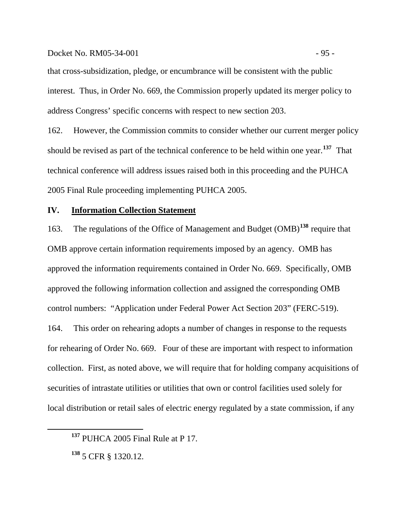Docket No. RM05-34-001 - 95 -

that cross-subsidization, pledge, or encumbrance will be consistent with the public interest. Thus, in Order No. 669, the Commission properly updated its merger policy to address Congress' specific concerns with respect to new section 203.

162. However, the Commission commits to consider whether our current merger policy should be revised as part of the technical conference to be held within one year.**[137](#page-97-0)** That technical conference will address issues raised both in this proceeding and the PUHCA 2005 Final Rule proceeding implementing PUHCA 2005.

## **IV. Information Collection Statement**

163. The regulations of the Office of Management and Budget (OMB)**[138](#page-97-1)** require that OMB approve certain information requirements imposed by an agency. OMB has approved the information requirements contained in Order No. 669. Specifically, OMB approved the following information collection and assigned the corresponding OMB control numbers: "Application under Federal Power Act Section 203" (FERC-519). 164. This order on rehearing adopts a number of changes in response to the requests for rehearing of Order No. 669. Four of these are important with respect to information collection. First, as noted above, we will require that for holding company acquisitions of securities of intrastate utilities or utilities that own or control facilities used solely for local distribution or retail sales of electric energy regulated by a state commission, if any

<span id="page-97-0"></span>**<sup>137</sup>** PUHCA 2005 Final Rule at P 17.

<span id="page-97-1"></span>**<sup>138</sup>** 5 CFR § 1320.12.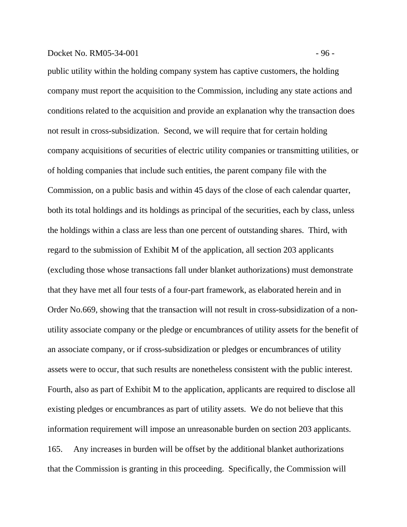#### Docket No. RM05-34-001 - 96 -

public utility within the holding company system has captive customers, the holding company must report the acquisition to the Commission, including any state actions and conditions related to the acquisition and provide an explanation why the transaction does not result in cross-subsidization. Second, we will require that for certain holding company acquisitions of securities of electric utility companies or transmitting utilities, or of holding companies that include such entities, the parent company file with the Commission, on a public basis and within 45 days of the close of each calendar quarter, both its total holdings and its holdings as principal of the securities, each by class, unless the holdings within a class are less than one percent of outstanding shares. Third, with regard to the submission of Exhibit M of the application, all section 203 applicants (excluding those whose transactions fall under blanket authorizations) must demonstrate that they have met all four tests of a four-part framework, as elaborated herein and in Order No.669, showing that the transaction will not result in cross-subsidization of a nonutility associate company or the pledge or encumbrances of utility assets for the benefit of an associate company, or if cross-subsidization or pledges or encumbrances of utility assets were to occur, that such results are nonetheless consistent with the public interest. Fourth, also as part of Exhibit M to the application, applicants are required to disclose all existing pledges or encumbrances as part of utility assets. We do not believe that this information requirement will impose an unreasonable burden on section 203 applicants. 165. Any increases in burden will be offset by the additional blanket authorizations that the Commission is granting in this proceeding. Specifically, the Commission will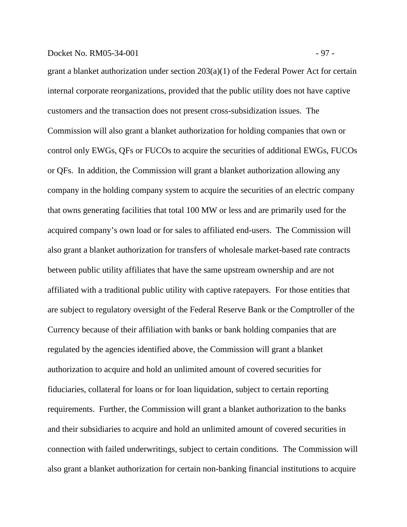## Docket No. RM05-34-001 - 97 -

grant a blanket authorization under section 203(a)(1) of the Federal Power Act for certain internal corporate reorganizations, provided that the public utility does not have captive customers and the transaction does not present cross-subsidization issues. The Commission will also grant a blanket authorization for holding companies that own or control only EWGs, QFs or FUCOs to acquire the securities of additional EWGs, FUCOs or QFs. In addition, the Commission will grant a blanket authorization allowing any company in the holding company system to acquire the securities of an electric company that owns generating facilities that total 100 MW or less and are primarily used for the acquired company's own load or for sales to affiliated end-users. The Commission will also grant a blanket authorization for transfers of wholesale market-based rate contracts between public utility affiliates that have the same upstream ownership and are not affiliated with a traditional public utility with captive ratepayers. For those entities that are subject to regulatory oversight of the Federal Reserve Bank or the Comptroller of the Currency because of their affiliation with banks or bank holding companies that are regulated by the agencies identified above, the Commission will grant a blanket authorization to acquire and hold an unlimited amount of covered securities for fiduciaries, collateral for loans or for loan liquidation, subject to certain reporting requirements. Further, the Commission will grant a blanket authorization to the banks and their subsidiaries to acquire and hold an unlimited amount of covered securities in connection with failed underwritings, subject to certain conditions. The Commission will also grant a blanket authorization for certain non-banking financial institutions to acquire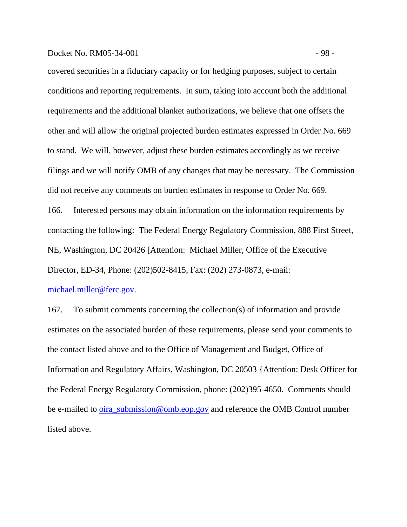## Docket No. RM05-34-001 - 98 -

covered securities in a fiduciary capacity or for hedging purposes, subject to certain conditions and reporting requirements. In sum, taking into account both the additional requirements and the additional blanket authorizations, we believe that one offsets the other and will allow the original projected burden estimates expressed in Order No. 669 to stand. We will, however, adjust these burden estimates accordingly as we receive filings and we will notify OMB of any changes that may be necessary. The Commission did not receive any comments on burden estimates in response to Order No. 669. 166. Interested persons may obtain information on the information requirements by contacting the following: The Federal Energy Regulatory Commission, 888 First Street, NE, Washington, DC 20426 [Attention: Michael Miller, Office of the Executive Director, ED-34, Phone: (202)502-8415, Fax: (202) 273-0873, e-mail:

[michael.miller@ferc.gov.](mailto:michael.miller@ferc.gov)

167. To submit comments concerning the collection(s) of information and provide estimates on the associated burden of these requirements, please send your comments to the contact listed above and to the Office of Management and Budget, Office of Information and Regulatory Affairs, Washington, DC 20503 {Attention: Desk Officer for the Federal Energy Regulatory Commission, phone: (202)395-4650. Comments should be e-mailed to <u>oira\_submission@omb.eop.gov</u> and reference the OMB Control number listed above.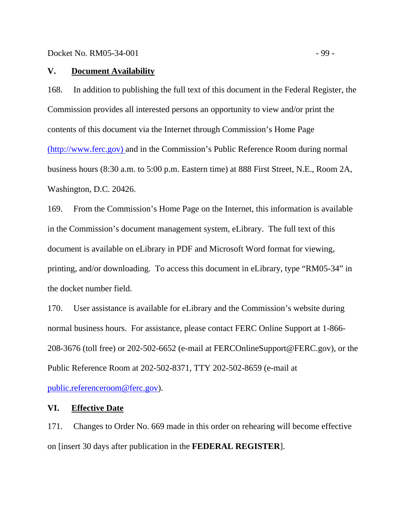## **V. Document Availability**

168. In addition to publishing the full text of this document in the Federal Register, the Commission provides all interested persons an opportunity to view and/or print the contents of this document via the Internet through Commission's Home Page [\(http://www.ferc.gov\) a](http://www.ferc.gov/)nd in the Commission's Public Reference Room during normal business hours (8:30 a.m. to 5:00 p.m. Eastern time) at 888 First Street, N.E., Room 2A, Washington, D.C. 20426.

169. From the Commission's Home Page on the Internet, this information is available in the Commission's document management system, eLibrary. The full text of this document is available on eLibrary in PDF and Microsoft Word format for viewing, printing, and/or downloading. To access this document in eLibrary, type "RM05-34" in the docket number field.

170. User assistance is available for eLibrary and the Commission's website during normal business hours. For assistance, please contact FERC Online Support at 1-866- 208-3676 (toll free) or 202-502-6652 (e-mail at FERCOnlineSupport@FERC.gov), or the Public Reference Room at 202-502-8371, TTY 202-502-8659 (e-mail at

[public.referenceroom@ferc.gov\)](mailto:public.referenceroom@ferc.gov).

## **VI. Effective Date**

171. Changes to Order No. 669 made in this order on rehearing will become effective on [insert 30 days after publication in the **FEDERAL REGISTER**].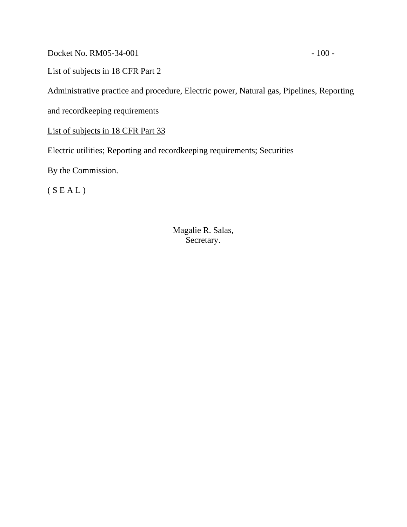Docket No. RM05-34-001 - 100 -

List of subjects in 18 CFR Part 2

Administrative practice and procedure, Electric power, Natural gas, Pipelines, Reporting

and recordkeeping requirements

List of subjects in 18 CFR Part 33

Electric utilities; Reporting and recordkeeping requirements; Securities

By the Commission.

 $(S E A L)$ 

Magalie R. Salas, Secretary.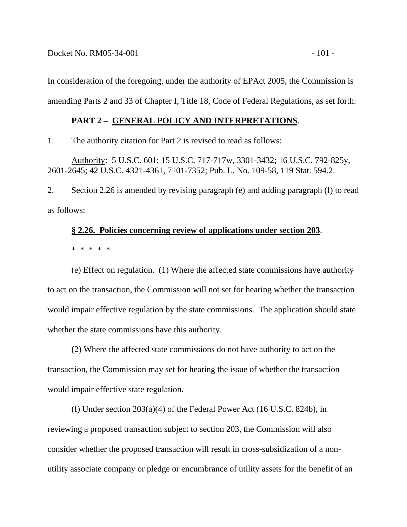In consideration of the foregoing, under the authority of EPAct 2005, the Commission is amending Parts 2 and 33 of Chapter I, Title 18, Code of Federal Regulations, as set forth:

## **PART 2 – GENERAL POLICY AND INTERPRETATIONS**.

1. The authority citation for Part 2 is revised to read as follows:

Authority: 5 U.S.C. 601; 15 U.S.C. 717-717w, 3301-3432; 16 U.S.C. 792-825y, 2601-2645; 42 U.S.C. 4321-4361, 7101-7352; Pub. L. No. 109-58, 119 Stat. 594.2.

2. Section 2.26 is amended by revising paragraph (e) and adding paragraph (f) to read as follows:

# **§ 2.26. Policies concerning review of applications under section 203**.

\* \* \* \* \*

(e) Effect on regulation. (1) Where the affected state commissions have authority to act on the transaction, the Commission will not set for hearing whether the transaction would impair effective regulation by the state commissions. The application should state whether the state commissions have this authority.

(2) Where the affected state commissions do not have authority to act on the transaction, the Commission may set for hearing the issue of whether the transaction would impair effective state regulation.

(f) Under section 203(a)(4) of the Federal Power Act (16 U.S.C. 824b), in reviewing a proposed transaction subject to section 203, the Commission will also consider whether the proposed transaction will result in cross-subsidization of a nonutility associate company or pledge or encumbrance of utility assets for the benefit of an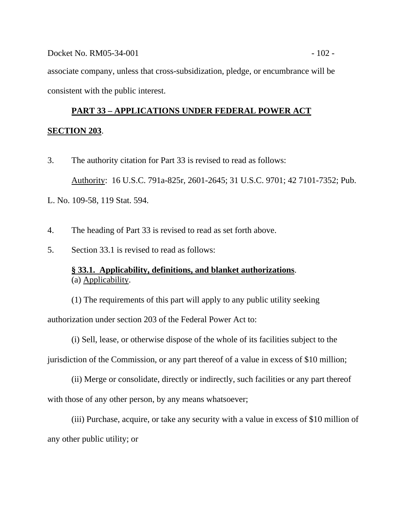associate company, unless that cross-subsidization, pledge, or encumbrance will be consistent with the public interest.

# **PART 33 – APPLICATIONS UNDER FEDERAL POWER ACT**

## **SECTION 203**.

- 3. The authority citation for Part 33 is revised to read as follows: Authority: 16 U.S.C. 791a-825r, 2601-2645; 31 U.S.C. 9701; 42 7101-7352; Pub.
- L. No. 109-58, 119 Stat. 594.
- 4. The heading of Part 33 is revised to read as set forth above.
- 5. Section 33.1 is revised to read as follows:

## **§ 33.1. Applicability, definitions, and blanket authorizations**. (a) Applicability.

(1) The requirements of this part will apply to any public utility seeking authorization under section 203 of the Federal Power Act to:

(i) Sell, lease, or otherwise dispose of the whole of its facilities subject to the jurisdiction of the Commission, or any part thereof of a value in excess of \$10 million;

(ii) Merge or consolidate, directly or indirectly, such facilities or any part thereof with those of any other person, by any means whatsoever;

(iii) Purchase, acquire, or take any security with a value in excess of \$10 million of any other public utility; or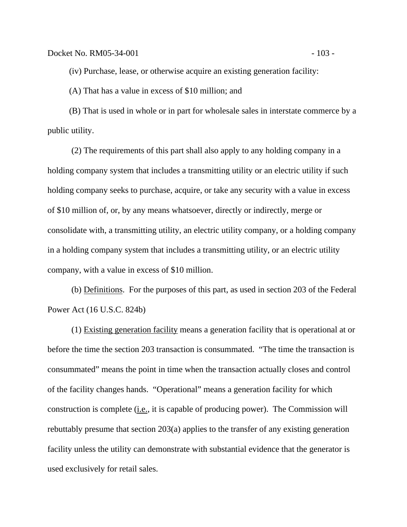(iv) Purchase, lease, or otherwise acquire an existing generation facility:

(A) That has a value in excess of \$10 million; and

(B) That is used in whole or in part for wholesale sales in interstate commerce by a public utility.

(2) The requirements of this part shall also apply to any holding company in a holding company system that includes a transmitting utility or an electric utility if such holding company seeks to purchase, acquire, or take any security with a value in excess of \$10 million of, or, by any means whatsoever, directly or indirectly, merge or consolidate with, a transmitting utility, an electric utility company, or a holding company in a holding company system that includes a transmitting utility, or an electric utility company, with a value in excess of \$10 million.

(b) Definitions. For the purposes of this part, as used in section 203 of the Federal Power Act (16 U.S.C. 824b)

(1) Existing generation facility means a generation facility that is operational at or before the time the section 203 transaction is consummated. "The time the transaction is consummated" means the point in time when the transaction actually closes and control of the facility changes hands. "Operational" means a generation facility for which construction is complete  $(i.e., it is capable of producing power)$ . The Commission will rebuttably presume that section 203(a) applies to the transfer of any existing generation facility unless the utility can demonstrate with substantial evidence that the generator is used exclusively for retail sales.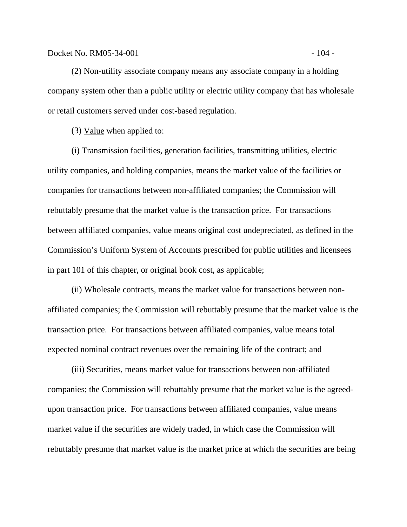#### Docket No. RM05-34-001 - 104 -

(2) Non-utility associate company means any associate company in a holding company system other than a public utility or electric utility company that has wholesale or retail customers served under cost-based regulation.

(3) Value when applied to:

(i) Transmission facilities, generation facilities, transmitting utilities, electric utility companies, and holding companies, means the market value of the facilities or companies for transactions between non-affiliated companies; the Commission will rebuttably presume that the market value is the transaction price. For transactions between affiliated companies, value means original cost undepreciated, as defined in the Commission's Uniform System of Accounts prescribed for public utilities and licensees in part 101 of this chapter, or original book cost, as applicable;

(ii) Wholesale contracts, means the market value for transactions between nonaffiliated companies; the Commission will rebuttably presume that the market value is the transaction price. For transactions between affiliated companies, value means total expected nominal contract revenues over the remaining life of the contract; and

(iii) Securities, means market value for transactions between non-affiliated companies; the Commission will rebuttably presume that the market value is the agreedupon transaction price. For transactions between affiliated companies, value means market value if the securities are widely traded, in which case the Commission will rebuttably presume that market value is the market price at which the securities are being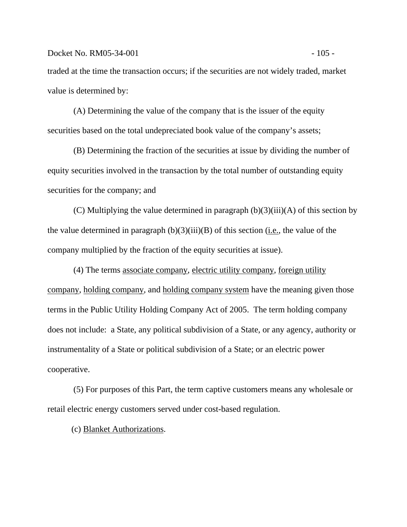traded at the time the transaction occurs; if the securities are not widely traded, market value is determined by:

(A) Determining the value of the company that is the issuer of the equity securities based on the total undepreciated book value of the company's assets;

(B) Determining the fraction of the securities at issue by dividing the number of equity securities involved in the transaction by the total number of outstanding equity securities for the company; and

(C) Multiplying the value determined in paragraph  $(b)(3)(iii)(A)$  of this section by the value determined in paragraph  $(b)(3)(iii)(B)$  of this section (i.e., the value of the company multiplied by the fraction of the equity securities at issue).

(4) The terms associate company, electric utility company, foreign utility company, holding company, and holding company system have the meaning given those terms in the Public Utility Holding Company Act of 2005. The term holding company does not include: a State, any political subdivision of a State, or any agency, authority or instrumentality of a State or political subdivision of a State; or an electric power cooperative.

(5) For purposes of this Part, the term captive customers means any wholesale or retail electric energy customers served under cost-based regulation.

(c) Blanket Authorizations.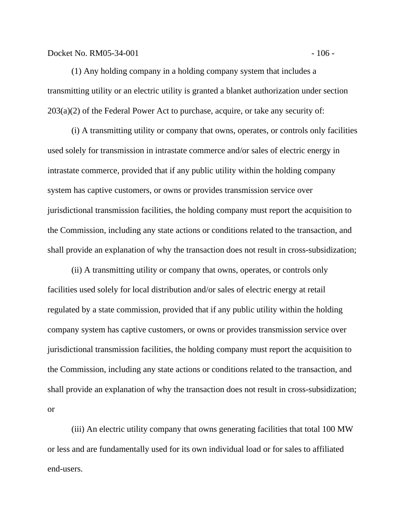Docket No. RM05-34-001 - 106 -

(1) Any holding company in a holding company system that includes a transmitting utility or an electric utility is granted a blanket authorization under section  $203(a)(2)$  of the Federal Power Act to purchase, acquire, or take any security of:

(i) A transmitting utility or company that owns, operates, or controls only facilities used solely for transmission in intrastate commerce and/or sales of electric energy in intrastate commerce, provided that if any public utility within the holding company system has captive customers, or owns or provides transmission service over jurisdictional transmission facilities, the holding company must report the acquisition to the Commission, including any state actions or conditions related to the transaction, and shall provide an explanation of why the transaction does not result in cross-subsidization;

(ii) A transmitting utility or company that owns, operates, or controls only facilities used solely for local distribution and/or sales of electric energy at retail regulated by a state commission, provided that if any public utility within the holding company system has captive customers, or owns or provides transmission service over jurisdictional transmission facilities, the holding company must report the acquisition to the Commission, including any state actions or conditions related to the transaction, and shall provide an explanation of why the transaction does not result in cross-subsidization; or

(iii) An electric utility company that owns generating facilities that total 100 MW or less and are fundamentally used for its own individual load or for sales to affiliated end-users.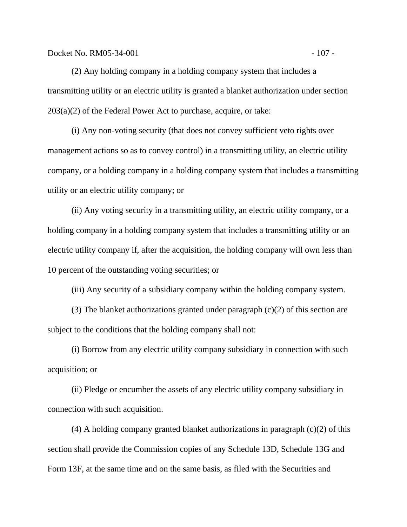Docket No. RM05-34-001 - 107 -

(2) Any holding company in a holding company system that includes a transmitting utility or an electric utility is granted a blanket authorization under section  $203(a)(2)$  of the Federal Power Act to purchase, acquire, or take:

(i) Any non-voting security (that does not convey sufficient veto rights over management actions so as to convey control) in a transmitting utility, an electric utility company, or a holding company in a holding company system that includes a transmitting utility or an electric utility company; or

(ii) Any voting security in a transmitting utility, an electric utility company, or a holding company in a holding company system that includes a transmitting utility or an electric utility company if, after the acquisition, the holding company will own less than 10 percent of the outstanding voting securities; or

(iii) Any security of a subsidiary company within the holding company system.

(3) The blanket authorizations granted under paragraph (c)(2) of this section are subject to the conditions that the holding company shall not:

(i) Borrow from any electric utility company subsidiary in connection with such acquisition; or

(ii) Pledge or encumber the assets of any electric utility company subsidiary in connection with such acquisition.

(4) A holding company granted blanket authorizations in paragraph (c)(2) of this section shall provide the Commission copies of any Schedule 13D, Schedule 13G and Form 13F, at the same time and on the same basis, as filed with the Securities and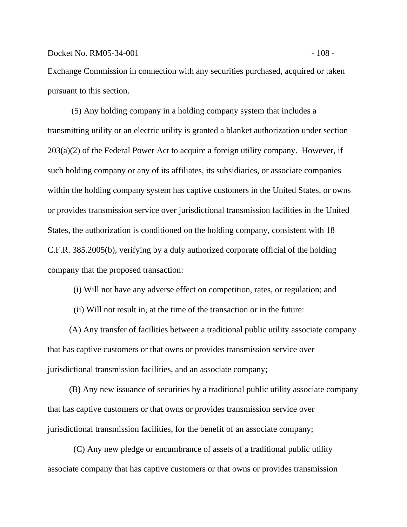Exchange Commission in connection with any securities purchased, acquired or taken pursuant to this section.

(5) Any holding company in a holding company system that includes a transmitting utility or an electric utility is granted a blanket authorization under section  $203(a)(2)$  of the Federal Power Act to acquire a foreign utility company. However, if such holding company or any of its affiliates, its subsidiaries, or associate companies within the holding company system has captive customers in the United States, or owns or provides transmission service over jurisdictional transmission facilities in the United States, the authorization is conditioned on the holding company, consistent with 18 C.F.R. 385.2005(b), verifying by a duly authorized corporate official of the holding company that the proposed transaction:

(i) Will not have any adverse effect on competition, rates, or regulation; and

(ii) Will not result in, at the time of the transaction or in the future:

(A) Any transfer of facilities between a traditional public utility associate company that has captive customers or that owns or provides transmission service over jurisdictional transmission facilities, and an associate company;

(B) Any new issuance of securities by a traditional public utility associate company that has captive customers or that owns or provides transmission service over jurisdictional transmission facilities, for the benefit of an associate company;

(C) Any new pledge or encumbrance of assets of a traditional public utility associate company that has captive customers or that owns or provides transmission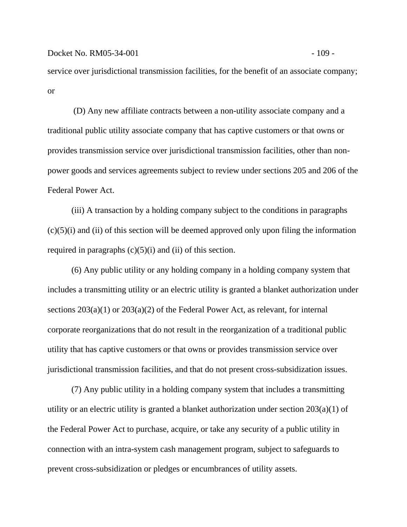service over jurisdictional transmission facilities, for the benefit of an associate company; or

(D) Any new affiliate contracts between a non-utility associate company and a traditional public utility associate company that has captive customers or that owns or provides transmission service over jurisdictional transmission facilities, other than nonpower goods and services agreements subject to review under sections 205 and 206 of the Federal Power Act.

(iii) A transaction by a holding company subject to the conditions in paragraphs  $(c)(5)(i)$  and (ii) of this section will be deemed approved only upon filing the information required in paragraphs  $(c)(5)(i)$  and  $(ii)$  of this section.

(6) Any public utility or any holding company in a holding company system that includes a transmitting utility or an electric utility is granted a blanket authorization under sections 203(a)(1) or 203(a)(2) of the Federal Power Act, as relevant, for internal corporate reorganizations that do not result in the reorganization of a traditional public utility that has captive customers or that owns or provides transmission service over jurisdictional transmission facilities, and that do not present cross-subsidization issues.

(7) Any public utility in a holding company system that includes a transmitting utility or an electric utility is granted a blanket authorization under section 203(a)(1) of the Federal Power Act to purchase, acquire, or take any security of a public utility in connection with an intra-system cash management program, subject to safeguards to prevent cross-subsidization or pledges or encumbrances of utility assets.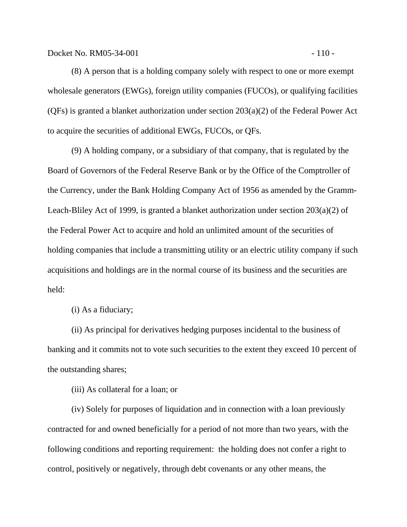Docket No. RM05-34-001 - 110 - 110 - 110 - 110 - 110 - 110 - 110 - 110 - 110 - 110 - 110 - 110 - 110 - 110 - 1

(8) A person that is a holding company solely with respect to one or more exempt wholesale generators (EWGs), foreign utility companies (FUCOs), or qualifying facilities (QFs) is granted a blanket authorization under section 203(a)(2) of the Federal Power Act to acquire the securities of additional EWGs, FUCOs, or QFs.

(9) A holding company, or a subsidiary of that company, that is regulated by the Board of Governors of the Federal Reserve Bank or by the Office of the Comptroller of the Currency, under the Bank Holding Company Act of 1956 as amended by the Gramm-Leach-Bliley Act of 1999, is granted a blanket authorization under section 203(a)(2) of the Federal Power Act to acquire and hold an unlimited amount of the securities of holding companies that include a transmitting utility or an electric utility company if such acquisitions and holdings are in the normal course of its business and the securities are held:

(i) As a fiduciary;

(ii) As principal for derivatives hedging purposes incidental to the business of banking and it commits not to vote such securities to the extent they exceed 10 percent of the outstanding shares;

(iii) As collateral for a loan; or

(iv) Solely for purposes of liquidation and in connection with a loan previously contracted for and owned beneficially for a period of not more than two years, with the following conditions and reporting requirement: the holding does not confer a right to control, positively or negatively, through debt covenants or any other means, the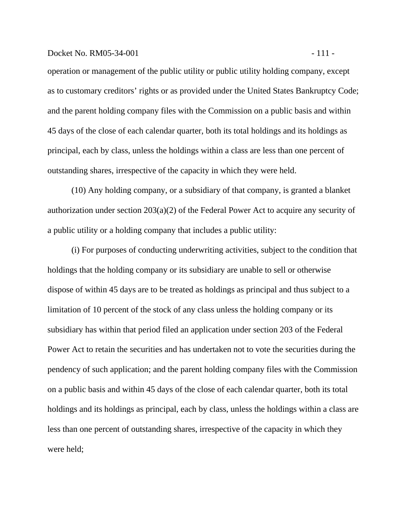#### Docket No. RM05-34-001 - 111 -

operation or management of the public utility or public utility holding company, except as to customary creditors' rights or as provided under the United States Bankruptcy Code; and the parent holding company files with the Commission on a public basis and within 45 days of the close of each calendar quarter, both its total holdings and its holdings as principal, each by class, unless the holdings within a class are less than one percent of outstanding shares, irrespective of the capacity in which they were held.

(10) Any holding company, or a subsidiary of that company, is granted a blanket authorization under section 203(a)(2) of the Federal Power Act to acquire any security of a public utility or a holding company that includes a public utility:

(i) For purposes of conducting underwriting activities, subject to the condition that holdings that the holding company or its subsidiary are unable to sell or otherwise dispose of within 45 days are to be treated as holdings as principal and thus subject to a limitation of 10 percent of the stock of any class unless the holding company or its subsidiary has within that period filed an application under section 203 of the Federal Power Act to retain the securities and has undertaken not to vote the securities during the pendency of such application; and the parent holding company files with the Commission on a public basis and within 45 days of the close of each calendar quarter, both its total holdings and its holdings as principal, each by class, unless the holdings within a class are less than one percent of outstanding shares, irrespective of the capacity in which they were held;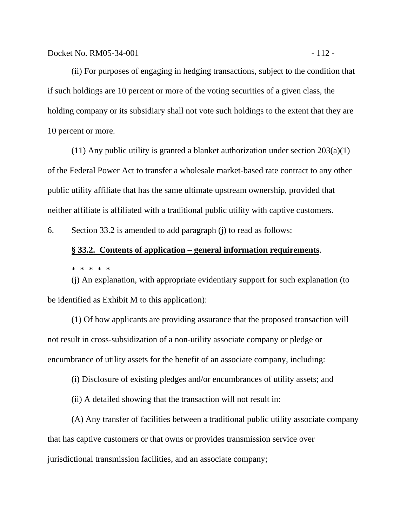(ii) For purposes of engaging in hedging transactions, subject to the condition that if such holdings are 10 percent or more of the voting securities of a given class, the holding company or its subsidiary shall not vote such holdings to the extent that they are 10 percent or more.

(11) Any public utility is granted a blanket authorization under section  $203(a)(1)$ of the Federal Power Act to transfer a wholesale market-based rate contract to any other public utility affiliate that has the same ultimate upstream ownership, provided that neither affiliate is affiliated with a traditional public utility with captive customers.

6. Section 33.2 is amended to add paragraph (j) to read as follows:

### **§ 33.2. Contents of application – general information requirements**.

\* \* \* \* \*

(j) An explanation, with appropriate evidentiary support for such explanation (to be identified as Exhibit M to this application):

(1) Of how applicants are providing assurance that the proposed transaction will not result in cross-subsidization of a non-utility associate company or pledge or encumbrance of utility assets for the benefit of an associate company, including:

(i) Disclosure of existing pledges and/or encumbrances of utility assets; and

(ii) A detailed showing that the transaction will not result in:

(A) Any transfer of facilities between a traditional public utility associate company that has captive customers or that owns or provides transmission service over jurisdictional transmission facilities, and an associate company;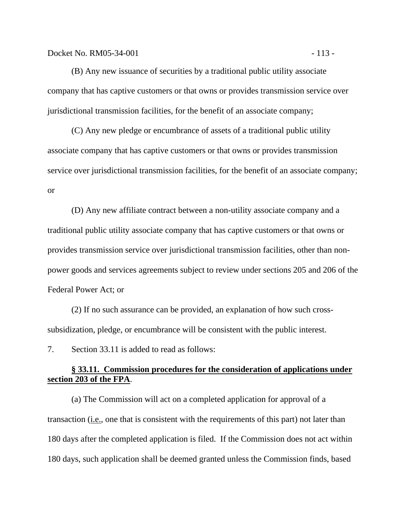(B) Any new issuance of securities by a traditional public utility associate company that has captive customers or that owns or provides transmission service over jurisdictional transmission facilities, for the benefit of an associate company;

(C) Any new pledge or encumbrance of assets of a traditional public utility associate company that has captive customers or that owns or provides transmission service over jurisdictional transmission facilities, for the benefit of an associate company; or

(D) Any new affiliate contract between a non-utility associate company and a traditional public utility associate company that has captive customers or that owns or provides transmission service over jurisdictional transmission facilities, other than nonpower goods and services agreements subject to review under sections 205 and 206 of the Federal Power Act; or

(2) If no such assurance can be provided, an explanation of how such crosssubsidization, pledge, or encumbrance will be consistent with the public interest.

7. Section 33.11 is added to read as follows:

## **§ 33.11. Commission procedures for the consideration of applications under section 203 of the FPA**.

(a) The Commission will act on a completed application for approval of a transaction (i.e., one that is consistent with the requirements of this part) not later than 180 days after the completed application is filed. If the Commission does not act within 180 days, such application shall be deemed granted unless the Commission finds, based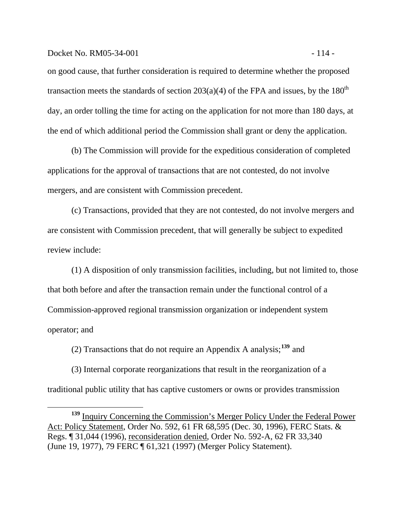#### Docket No. RM05-34-001 - 114 -

 $\overline{a}$ 

on good cause, that further consideration is required to determine whether the proposed transaction meets the standards of section  $203(a)(4)$  of the FPA and issues, by the  $180<sup>th</sup>$ day, an order tolling the time for acting on the application for not more than 180 days, at the end of which additional period the Commission shall grant or deny the application.

(b) The Commission will provide for the expeditious consideration of completed applications for the approval of transactions that are not contested, do not involve mergers, and are consistent with Commission precedent.

(c) Transactions, provided that they are not contested, do not involve mergers and are consistent with Commission precedent, that will generally be subject to expedited review include:

(1) A disposition of only transmission facilities, including, but not limited to, those that both before and after the transaction remain under the functional control of a Commission-approved regional transmission organization or independent system operator; and

(2) Transactions that do not require an Appendix A analysis;**[139](#page-116-0)** and

(3) Internal corporate reorganizations that result in the reorganization of a traditional public utility that has captive customers or owns or provides transmission

<span id="page-116-0"></span>**<sup>139</sup>** Inquiry Concerning the Commission's Merger Policy Under the Federal Power Act: Policy Statement, Order No. 592, 61 FR 68,595 (Dec. 30, 1996), FERC Stats. & Regs. ¶ 31,044 (1996), reconsideration denied, Order No. 592-A, 62 FR 33,340 (June 19, 1977), 79 FERC ¶ 61,321 (1997) (Merger Policy Statement).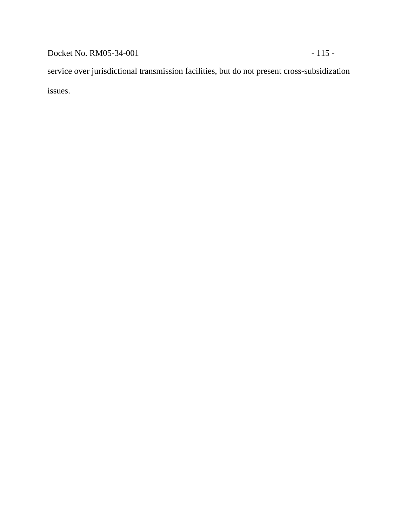Docket No. RM05-34-001 - 115 -

service over jurisdictional transmission facilities, but do not present cross-subsidization issues.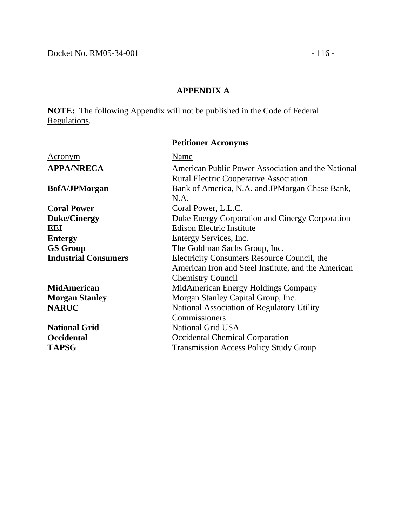# **APPENDIX A**

**NOTE:** The following Appendix will not be published in the Code of Federal Regulations.

| Name<br><u>Acronym</u>                                                     |  |
|----------------------------------------------------------------------------|--|
| <b>APPA/NRECA</b><br>American Public Power Association and the National    |  |
| <b>Rural Electric Cooperative Association</b>                              |  |
| Bank of America, N.A. and JPMorgan Chase Bank,<br><b>BofA/JPMorgan</b>     |  |
| N.A.                                                                       |  |
| <b>Coral Power</b><br>Coral Power, L.L.C.                                  |  |
| <b>Duke/Cinergy</b><br>Duke Energy Corporation and Cinergy Corporation     |  |
| <b>Edison Electric Institute</b><br>EEI                                    |  |
| Entergy Services, Inc.<br><b>Entergy</b>                                   |  |
| <b>GS Group</b><br>The Goldman Sachs Group, Inc.                           |  |
| <b>Industrial Consumers</b><br>Electricity Consumers Resource Council, the |  |
| American Iron and Steel Institute, and the American                        |  |
| <b>Chemistry Council</b>                                                   |  |
| <b>MidAmerican</b><br>MidAmerican Energy Holdings Company                  |  |
| Morgan Stanley Capital Group, Inc.<br><b>Morgan Stanley</b>                |  |
| <b>NARUC</b><br>National Association of Regulatory Utility                 |  |
| Commissioners                                                              |  |
| National Grid USA<br><b>National Grid</b>                                  |  |
| <b>Occidental</b><br><b>Occidental Chemical Corporation</b>                |  |
| <b>TAPSG</b><br><b>Transmission Access Policy Study Group</b>              |  |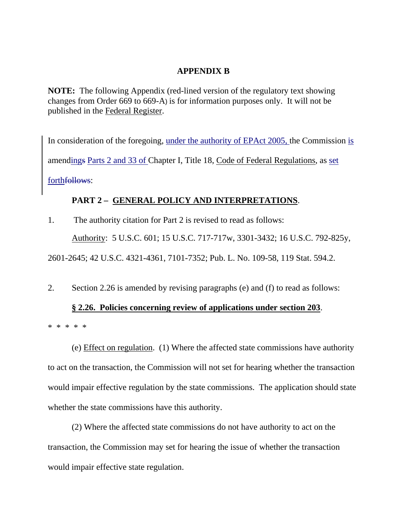## **APPENDIX B**

**NOTE:** The following Appendix (red-lined version of the regulatory text showing changes from Order 669 to 669-A) is for information purposes only. It will not be published in the Federal Register.

In consideration of the foregoing, under the authority of EPAct 2005, the Commission is amendings Parts 2 and 33 of Chapter I, Title 18, Code of Federal Regulations, as set forth<del>follows</del>:

# **PART 2 – GENERAL POLICY AND INTERPRETATIONS**.

1. The authority citation for Part 2 is revised to read as follows:

Authority: 5 U.S.C. 601; 15 U.S.C. 717-717w, 3301-3432; 16 U.S.C. 792-825y,

2601-2645; 42 U.S.C. 4321-4361, 7101-7352; Pub. L. No. 109-58, 119 Stat. 594.2.

2. Section 2.26 is amended by revising paragraphs (e) and (f) to read as follows:

## **§ 2.26. Policies concerning review of applications under section 203**.

\* \* \* \* \*

(e) Effect on regulation. (1) Where the affected state commissions have authority to act on the transaction, the Commission will not set for hearing whether the transaction would impair effective regulation by the state commissions. The application should state whether the state commissions have this authority.

(2) Where the affected state commissions do not have authority to act on the transaction, the Commission may set for hearing the issue of whether the transaction would impair effective state regulation.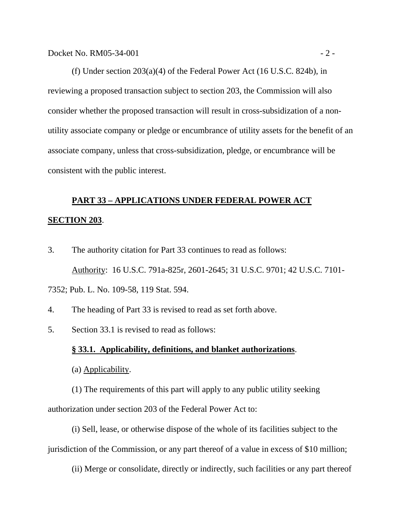(f) Under section 203(a)(4) of the Federal Power Act (16 U.S.C. 824b), in reviewing a proposed transaction subject to section 203, the Commission will also consider whether the proposed transaction will result in cross-subsidization of a nonutility associate company or pledge or encumbrance of utility assets for the benefit of an associate company, unless that cross-subsidization, pledge, or encumbrance will be consistent with the public interest.

# **PART 33 – APPLICATIONS UNDER FEDERAL POWER ACT**

### **SECTION 203**.

- 3. The authority citation for Part 33 continues to read as follows: Authority: 16 U.S.C. 791a-825r, 2601-2645; 31 U.S.C. 9701; 42 U.S.C. 7101- 7352; Pub. L. No. 109-58, 119 Stat. 594.
- 4. The heading of Part 33 is revised to read as set forth above.
- 5. Section 33.1 is revised to read as follows:

### **§ 33.1. Applicability, definitions, and blanket authorizations**.

(a) Applicability.

(1) The requirements of this part will apply to any public utility seeking authorization under section 203 of the Federal Power Act to:

(i) Sell, lease, or otherwise dispose of the whole of its facilities subject to the jurisdiction of the Commission, or any part thereof of a value in excess of \$10 million;

(ii) Merge or consolidate, directly or indirectly, such facilities or any part thereof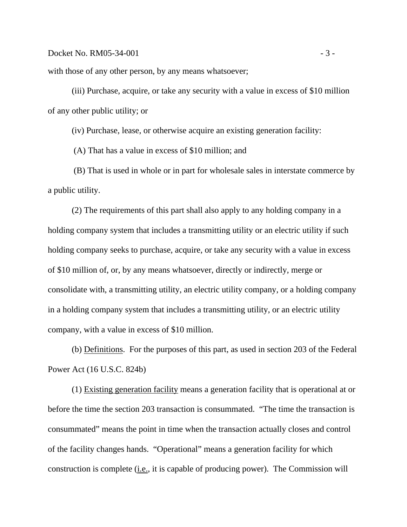with those of any other person, by any means whatsoever;

(iii) Purchase, acquire, or take any security with a value in excess of \$10 million of any other public utility; or

(iv) Purchase, lease, or otherwise acquire an existing generation facility:

(A) That has a value in excess of \$10 million; and

(B) That is used in whole or in part for wholesale sales in interstate commerce by a public utility.

(2) The requirements of this part shall also apply to any holding company in a holding company system that includes a transmitting utility or an electric utility if such holding company seeks to purchase, acquire, or take any security with a value in excess of \$10 million of, or, by any means whatsoever, directly or indirectly, merge or consolidate with, a transmitting utility, an electric utility company, or a holding company in a holding company system that includes a transmitting utility, or an electric utility company, with a value in excess of \$10 million.

(b) Definitions. For the purposes of this part, as used in section 203 of the Federal Power Act (16 U.S.C. 824b)

(1) Existing generation facility means a generation facility that is operational at or before the time the section 203 transaction is consummated. "The time the transaction is consummated" means the point in time when the transaction actually closes and control of the facility changes hands. "Operational" means a generation facility for which construction is complete (i.e., it is capable of producing power). The Commission will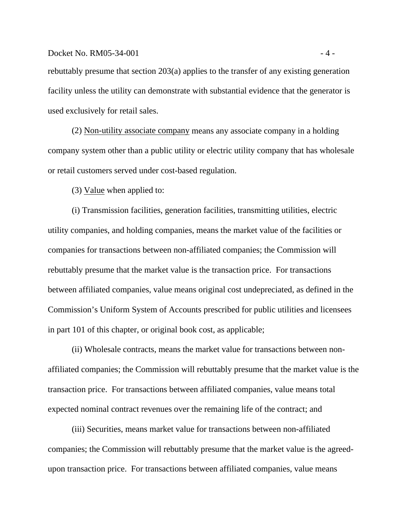### $Dacket No. RM05-34-001$   $-4-$

rebuttably presume that section 203(a) applies to the transfer of any existing generation facility unless the utility can demonstrate with substantial evidence that the generator is used exclusively for retail sales.

(2) Non-utility associate company means any associate company in a holding company system other than a public utility or electric utility company that has wholesale or retail customers served under cost-based regulation.

(3) Value when applied to:

(i) Transmission facilities, generation facilities, transmitting utilities, electric utility companies, and holding companies, means the market value of the facilities or companies for transactions between non-affiliated companies; the Commission will rebuttably presume that the market value is the transaction price. For transactions between affiliated companies, value means original cost undepreciated, as defined in the Commission's Uniform System of Accounts prescribed for public utilities and licensees in part 101 of this chapter, or original book cost, as applicable;

(ii) Wholesale contracts, means the market value for transactions between nonaffiliated companies; the Commission will rebuttably presume that the market value is the transaction price. For transactions between affiliated companies, value means total expected nominal contract revenues over the remaining life of the contract; and

(iii) Securities, means market value for transactions between non-affiliated companies; the Commission will rebuttably presume that the market value is the agreedupon transaction price. For transactions between affiliated companies, value means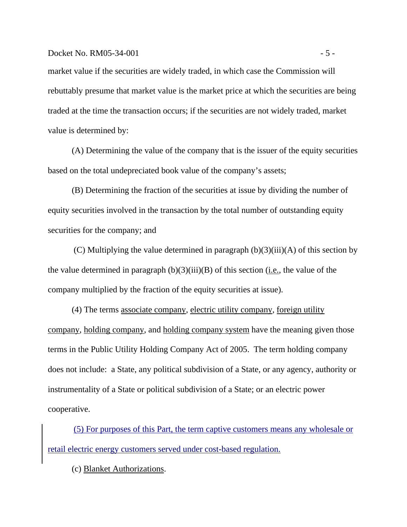### Docket No.  $RM05-34-001$   $-5-$

market value if the securities are widely traded, in which case the Commission will rebuttably presume that market value is the market price at which the securities are being traded at the time the transaction occurs; if the securities are not widely traded, market value is determined by:

(A) Determining the value of the company that is the issuer of the equity securities based on the total undepreciated book value of the company's assets;

(B) Determining the fraction of the securities at issue by dividing the number of equity securities involved in the transaction by the total number of outstanding equity securities for the company; and

(C) Multiplying the value determined in paragraph  $(b)(3)(iii)(A)$  of this section by the value determined in paragraph  $(b)(3)(iii)(B)$  of this section (i.e., the value of the company multiplied by the fraction of the equity securities at issue).

(4) The terms associate company, electric utility company, foreign utility company, holding company, and holding company system have the meaning given those terms in the Public Utility Holding Company Act of 2005. The term holding company does not include: a State, any political subdivision of a State, or any agency, authority or instrumentality of a State or political subdivision of a State; or an electric power cooperative.

(5) For purposes of this Part, the term captive customers means any wholesale or retail electric energy customers served under cost-based regulation.

(c) Blanket Authorizations.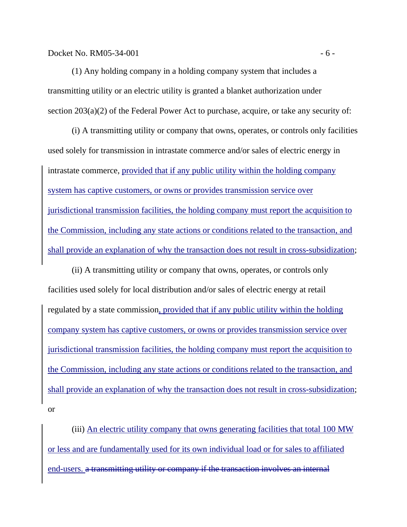(1) Any holding company in a holding company system that includes a transmitting utility or an electric utility is granted a blanket authorization under section 203(a)(2) of the Federal Power Act to purchase, acquire, or take any security of:

(i) A transmitting utility or company that owns, operates, or controls only facilities used solely for transmission in intrastate commerce and/or sales of electric energy in intrastate commerce, provided that if any public utility within the holding company system has captive customers, or owns or provides transmission service over jurisdictional transmission facilities, the holding company must report the acquisition to the Commission, including any state actions or conditions related to the transaction, and shall provide an explanation of why the transaction does not result in cross-subsidization;

(ii) A transmitting utility or company that owns, operates, or controls only facilities used solely for local distribution and/or sales of electric energy at retail regulated by a state commission, provided that if any public utility within the holding company system has captive customers, or owns or provides transmission service over jurisdictional transmission facilities, the holding company must report the acquisition to the Commission, including any state actions or conditions related to the transaction, and shall provide an explanation of why the transaction does not result in cross-subsidization; or

(iii) An electric utility company that owns generating facilities that total 100 MW or less and are fundamentally used for its own individual load or for sales to affiliated end-users. a transmitting utility or company if the transaction involves an internal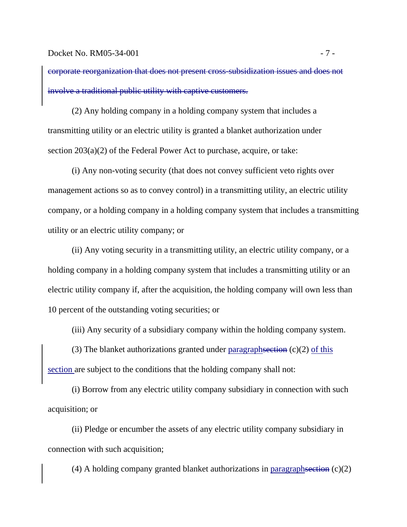corporate reorganization that does not present cross-subsidization issues and does not involve a traditional public utility with captive customers.

(2) Any holding company in a holding company system that includes a transmitting utility or an electric utility is granted a blanket authorization under section 203(a)(2) of the Federal Power Act to purchase, acquire, or take:

(i) Any non-voting security (that does not convey sufficient veto rights over management actions so as to convey control) in a transmitting utility, an electric utility company, or a holding company in a holding company system that includes a transmitting utility or an electric utility company; or

(ii) Any voting security in a transmitting utility, an electric utility company, or a holding company in a holding company system that includes a transmitting utility or an electric utility company if, after the acquisition, the holding company will own less than 10 percent of the outstanding voting securities; or

(iii) Any security of a subsidiary company within the holding company system.

(3) The blanket authorizations granted under paragraphsection  $(c)(2)$  of this section are subject to the conditions that the holding company shall not:

(i) Borrow from any electric utility company subsidiary in connection with such acquisition; or

(ii) Pledge or encumber the assets of any electric utility company subsidiary in connection with such acquisition;

(4) A holding company granted blanket authorizations in paragraphsection (c)(2)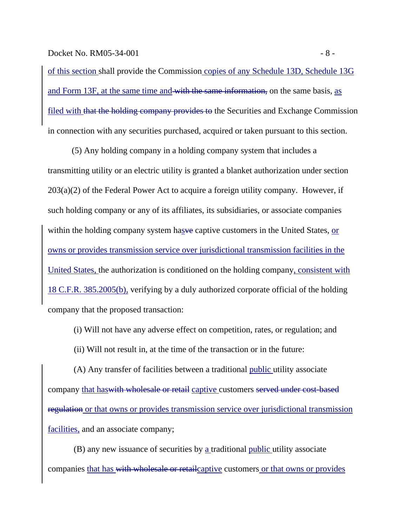Docket No. RM05-34-001 - 8 -

of this section shall provide the Commission copies of any Schedule 13D, Schedule 13G and Form 13F, at the same time and with the same information, on the same basis, as filed with that the holding company provides to the Securities and Exchange Commission in connection with any securities purchased, acquired or taken pursuant to this section.

(5) Any holding company in a holding company system that includes a transmitting utility or an electric utility is granted a blanket authorization under section  $203(a)(2)$  of the Federal Power Act to acquire a foreign utility company. However, if such holding company or any of its affiliates, its subsidiaries, or associate companies within the holding company system hasve captive customers in the United States, or owns or provides transmission service over jurisdictional transmission facilities in the United States, the authorization is conditioned on the holding company, consistent with 18 C.F.R. 385.2005(b), verifying by a duly authorized corporate official of the holding company that the proposed transaction:

(i) Will not have any adverse effect on competition, rates, or regulation; and

(ii) Will not result in, at the time of the transaction or in the future:

(A) Any transfer of facilities between a traditional public utility associate company that haswith wholesale or retail captive customers served under cost-based regulation or that owns or provides transmission service over jurisdictional transmission facilities, and an associate company;

(B) any new issuance of securities by a traditional public utility associate companies that has with wholesale or retailcaptive customers or that owns or provides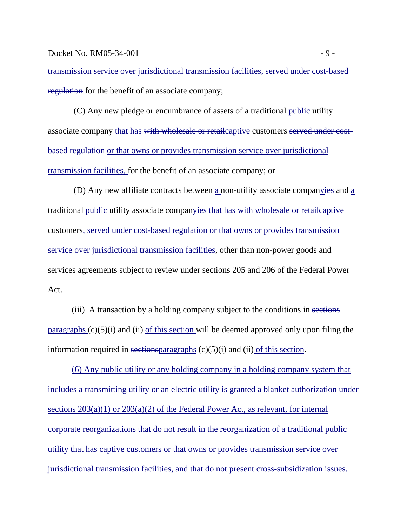transmission service over jurisdictional transmission facilities, served under cost-based regulation for the benefit of an associate company;

(C) Any new pledge or encumbrance of assets of a traditional public utility associate company that has with wholesale or retailcaptive customers served under costbased regulation or that owns or provides transmission service over jurisdictional transmission facilities, for the benefit of an associate company; or

(D) Any new affiliate contracts between a non-utility associate companyies and a traditional public utility associate companyies that has with wholesale or retailcaptive customers, served under cost-based regulation or that owns or provides transmission service over jurisdictional transmission facilities, other than non-power goods and services agreements subject to review under sections 205 and 206 of the Federal Power Act.

(iii) A transaction by a holding company subject to the conditions in sections paragraphs  $(c)(5)(i)$  and (ii) of this section will be deemed approved only upon filing the information required in sections paragraphs  $(c)(5)(i)$  and  $(ii)$  of this section.

(6) Any public utility or any holding company in a holding company system that includes a transmitting utility or an electric utility is granted a blanket authorization under sections 203(a)(1) or 203(a)(2) of the Federal Power Act, as relevant, for internal corporate reorganizations that do not result in the reorganization of a traditional public utility that has captive customers or that owns or provides transmission service over jurisdictional transmission facilities, and that do not present cross-subsidization issues.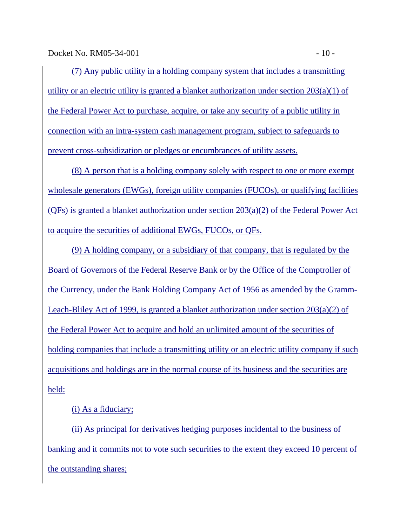Docket No. RM05-34-001 - 10 -

(7) Any public utility in a holding company system that includes a transmitting utility or an electric utility is granted a blanket authorization under section  $203(a)(1)$  of the Federal Power Act to purchase, acquire, or take any security of a public utility in connection with an intra-system cash management program, subject to safeguards to prevent cross-subsidization or pledges or encumbrances of utility assets.

(8) A person that is a holding company solely with respect to one or more exempt wholesale generators (EWGs), foreign utility companies (FUCOs), or qualifying facilities ( $QFs$ ) is granted a blanket authorization under section  $203(a)(2)$  of the Federal Power Act to acquire the securities of additional EWGs, FUCOs, or QFs.

(9) A holding company, or a subsidiary of that company, that is regulated by the Board of Governors of the Federal Reserve Bank or by the Office of the Comptroller of the Currency, under the Bank Holding Company Act of 1956 as amended by the Gramm-Leach-Bliley Act of 1999, is granted a blanket authorization under section 203(a)(2) of the Federal Power Act to acquire and hold an unlimited amount of the securities of holding companies that include a transmitting utility or an electric utility company if such acquisitions and holdings are in the normal course of its business and the securities are held:

## (i) As a fiduciary;

(ii) As principal for derivatives hedging purposes incidental to the business of banking and it commits not to vote such securities to the extent they exceed 10 percent of the outstanding shares;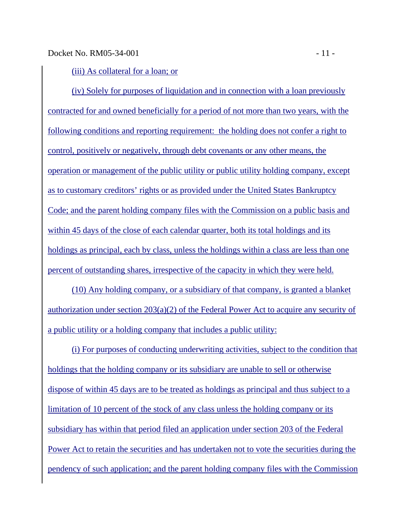(iii) As collateral for a loan; or

(iv) Solely for purposes of liquidation and in connection with a loan previously contracted for and owned beneficially for a period of not more than two years, with the following conditions and reporting requirement: the holding does not confer a right to control, positively or negatively, through debt covenants or any other means, the operation or management of the public utility or public utility holding company, except as to customary creditors' rights or as provided under the United States Bankruptcy Code; and the parent holding company files with the Commission on a public basis and within 45 days of the close of each calendar quarter, both its total holdings and its holdings as principal, each by class, unless the holdings within a class are less than one percent of outstanding shares, irrespective of the capacity in which they were held.

(10) Any holding company, or a subsidiary of that company, is granted a blanket authorization under section 203(a)(2) of the Federal Power Act to acquire any security of a public utility or a holding company that includes a public utility:

(i) For purposes of conducting underwriting activities, subject to the condition that holdings that the holding company or its subsidiary are unable to sell or otherwise dispose of within 45 days are to be treated as holdings as principal and thus subject to a limitation of 10 percent of the stock of any class unless the holding company or its subsidiary has within that period filed an application under section 203 of the Federal Power Act to retain the securities and has undertaken not to vote the securities during the pendency of such application; and the parent holding company files with the Commission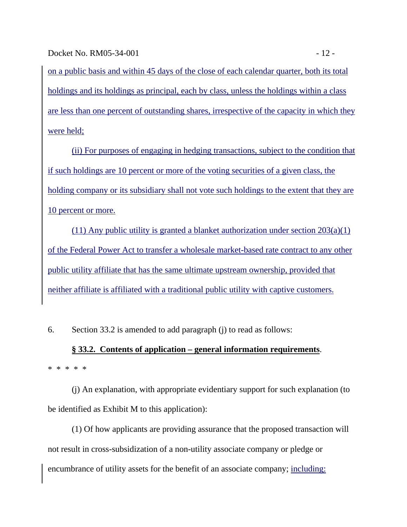on a public basis and within 45 days of the close of each calendar quarter, both its total holdings and its holdings as principal, each by class, unless the holdings within a class are less than one percent of outstanding shares, irrespective of the capacity in which they were held;

(ii) For purposes of engaging in hedging transactions, subject to the condition that if such holdings are 10 percent or more of the voting securities of a given class, the holding company or its subsidiary shall not vote such holdings to the extent that they are 10 percent or more.

(11) Any public utility is granted a blanket authorization under section 203(a)(1) of the Federal Power Act to transfer a wholesale market-based rate contract to any other public utility affiliate that has the same ultimate upstream ownership, provided that neither affiliate is affiliated with a traditional public utility with captive customers.

6. Section 33.2 is amended to add paragraph (j) to read as follows:

# **§ 33.2. Contents of application – general information requirements**. \* \* \* \* \*

(j) An explanation, with appropriate evidentiary support for such explanation (to be identified as Exhibit M to this application):

(1) Of how applicants are providing assurance that the proposed transaction will not result in cross-subsidization of a non-utility associate company or pledge or encumbrance of utility assets for the benefit of an associate company; including: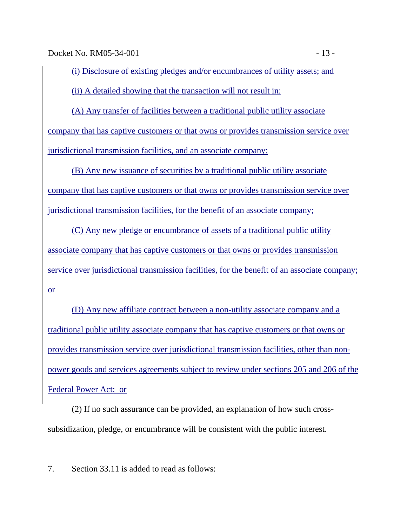Docket No. RM05-34-001 - 13 -

(i) Disclosure of existing pledges and/or encumbrances of utility assets; and (ii) A detailed showing that the transaction will not result in:

(A) Any transfer of facilities between a traditional public utility associate company that has captive customers or that owns or provides transmission service over jurisdictional transmission facilities, and an associate company;

(B) Any new issuance of securities by a traditional public utility associate company that has captive customers or that owns or provides transmission service over jurisdictional transmission facilities, for the benefit of an associate company;

(C) Any new pledge or encumbrance of assets of a traditional public utility associate company that has captive customers or that owns or provides transmission service over jurisdictional transmission facilities, for the benefit of an associate company; or

(D) Any new affiliate contract between a non-utility associate company and a traditional public utility associate company that has captive customers or that owns or provides transmission service over jurisdictional transmission facilities, other than nonpower goods and services agreements subject to review under sections 205 and 206 of the Federal Power Act; or

(2) If no such assurance can be provided, an explanation of how such crosssubsidization, pledge, or encumbrance will be consistent with the public interest.

7. Section 33.11 is added to read as follows: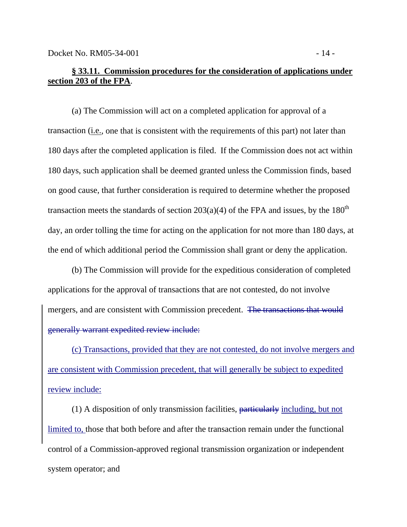## **§ 33.11. Commission procedures for the consideration of applications under section 203 of the FPA**.

(a) The Commission will act on a completed application for approval of a transaction (i.e., one that is consistent with the requirements of this part) not later than 180 days after the completed application is filed. If the Commission does not act within 180 days, such application shall be deemed granted unless the Commission finds, based on good cause, that further consideration is required to determine whether the proposed transaction meets the standards of section  $203(a)(4)$  of the FPA and issues, by the  $180<sup>th</sup>$ day, an order tolling the time for acting on the application for not more than 180 days, at the end of which additional period the Commission shall grant or deny the application.

(b) The Commission will provide for the expeditious consideration of completed applications for the approval of transactions that are not contested, do not involve mergers, and are consistent with Commission precedent. The transactions that would generally warrant expedited review include:

(c) Transactions, provided that they are not contested, do not involve mergers and are consistent with Commission precedent, that will generally be subject to expedited review include:

(1) A disposition of only transmission facilities, particularly including, but not limited to, those that both before and after the transaction remain under the functional control of a Commission-approved regional transmission organization or independent system operator; and